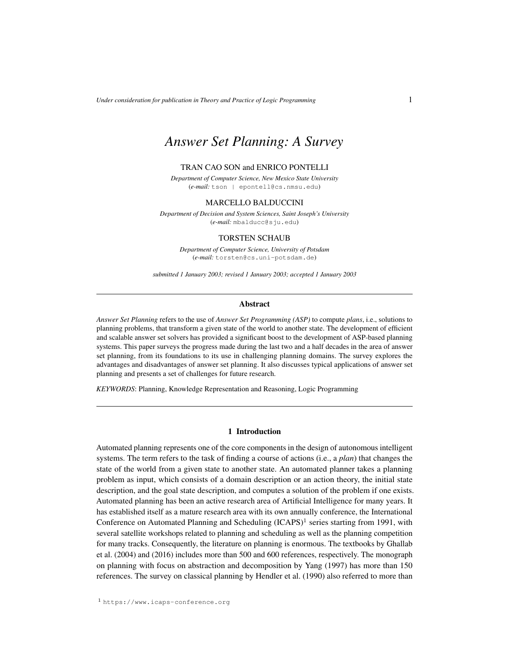# *Answer Set Planning: A Survey*

# TRAN CAO SON and ENRICO PONTELLI

*Department of Computer Science, New Mexico State University* (*e-mail:* tson | epontell@cs.nmsu.edu)

#### MARCELLO BALDUCCINI

*Department of Decision and System Sciences, Saint Joseph's University* (*e-mail:* mbalducc@sju.edu)

# TORSTEN SCHAUB

*Department of Computer Science, University of Potsdam* (*e-mail:* torsten@cs.uni-potsdam.de)

*submitted 1 January 2003; revised 1 January 2003; accepted 1 January 2003*

### Abstract

*Answer Set Planning* refers to the use of *Answer Set Programming (ASP)* to compute *plans*, i.e., solutions to planning problems, that transform a given state of the world to another state. The development of efficient and scalable answer set solvers has provided a significant boost to the development of ASP-based planning systems. This paper surveys the progress made during the last two and a half decades in the area of answer set planning, from its foundations to its use in challenging planning domains. The survey explores the advantages and disadvantages of answer set planning. It also discusses typical applications of answer set planning and presents a set of challenges for future research.

*KEYWORDS*: Planning, Knowledge Representation and Reasoning, Logic Programming

#### 1 Introduction

Automated planning represents one of the core components in the design of autonomous intelligent systems. The term refers to the task of finding a course of actions (i.e., a *plan*) that changes the state of the world from a given state to another state. An automated planner takes a planning problem as input, which consists of a domain description or an action theory, the initial state description, and the goal state description, and computes a solution of the problem if one exists. Automated planning has been an active research area of Artificial Intelligence for many years. It has established itself as a mature research area with its own annually conference, the International Conference on Automated Planning and Scheduling  $(ICAPS)^1$  series starting from 1991, with several satellite workshops related to planning and scheduling as well as the planning competition for many tracks. Consequently, the literature on planning is enormous. The textbooks by Ghallab et al. (2004) and (2016) includes more than 500 and 600 references, respectively. The monograph on planning with focus on abstraction and decomposition by Yang (1997) has more than 150 references. The survey on classical planning by Hendler et al. (1990) also referred to more than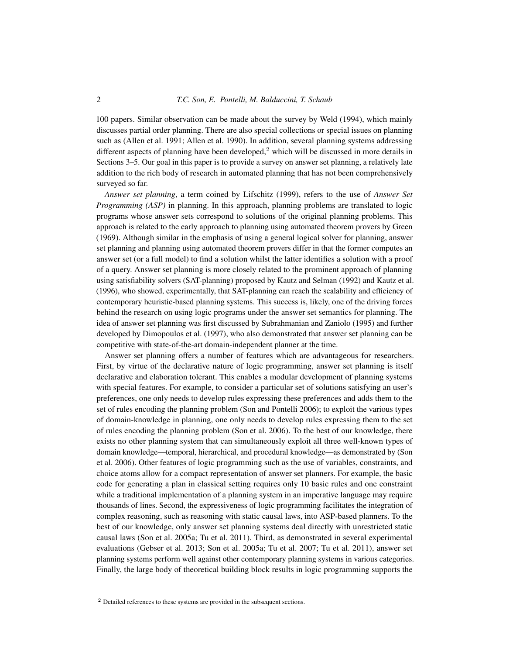100 papers. Similar observation can be made about the survey by Weld (1994), which mainly discusses partial order planning. There are also special collections or special issues on planning such as (Allen et al. 1991; Allen et al. 1990). In addition, several planning systems addressing different aspects of planning have been developed, $<sup>2</sup>$  which will be discussed in more details in</sup> Sections 3–5. Our goal in this paper is to provide a survey on answer set planning, a relatively late addition to the rich body of research in automated planning that has not been comprehensively surveyed so far.

*Answer set planning*, a term coined by Lifschitz (1999), refers to the use of *Answer Set Programming (ASP)* in planning. In this approach, planning problems are translated to logic programs whose answer sets correspond to solutions of the original planning problems. This approach is related to the early approach to planning using automated theorem provers by Green (1969). Although similar in the emphasis of using a general logical solver for planning, answer set planning and planning using automated theorem provers differ in that the former computes an answer set (or a full model) to find a solution whilst the latter identifies a solution with a proof of a query. Answer set planning is more closely related to the prominent approach of planning using satisfiability solvers (SAT-planning) proposed by Kautz and Selman (1992) and Kautz et al. (1996), who showed, experimentally, that SAT-planning can reach the scalability and efficiency of contemporary heuristic-based planning systems. This success is, likely, one of the driving forces behind the research on using logic programs under the answer set semantics for planning. The idea of answer set planning was first discussed by Subrahmanian and Zaniolo (1995) and further developed by Dimopoulos et al. (1997), who also demonstrated that answer set planning can be competitive with state-of-the-art domain-independent planner at the time.

Answer set planning offers a number of features which are advantageous for researchers. First, by virtue of the declarative nature of logic programming, answer set planning is itself declarative and elaboration tolerant. This enables a modular development of planning systems with special features. For example, to consider a particular set of solutions satisfying an user's preferences, one only needs to develop rules expressing these preferences and adds them to the set of rules encoding the planning problem (Son and Pontelli 2006); to exploit the various types of domain-knowledge in planning, one only needs to develop rules expressing them to the set of rules encoding the planning problem (Son et al. 2006). To the best of our knowledge, there exists no other planning system that can simultaneously exploit all three well-known types of domain knowledge—temporal, hierarchical, and procedural knowledge—as demonstrated by (Son et al. 2006). Other features of logic programming such as the use of variables, constraints, and choice atoms allow for a compact representation of answer set planners. For example, the basic code for generating a plan in classical setting requires only 10 basic rules and one constraint while a traditional implementation of a planning system in an imperative language may require thousands of lines. Second, the expressiveness of logic programming facilitates the integration of complex reasoning, such as reasoning with static causal laws, into ASP-based planners. To the best of our knowledge, only answer set planning systems deal directly with unrestricted static causal laws (Son et al. 2005a; Tu et al. 2011). Third, as demonstrated in several experimental evaluations (Gebser et al. 2013; Son et al. 2005a; Tu et al. 2007; Tu et al. 2011), answer set planning systems perform well against other contemporary planning systems in various categories. Finally, the large body of theoretical building block results in logic programming supports the

<sup>2</sup> Detailed references to these systems are provided in the subsequent sections.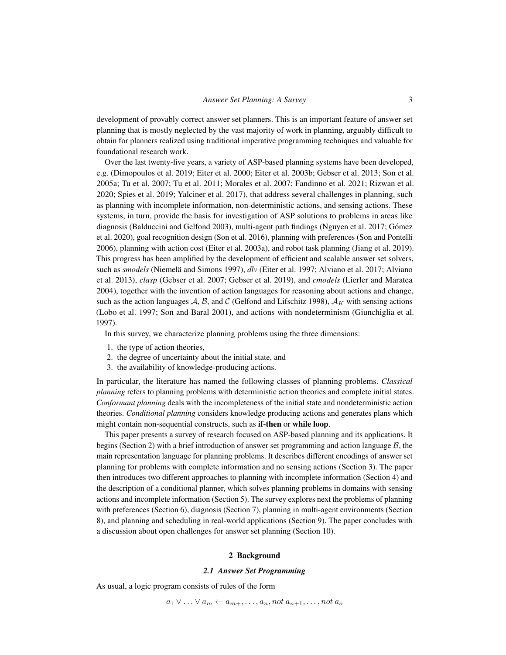development of provably correct answer set planners. This is an important feature of answer set planning that is mostly neglected by the vast majority of work in planning, arguably difficult to obtain for planners realized using traditional imperative programming techniques and valuable for foundational research work.

Over the last twenty-five years, a variety of ASP-based planning systems have been developed, e.g. (Dimopoulos et al. 2019; Eiter et al. 2000; Eiter et al. 2003b; Gebser et al. 2013; Son et al. 2005a; Tu et al. 2007; Tu et al. 2011; Morales et al. 2007; Fandinno et al. 2021; Rizwan et al. 2020; Spies et al. 2019; Yalciner et al. 2017), that address several challenges in planning, such as planning with incomplete information, non-deterministic actions, and sensing actions. These systems, in turn, provide the basis for investigation of ASP solutions to problems in areas like diagnosis (Balduccini and Gelfond 2003), multi-agent path findings (Nguyen et al. 2017; Gómez et al. 2020), goal recognition design (Son et al. 2016), planning with preferences (Son and Pontelli 2006), planning with action cost (Eiter et al. 2003a), and robot task planning (Jiang et al. 2019). This progress has been amplified by the development of efficient and scalable answer set solvers, such as *smodels* (Niemelä and Simons 1997), *dlv* (Eiter et al. 1997; Alviano et al. 2017; Alviano et al. 2013), *clasp* (Gebser et al. 2007; Gebser et al. 2019), and *cmodels* (Lierler and Maratea 2004), together with the invention of action languages for reasoning about actions and change, such as the action languages A, B, and C (Gelfond and Lifschitz 1998),  $A_K$  with sensing actions (Lobo et al. 1997; Son and Baral 2001), and actions with nondeterminism (Giunchiglia et al. 1997).

In this survey, we characterize planning problems using the three dimensions:

- 1. the type of action theories,
- 2. the degree of uncertainty about the initial state, and
- 3. the availability of knowledge-producing actions.

In particular, the literature has named the following classes of planning problems. *Classical planning* refers to planning problems with deterministic action theories and complete initial states. *Conformant planning* deals with the incompleteness of the initial state and nondeterministic action theories. *Conditional planning* considers knowledge producing actions and generates plans which might contain non-sequential constructs, such as if-then or while loop.

This paper presents a survey of research focused on ASP-based planning and its applications. It begins (Section 2) with a brief introduction of answer set programming and action language  $\beta$ , the main representation language for planning problems. It describes different encodings of answer set planning for problems with complete information and no sensing actions (Section 3). The paper then introduces two different approaches to planning with incomplete information (Section 4) and the description of a conditional planner, which solves planning problems in domains with sensing actions and incomplete information (Section 5). The survey explores next the problems of planning with preferences (Section 6), diagnosis (Section 7), planning in multi-agent environments (Section 8), and planning and scheduling in real-world applications (Section 9). The paper concludes with a discussion about open challenges for answer set planning (Section 10).

# 2 Background

#### *2.1 Answer Set Programming*

As usual, a logic program consists of rules of the form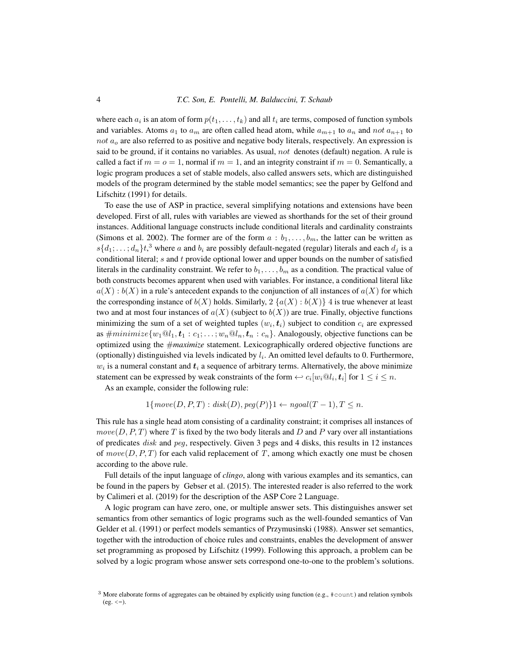where each  $a_i$  is an atom of form  $p(t_1, \ldots, t_k)$  and all  $t_i$  are terms, composed of function symbols and variables. Atoms  $a_1$  to  $a_m$  are often called head atom, while  $a_{m+1}$  to  $a_n$  and not  $a_{n+1}$  to not  $a<sub>o</sub>$  are also referred to as positive and negative body literals, respectively. An expression is said to be ground, if it contains no variables. As usual, not denotes (default) negation. A rule is called a fact if  $m = 0 = 1$ , normal if  $m = 1$ , and an integrity constraint if  $m = 0$ . Semantically, a logic program produces a set of stable models, also called answers sets, which are distinguished models of the program determined by the stable model semantics; see the paper by Gelfond and Lifschitz (1991) for details.

To ease the use of ASP in practice, several simplifying notations and extensions have been developed. First of all, rules with variables are viewed as shorthands for the set of their ground instances. Additional language constructs include conditional literals and cardinality constraints (Simons et al. 2002). The former are of the form  $a : b_1, \ldots, b_m$ , the latter can be written as  $s\{d_1; \ldots; d_n\}$ , where a and  $b_i$  are possibly default-negated (regular) literals and each  $d_j$  is a conditional literal;  $s$  and  $t$  provide optional lower and upper bounds on the number of satisfied literals in the cardinality constraint. We refer to  $b_1, \ldots, b_m$  as a condition. The practical value of both constructs becomes apparent when used with variables. For instance, a conditional literal like  $a(X) : b(X)$  in a rule's antecedent expands to the conjunction of all instances of  $a(X)$  for which the corresponding instance of  $b(X)$  holds. Similarly,  $2 \{a(X) : b(X)\}\ 4$  is true whenever at least two and at most four instances of  $a(X)$  (subject to  $b(X)$ ) are true. Finally, objective functions minimizing the sum of a set of weighted tuples  $(w_i, t_i)$  subject to condition  $c_i$  are expressed as  $\#minimize\{w_1@l_1, t_1 : c_1; \ldots; w_n@l_n, t_n : c_n\}$ . Analogously, objective functions can be optimized using the #*maximize* statement. Lexicographically ordered objective functions are (optionally) distinguished via levels indicated by  $l_i$ . An omitted level defaults to 0. Furthermore,  $w_i$  is a numeral constant and  $t_i$  a sequence of arbitrary terms. Alternatively, the above minimize statement can be expressed by weak constraints of the form  $\leftarrow c_i[w_i@l_i, t_i]$  for  $1 \leq i \leq n$ .

As an example, consider the following rule:

 $1\{move(D, P, T) : disk(D), peg(P)\}$  $1 \leftarrow ngoal(T - 1), T \leq n$ .

This rule has a single head atom consisting of a cardinality constraint; it comprises all instances of  $move(D, P, T)$  where T is fixed by the two body literals and D and P vary over all instantiations of predicates disk and peg, respectively. Given 3 pegs and 4 disks, this results in 12 instances of  $move(D, P, T)$  for each valid replacement of T, among which exactly one must be chosen according to the above rule.

Full details of the input language of *clingo*, along with various examples and its semantics, can be found in the papers by Gebser et al. (2015). The interested reader is also referred to the work by Calimeri et al. (2019) for the description of the ASP Core 2 Language.

A logic program can have zero, one, or multiple answer sets. This distinguishes answer set semantics from other semantics of logic programs such as the well-founded semantics of Van Gelder et al. (1991) or perfect models semantics of Przymusinski (1988). Answer set semantics, together with the introduction of choice rules and constraints, enables the development of answer set programming as proposed by Lifschitz (1999). Following this approach, a problem can be solved by a logic program whose answer sets correspond one-to-one to the problem's solutions.

<sup>3</sup> More elaborate forms of aggregates can be obtained by explicitly using function (e.g., #count) and relation symbols  $(eg. \leq)$ .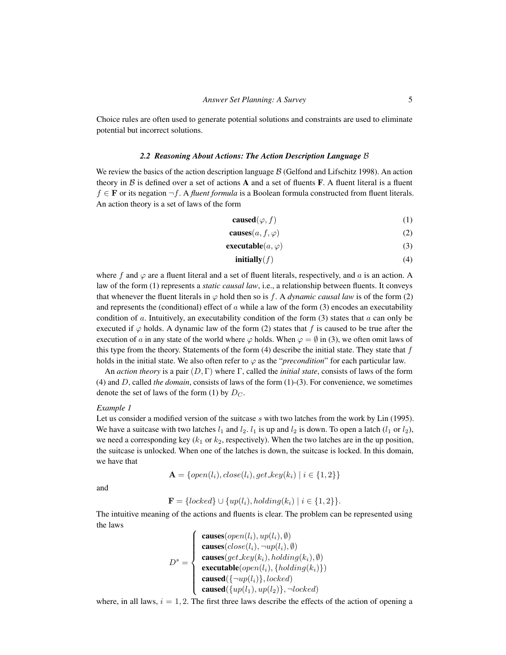Choice rules are often used to generate potential solutions and constraints are used to eliminate potential but incorrect solutions.

### *2.2 Reasoning About Actions: The Action Description Language* B

We review the basics of the action description language  $\beta$  (Gelfond and Lifschitz 1998). An action theory in  $\beta$  is defined over a set of actions **A** and a set of fluents **F**. A fluent literal is a fluent f ∈ F or its negation ¬f. A *fluent formula* is a Boolean formula constructed from fluent literals. An action theory is a set of laws of the form

$$
caused(\varphi, f) \tag{1}
$$

$$
causes(a, f, \varphi) \tag{2}
$$

$$
\textbf{executable}(a, \varphi) \tag{3}
$$

$$
\mathbf{initially}(f) \tag{4}
$$

where f and  $\varphi$  are a fluent literal and a set of fluent literals, respectively, and a is an action. A law of the form (1) represents a *static causal law*, i.e., a relationship between fluents. It conveys that whenever the fluent literals in  $\varphi$  hold then so is f. A *dynamic causal law* is of the form (2) and represents the (conditional) effect of  $\alpha$  while a law of the form (3) encodes an executability condition of  $\alpha$ . Intuitively, an executability condition of the form (3) states that  $\alpha$  can only be executed if  $\varphi$  holds. A dynamic law of the form (2) states that f is caused to be true after the execution of a in any state of the world where  $\varphi$  holds. When  $\varphi = \varnothing$  in (3), we often omit laws of this type from the theory. Statements of the form  $(4)$  describe the initial state. They state that  $f$ holds in the initial state. We also often refer to  $\varphi$  as the "*precondition*" for each particular law.

An *action theory* is a pair (D, Γ) where Γ, called the *initial state*, consists of laws of the form (4) and D, called *the domain*, consists of laws of the form (1)-(3). For convenience, we sometimes denote the set of laws of the form (1) by  $D_C$ .

### *Example 1*

Let us consider a modified version of the suitcase  $s$  with two latches from the work by Lin (1995). We have a suitcase with two latches  $l_1$  and  $l_2$ .  $l_1$  is up and  $l_2$  is down. To open a latch  $(l_1 \text{ or } l_2)$ , we need a corresponding key ( $k_1$  or  $k_2$ , respectively). When the two latches are in the up position, the suitcase is unlocked. When one of the latches is down, the suitcase is locked. In this domain, we have that

$$
\mathbf{A} = \{open(l_i), close(l_i), get\_key(k_i) \mid i \in \{1, 2\}\}
$$

and

$$
\mathbf{F} = \{locked\} \cup \{up(l_i), holding(k_i) \mid i \in \{1, 2\}\}.
$$

The intuitive meaning of the actions and fluents is clear. The problem can be represented using the laws

$$
D^s = \left\{\begin{array}{l} \textbf{causes}(open(l_i),up(l_i),\emptyset) \\ \textbf{causes}(close(l_i),\neg up(l_i),\emptyset) \\ \textbf{causes}(get\_key(k_i), holding(k_i),\emptyset) \\ \textbf{executable}(open(l_i),\{holding(k_i)\}) \\ \textbf{caused}(\{\neg up(l_i)\},locked) \\ \textbf{caused}(\{up(l_1),up(l_2)\},\neg locked) \end{array}\right.
$$

where, in all laws,  $i = 1, 2$ . The first three laws describe the effects of the action of opening a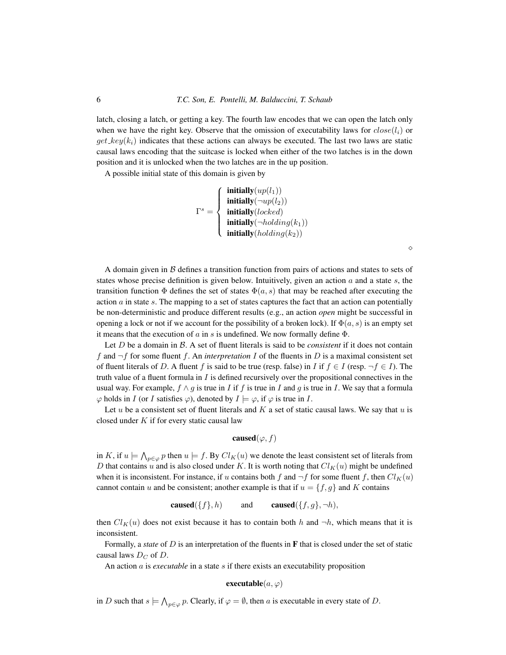latch, closing a latch, or getting a key. The fourth law encodes that we can open the latch only when we have the right key. Observe that the omission of executability laws for  $close(l_i)$  or  $get\_key(k_i)$  indicates that these actions can always be executed. The last two laws are static causal laws encoding that the suitcase is locked when either of the two latches is in the down position and it is unlocked when the two latches are in the up position.

A possible initial state of this domain is given by

$$
\Gamma^s = \left\{ \begin{array}{l} \textbf{initially}(up(l_1)) \\ \textbf{initially}(\neg up(l_2)) \\ \textbf{initially}(locked) \\ \textbf{initially}(\neg holding(k_1)) \\ \textbf{initially}(holding(k_2)) \end{array} \right.
$$

 $\Diamond$ 

A domain given in  $\beta$  defines a transition function from pairs of actions and states to sets of states whose precise definition is given below. Intuitively, given an action  $\alpha$  and a state  $\delta$ , the transition function  $\Phi$  defines the set of states  $\Phi(a, s)$  that may be reached after executing the action  $\alpha$  in state s. The mapping to a set of states captures the fact that an action can potentially be non-deterministic and produce different results (e.g., an action *open* might be successful in opening a lock or not if we account for the possibility of a broken lock). If  $\Phi(a, s)$  is an empty set it means that the execution of  $\alpha$  in  $s$  is undefined. We now formally define  $\Phi$ .

Let D be a domain in B. A set of fluent literals is said to be *consistent* if it does not contain f and  $\neg f$  for some fluent f. An *interpretation* I of the fluents in D is a maximal consistent set of fluent literals of D. A fluent f is said to be true (resp. false) in I if  $f \in I$  (resp.  $\neg f \in I$ ). The truth value of a fluent formula in I is defined recursively over the propositional connectives in the usual way. For example,  $f \wedge q$  is true in I if f is true in I and q is true in I. We say that a formula  $\varphi$  holds in I (or I satisfies  $\varphi$ ), denoted by  $I \models \varphi$ , if  $\varphi$  is true in I.

Let  $u$  be a consistent set of fluent literals and  $K$  a set of static causal laws. We say that  $u$  is closed under  $K$  if for every static causal law

# caused( $\varphi$ , f)

in K, if  $u \models \bigwedge_{p \in \varphi} p$  then  $u \models f$ . By  $Cl_K(u)$  we denote the least consistent set of literals from D that contains u and is also closed under K. It is worth noting that  $Cl_K(u)$  might be undefined when it is inconsistent. For instance, if u contains both f and  $\neg f$  for some fluent f, then  $Cl_K(u)$ cannot contain u and be consistent; another example is that if  $u = \{f, g\}$  and K contains

**caused**
$$
({f}, h)
$$
 and **caused** $({f}, g)$ ,  $\neg h$ ,

then  $Cl_K(u)$  does not exist because it has to contain both h and  $\neg h$ , which means that it is inconsistent.

Formally, a *state* of D is an interpretation of the fluents in F that is closed under the set of static causal laws  $D_C$  of D.

An action a is *executable* in a state s if there exists an executability proposition

### executable $(a, \varphi)$

in D such that  $s \models \bigwedge_{p \in \varphi} p$ . Clearly, if  $\varphi = \emptyset$ , then a is executable in every state of D.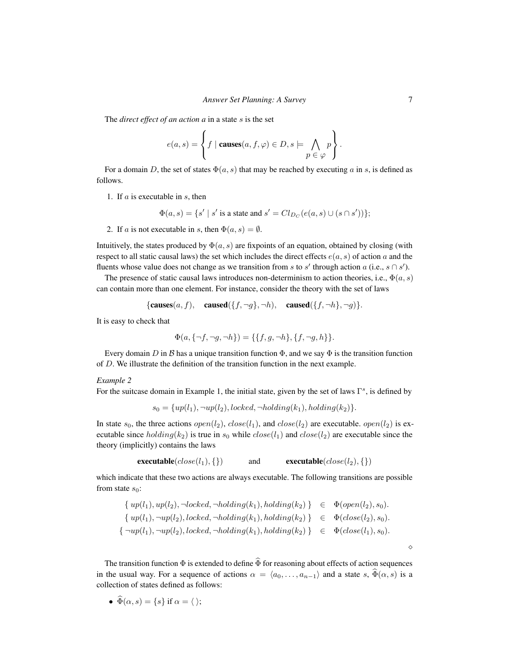The *direct effect of an action a* in a state *s* is the set

$$
e(a,s) = \left\{ f \mid \text{causes}(a, f, \varphi) \in D, s \models \bigwedge_{p \in \varphi} p \right\}.
$$

For a domain D, the set of states  $\Phi(a, s)$  that may be reached by executing a in s, is defined as follows.

1. If  $\alpha$  is executable in  $\alpha$ , then

$$
\Phi(a, s) = \{s' \mid s' \text{ is a state and } s' = Cl_{D_C}(e(a, s) \cup (s \cap s'))\};
$$

2. If a is not executable in s, then  $\Phi(a, s) = \emptyset$ .

Intuitively, the states produced by  $\Phi(a, s)$  are fixpoints of an equation, obtained by closing (with respect to all static causal laws) the set which includes the direct effects  $e(a, s)$  of action a and the fluents whose value does not change as we transition from s to s' through action a (i.e.,  $s \cap s'$ ).

The presence of static causal laws introduces non-determinism to action theories, i.e.,  $\Phi(a, s)$ can contain more than one element. For instance, consider the theory with the set of laws

$$
\{\mathbf causes(a, f), \quad \mathbf caused(\{f, \neg g\}, \neg h), \quad \mathbf caused(\{f, \neg h\}, \neg g)\}.
$$

It is easy to check that

$$
\Phi(a, \{\neg f, \neg g, \neg h\}) = \{\{f, g, \neg h\}, \{f, \neg g, h\}\}.
$$

Every domain D in B has a unique transition function  $\Phi$ , and we say  $\Phi$  is the transition function of D. We illustrate the definition of the transition function in the next example.

#### *Example 2*

For the suitcase domain in Example 1, the initial state, given by the set of laws  $\Gamma^s$ , is defined by

 $s_0 = \{up(l_1), \neg up(l_2), locked, \neg holding(k_1), holding(k_2)\}.$ 

In state  $s_0$ , the three actions  $open(l_2)$ ,  $close(l_1)$ , and  $close(l_2)$  are executable.  $open(l_2)$  is executable since  $holding(k_2)$  is true in  $s_0$  while  $close(l_1)$  and  $close(l_2)$  are executable since the theory (implicitly) contains the laws

 $\textbf{execute}(close(l_1), \{\})$  and  $\textbf{execute}(close(l_2), \{\})$ 

which indicate that these two actions are always executable. The following transitions are possible from state  $s_0$ :

$$
\{ up(l_1), up(l_2), \neg locked, \neg holding(k_1), holding(k_2) \} \in \Phi(open(l_2), s_0).
$$
  

$$
\{ up(l_1), \neg up(l_2), locked, \neg holding(k_1), holding(k_2) \} \in \Phi (close(l_2), s_0).
$$
  

$$
\{ \neg up(l_1), \neg up(l_2), locked, \neg holding(k_1), holding(k_2) \} \in \Phi (close(l_1), s_0).
$$

The transition function  $\Phi$  is extended to define  $\widehat{\Phi}$  for reasoning about effects of action sequences in the usual way. For a sequence of actions  $\alpha = \langle a_0, \ldots, a_{n-1} \rangle$  and a state s,  $\widehat{\Phi}(\alpha, s)$  is a collection of states defined as follows:

• 
$$
\Phi(\alpha, s) = \{s\} \text{ if } \alpha = \langle \ \rangle;
$$

 $\Diamond$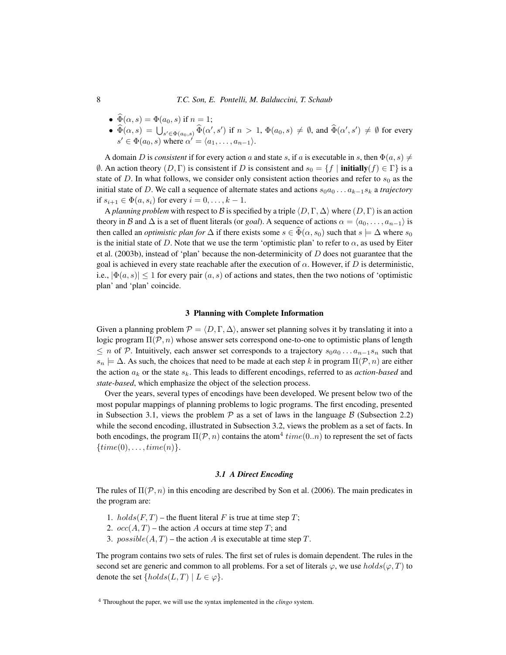- $\Phi(\alpha, s) = \Phi(a_0, s)$  if  $n = 1$ ;
- $\widehat{\Phi}(\alpha, s) = \bigcup_{s' \in \Phi(a_0, s)} \widehat{\Phi}(\alpha', s')$  if  $n > 1$ ,  $\Phi(a_0, s) \neq \emptyset$ , and  $\widehat{\Phi}(\alpha', s') \neq \emptyset$  for every  $s' \in \Phi(a_0, s)$  where  $\alpha' = \langle a_1, \ldots, a_{n-1} \rangle$ .

A domain D is *consistent* if for every action a and state s, if a is executable in s, then  $\Phi(a, s) \neq$  $\emptyset$ . An action theory  $(D, Γ)$  is consistent if D is consistent and  $s_0 = \{f |$  **initially** $(f) ∈ Γ$ } is a state of D. In what follows, we consider only consistent action theories and refer to  $s_0$  as the initial state of D. We call a sequence of alternate states and actions  $s_0a_0 \ldots a_{k-1}s_k$  a *trajectory* if  $s_{i+1} \in \Phi(a, s_i)$  for every  $i = 0, \ldots, k - 1$ .

A *planning problem* with respect to B is specified by a triple  $\langle D, \Gamma, \Delta \rangle$  where  $(D, \Gamma)$  is an action theory in B and  $\Delta$  is a set of fluent literals (or *goal*). A sequence of actions  $\alpha = \langle a_0, \ldots, a_{n-1} \rangle$  is then called an *optimistic plan for*  $\Delta$  if there exists some  $s \in \Phi(\alpha, s_0)$  such that  $s \models \Delta$  where  $s_0$ is the initial state of D. Note that we use the term 'optimistic plan' to refer to  $\alpha$ , as used by Eiter et al. (2003b), instead of 'plan' because the non-determinicity of  $D$  does not guarantee that the goal is achieved in every state reachable after the execution of  $\alpha$ . However, if D is deterministic, i.e.,  $|\Phi(a, s)| \leq 1$  for every pair  $(a, s)$  of actions and states, then the two notions of 'optimistic plan' and 'plan' coincide.

### 3 Planning with Complete Information

Given a planning problem  $\mathcal{P} = \langle D, \Gamma, \Delta \rangle$ , answer set planning solves it by translating it into a logic program  $\Pi(\mathcal{P}, n)$  whose answer sets correspond one-to-one to optimistic plans of length ≤ *n* of *P*. Intuitively, each answer set corresponds to a trajectory  $s_0a_0 \ldots a_{n-1}s_n$  such that  $s_n \models \Delta$ . As such, the choices that need to be made at each step k in program  $\Pi(\mathcal{P}, n)$  are either the action  $a_k$  or the state  $s_k$ . This leads to different encodings, referred to as *action-based* and *state-based*, which emphasize the object of the selection process.

Over the years, several types of encodings have been developed. We present below two of the most popular mappings of planning problems to logic programs. The first encoding, presented in Subsection 3.1, views the problem  $\mathcal P$  as a set of laws in the language  $\mathcal B$  (Subsection 2.2) while the second encoding, illustrated in Subsection 3.2, views the problem as a set of facts. In both encodings, the program  $\Pi(\mathcal{P}, n)$  contains the atom<sup>4</sup>  $time(0..n)$  to represent the set of facts  ${time(0), \ldots, time(n)}.$ 

# *3.1 A Direct Encoding*

The rules of  $\Pi(\mathcal{P}, n)$  in this encoding are described by Son et al. (2006). The main predicates in the program are:

- 1.  $holds(F, T)$  the fluent literal F is true at time step T;
- 2.  $occ(A, T)$  the action A occurs at time step T; and
- 3.  $possible(A, T)$  the action A is executable at time step T.

The program contains two sets of rules. The first set of rules is domain dependent. The rules in the second set are generic and common to all problems. For a set of literals  $\varphi$ , we use  $holds(\varphi, T)$  to denote the set  $\{holds(L, T) | L \in \varphi\}.$ 

<sup>4</sup> Throughout the paper, we will use the syntax implemented in the *clingo* system.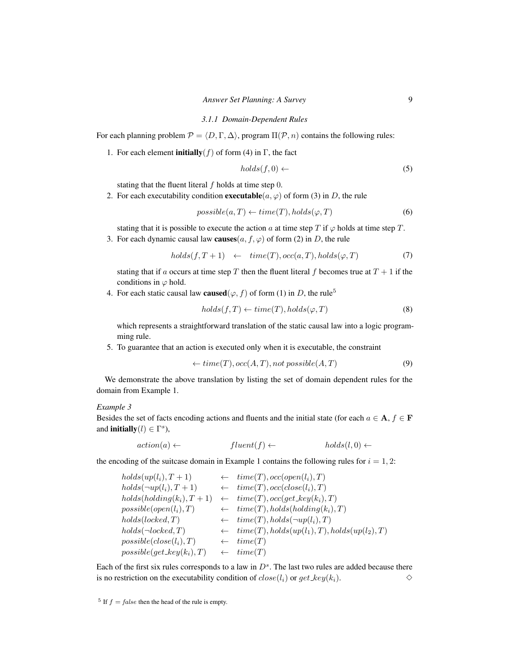#### *3.1.1 Domain-Dependent Rules*

For each planning problem  $\mathcal{P} = \langle D, \Gamma, \Delta \rangle$ , program  $\Pi(\mathcal{P}, n)$  contains the following rules:

1. For each element **initially** $(f)$  of form (4) in Γ, the fact

$$
holds(f,0) \leftarrow \tag{5}
$$

stating that the fluent literal  $f$  holds at time step 0.

2. For each executability condition **executable** $(a, \varphi)$  of form (3) in D, the rule

$$
possible(a, T) \leftarrow time(T), holds(\varphi, T) \tag{6}
$$

stating that it is possible to execute the action a at time step T if  $\varphi$  holds at time step T.

3. For each dynamic causal law **causes**( $a, f, \varphi$ ) of form (2) in *D*, the rule

$$
holds(f, T+1) \leftarrow time(T), occ(a, T), holds(\varphi, T) \tag{7}
$$

stating that if a occurs at time step T then the fluent literal f becomes true at  $T + 1$  if the conditions in  $\varphi$  hold.

4. For each static causal law **caused**( $\varphi$ , f) of form (1) in D, the rule<sup>5</sup>

$$
holds(f, T) \leftarrow time(T), holds(\varphi, T)
$$
\n
$$
(8)
$$

which represents a straightforward translation of the static causal law into a logic programming rule.

5. To guarantee that an action is executed only when it is executable, the constraint

$$
\leftarrow time(T), occ(A, T), not possible(A, T) \tag{9}
$$

We demonstrate the above translation by listing the set of domain dependent rules for the domain from Example 1.

# *Example 3*

Besides the set of facts encoding actions and fluents and the initial state (for each  $a \in A$ ,  $f \in F$ and **initially** $(l) \in \Gamma^s$ ,

$$
action(a) \leftarrow \qquad \qquad fluent(f) \leftarrow \qquad \qquad holds(l,0) \leftarrow
$$

the encoding of the suitcase domain in Example 1 contains the following rules for  $i = 1, 2$ :

| $holds(up(l_i), T+1)$        | $\leftarrow$ time(T), occ(open(l <sub>i</sub> ), T)                                |
|------------------------------|------------------------------------------------------------------------------------|
| $holds(\neg up(l_i), T+1)$   | $\leftarrow$ time(T), $occ(close(l_i), T)$                                         |
| $holds(holding(k_i), T+1)$   | $\leftarrow$ time(T), occ(get_key(k <sub>i</sub> ), T)                             |
| $possible(open(l_i), T)$     | $\leftarrow$ time(T), holds(holding(k <sub>i</sub> ), T)                           |
| holds(locked, T)             | $\leftarrow$ time(T), holds $(\neg up(l_i), T)$                                    |
| $holds(\neg locked, T)$      | $\leftarrow$ time(T), holds(up(l <sub>1</sub> ), T), holds(up(l <sub>2</sub> ), T) |
| $possible(close(l_i), T)$    | $\leftarrow$ time(T)                                                               |
| $possible(get\_key(k_i), T)$ | $\leftarrow$ time(T)                                                               |

Each of the first six rules corresponds to a law in  $D<sup>s</sup>$ . The last two rules are added because there is no restriction on the executability condition of  $close(l_i)$  or  $get\_key(k_i)$ .

 $5$  If  $f = false$  then the head of the rule is empty.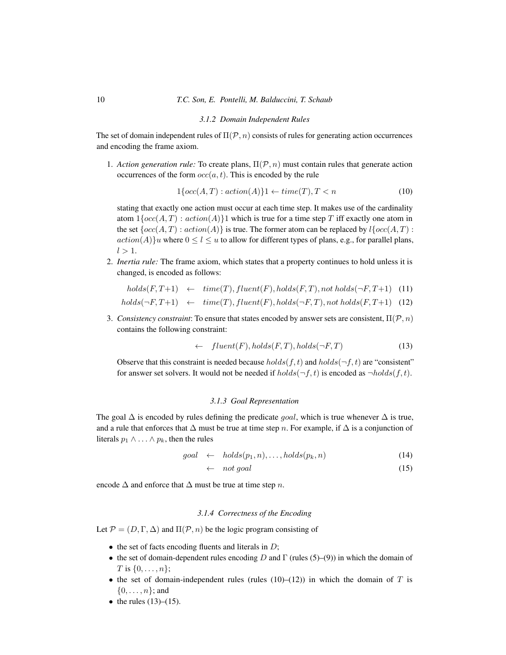#### *3.1.2 Domain Independent Rules*

The set of domain independent rules of  $\Pi(\mathcal{P}, n)$  consists of rules for generating action occurrences and encoding the frame axiom.

1. *Action generation rule:* To create plans,  $\Pi(\mathcal{P}, n)$  must contain rules that generate action occurrences of the form  $occ(a, t)$ . This is encoded by the rule

$$
1\{occ(A, T) : action(A)\}1 \leftarrow time(T), T < n \tag{10}
$$

stating that exactly one action must occur at each time step. It makes use of the cardinality atom  $1\{occ(A, T) : action(A)\}$ 1 which is true for a time step T iff exactly one atom in the set  $\{occ(A, T) : action(A)\}$  is true. The former atom can be replaced by  $\{loc(A, T) :$  $action(A)$  where  $0 \le l \le u$  to allow for different types of plans, e.g., for parallel plans,  $l > 1$ .

2. *Inertia rule:* The frame axiom, which states that a property continues to hold unless it is changed, is encoded as follows:

$$
holds(F, T+1) \leftarrow time(T), fluent(F), holds(F, T), not holds(\neg F, T+1) \quad (11)
$$

$$
holds(\neg F, T+1) \leftarrow time(T), fluent(F), holds(\neg F, T), not holds(F, T+1) \quad (12)
$$

3. *Consistency constraint*: To ensure that states encoded by answer sets are consistent, Π(P, n) contains the following constraint:

$$
\leftarrow \quad fluent(F), holds(F,T), holds(\neg F,T) \tag{13}
$$

Observe that this constraint is needed because  $holds(f, t)$  and  $holds(\neg f, t)$  are "consistent" for answer set solvers. It would not be needed if  $holds(\neg f, t)$  is encoded as  $\neg holds(f, t)$ .

### *3.1.3 Goal Representation*

The goal  $\Delta$  is encoded by rules defining the predicate *goal*, which is true whenever  $\Delta$  is true, and a rule that enforces that  $\Delta$  must be true at time step n. For example, if  $\Delta$  is a conjunction of literals  $p_1 \wedge \ldots \wedge p_k$ , then the rules

$$
goal \leftarrow \; holds(p_1, n), \dots, holds(p_k, n) \tag{14}
$$

$$
\leftarrow \quad not \; goal \tag{15}
$$

encode  $\Delta$  and enforce that  $\Delta$  must be true at time step n.

# *3.1.4 Correctness of the Encoding*

Let  $\mathcal{P} = (D, \Gamma, \Delta)$  and  $\Pi(\mathcal{P}, n)$  be the logic program consisting of

- the set of facts encoding fluents and literals in  $D$ ;
- the set of domain-dependent rules encoding D and  $\Gamma$  (rules (5)–(9)) in which the domain of *T* is  $\{0, ..., n\};$
- the set of domain-independent rules (rules  $(10)$ – $(12)$ ) in which the domain of T is  $\{0,\ldots,n\}$ ; and
- the rules  $(13)–(15)$ .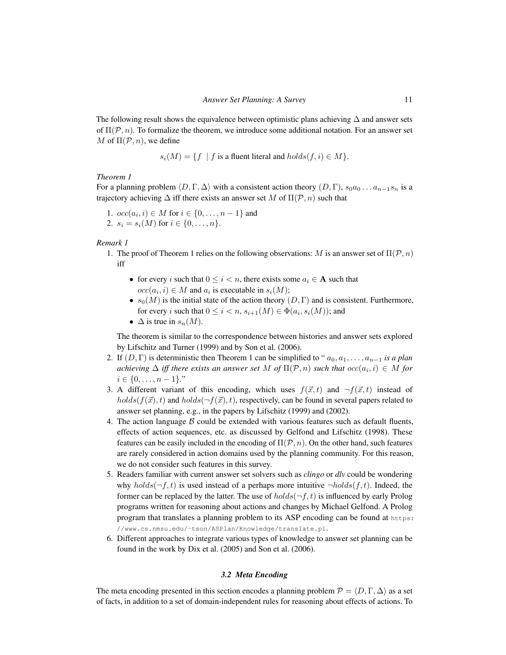The following result shows the equivalence between optimistic plans achieving  $\Delta$  and answer sets of  $\Pi(\mathcal{P}, n)$ . To formalize the theorem, we introduce some additional notation. For an answer set M of  $\Pi(\mathcal{P}, n)$ , we define

$$
s_i(M) = \{ f \mid f \text{ is a fluent literal and } holds(f, i) \in M \}.
$$

# *Theorem 1*

For a planning problem  $\langle D, \Gamma, \Delta \rangle$  with a consistent action theory  $(D, \Gamma)$ ,  $s_0a_0 \dots a_{n-1}s_n$  is a trajectory achieving  $\Delta$  iff there exists an answer set M of  $\Pi(\mathcal{P}, n)$  such that

1.  $occ(a_i, i) \in M$  for  $i \in \{0, ..., n-1\}$  and

2. 
$$
s_i = s_i(M)
$$
 for  $i \in \{0, ..., n\}$ .

# *Remark 1*

- 1. The proof of Theorem 1 relies on the following observations: M is an answer set of  $\Pi(\mathcal{P}, n)$ iff
	- for every i such that  $0 \le i < n$ , there exists some  $a_i \in A$  such that  $occ(a_i, i) \in M$  and  $a_i$  is executable in  $s_i(M)$ ;
	- $s_0(M)$  is the initial state of the action theory  $(D, \Gamma)$  and is consistent. Furthermore, for every i such that  $0 \leq i < n$ ,  $s_{i+1}(M) \in \Phi(a_i, s_i(M))$ ; and
	- $\Delta$  is true in  $s_n(M)$ .

The theorem is similar to the correspondence between histories and answer sets explored by Lifschitz and Turner (1999) and by Son et al. (2006).

- 2. If  $(D, \Gamma)$  is deterministic then Theorem 1 can be simplified to " $a_0, a_1, \ldots, a_{n-1}$  *is a plan achieving*  $\Delta$  *iff there exists an answer set* M *of*  $\Pi(\mathcal{P}, n)$  *such that*  $occ(a_i, i) \in M$  *for*  $i \in \{0, \ldots, n-1\}$ ."
- 3. A different variant of this encoding, which uses  $f(\vec{x}, t)$  and  $\neg f(\vec{x}, t)$  instead of  $holds(f(\vec{x}), t)$  and  $holds(\neg f(\vec{x}), t)$ , respectively, can be found in several papers related to answer set planning, e.g., in the papers by Lifschitz (1999) and (2002).
- 4. The action language  $B$  could be extended with various features such as default fluents, effects of action sequences, etc. as discussed by Gelfond and Lifschitz (1998). These features can be easily included in the encoding of  $\Pi(\mathcal{P}, n)$ . On the other hand, such features are rarely considered in action domains used by the planning community. For this reason, we do not consider such features in this survey.
- 5. Readers familiar with current answer set solvers such as *clingo* or *dlv* could be wondering why  $holds(\neg f, t)$  is used instead of a perhaps more intuitive  $\neg holds(f, t)$ . Indeed, the former can be replaced by the latter. The use of  $holds(\neg f, t)$  is influenced by early Prolog programs written for reasoning about actions and changes by Michael Gelfond. A Prolog program that translates a planning problem to its ASP encoding can be found at https: //www.cs.nmsu.edu/˜tson/ASPlan/Knowledge/translate.pl.
- 6. Different approaches to integrate various types of knowledge to answer set planning can be found in the work by Dix et al. (2005) and Son et al. (2006).

### *3.2 Meta Encoding*

The meta encoding presented in this section encodes a planning problem  $\mathcal{P} = \langle D, \Gamma, \Delta \rangle$  as a set of facts, in addition to a set of domain-independent rules for reasoning about effects of actions. To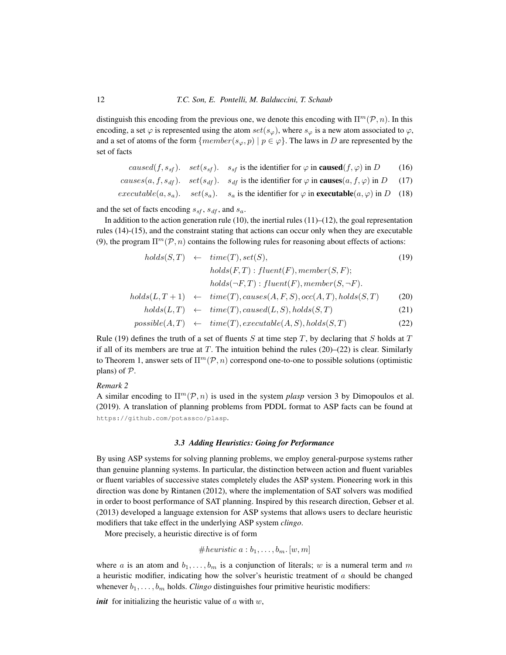distinguish this encoding from the previous one, we denote this encoding with  $\Pi^m(\mathcal{P}, n)$ . In this encoding, a set  $\varphi$  is represented using the atom set( $s_{\varphi}$ ), where  $s_{\varphi}$  is a new atom associated to  $\varphi$ , and a set of atoms of the form  ${member(s_{\varphi}, p) | p \in \varphi}$ . The laws in D are represented by the set of facts

*caused*(
$$
f, s_{sf}
$$
). *set*( $s_{sf}$ ).  $s_{sf}$  is the identifier for  $\varphi$  in **caused**( $f, \varphi$ ) in  $D$  (16)

*causes*(*a*, *f*, *s<sub>df</sub>*). *set*(*s<sub>df</sub>*). *s<sub>df</sub>* is the identifier for 
$$
\varphi
$$
 in **causes**(*a*, *f*,  $\varphi$ ) in *D* (17)

*executable*(
$$
a, s_a
$$
). *set*( $s_a$ ).  $s_a$  is the identifier for  $\varphi$  in **executable**( $a, \varphi$ ) in  $D$  (18)

and the set of facts encoding  $s_{sf}$ ,  $s_{df}$ , and  $s_a$ .

In addition to the action generation rule (10), the inertial rules  $(11)$ –(12), the goal representation rules (14)-(15), and the constraint stating that actions can occur only when they are executable (9), the program  $\Pi^{m}(\mathcal{P}, n)$  contains the following rules for reasoning about effects of actions:

$$
holds(S,T) \leftarrow time(T), set(S),
$$
\n
$$
holds(F,T): fluent(F), member(S,F);
$$
\n
$$
holds(\neg F,T): fluent(F), member(S,\neg F).
$$
\n
$$
holds(L,T+1) \leftarrow time(T), causes(A,F,S), occ(A,T), holds(S,T)
$$
\n
$$
holds(L,T) \leftarrow time(T), caused(L,S), holds(S,T)
$$
\n
$$
(20)
$$
\n
$$
id(A,T) \leftarrow time(T), caused(L,S), holds(S,T)
$$
\n
$$
(21)
$$
\n
$$
(11)
$$

$$
possible(A, T) \leftarrow time(T), executable(A, S), holds(S, T) \tag{22}
$$

Rule (19) defines the truth of a set of fluents S at time step T, by declaring that S holds at T if all of its members are true at T. The intuition behind the rules  $(20)$ – $(22)$  is clear. Similarly to Theorem 1, answer sets of  $\Pi^m(\mathcal{P}, n)$  correspond one-to-one to possible solutions (optimistic plans) of  $P$ .

# *Remark 2*

A similar encoding to  $\Pi^m(\mathcal{P}, n)$  is used in the system *plasp* version 3 by Dimopoulos et al. (2019). A translation of planning problems from PDDL format to ASP facts can be found at https://github.com/potassco/plasp.

# *3.3 Adding Heuristics: Going for Performance*

By using ASP systems for solving planning problems, we employ general-purpose systems rather than genuine planning systems. In particular, the distinction between action and fluent variables or fluent variables of successive states completely eludes the ASP system. Pioneering work in this direction was done by Rintanen (2012), where the implementation of SAT solvers was modified in order to boost performance of SAT planning. Inspired by this research direction, Gebser et al. (2013) developed a language extension for ASP systems that allows users to declare heuristic modifiers that take effect in the underlying ASP system *clingo*.

More precisely, a heuristic directive is of form

#heuristic 
$$
a : b_1, \ldots, b_m
$$
.  $[w, m]$ 

where a is an atom and  $b_1, \ldots, b_m$  is a conjunction of literals; w is a numeral term and m a heuristic modifier, indicating how the solver's heuristic treatment of  $a$  should be changed whenever  $b_1, \ldots, b_m$  holds. *Clingo* distinguishes four primitive heuristic modifiers:

*init* for initializing the heuristic value of  $a$  with  $w$ ,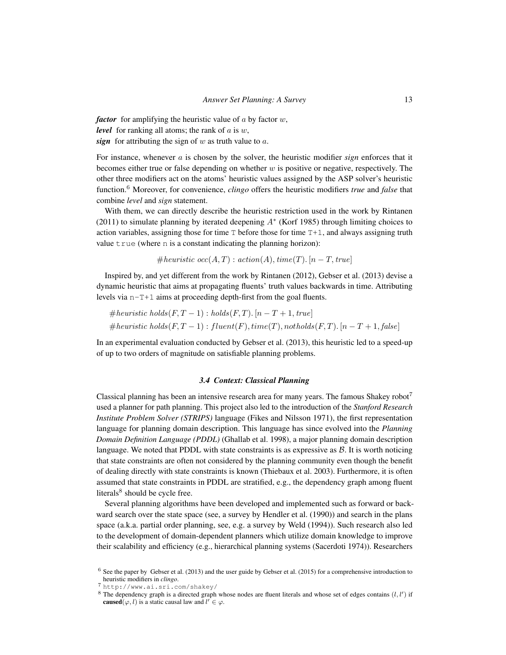*factor* for amplifying the heuristic value of a by factor w, *level* for ranking all atoms; the rank of a is w, *sign* for attributing the sign of  $w$  as truth value to  $a$ .

For instance, whenever a is chosen by the solver, the heuristic modifier *sign* enforces that it becomes either true or false depending on whether  $w$  is positive or negative, respectively. The other three modifiers act on the atoms' heuristic values assigned by the ASP solver's heuristic function.<sup>6</sup> Moreover, for convenience, *clingo* offers the heuristic modifiers *true* and *false* that combine *level* and *sign* statement.

With them, we can directly describe the heuristic restriction used in the work by Rintanen (2011) to simulate planning by iterated deepening  $A^*$  (Korf 1985) through limiting choices to action variables, assigning those for time  $\tau$  before those for time  $T+1$ , and always assigning truth value  $true$  (where n is a constant indicating the planning horizon):

 $\# heuristic\; occ(A,T) : action(A), time(T).[n-T, true]$ 

Inspired by, and yet different from the work by Rintanen (2012), Gebser et al. (2013) devise a dynamic heuristic that aims at propagating fluents' truth values backwards in time. Attributing levels via  $n-T+1$  aims at proceeding depth-first from the goal fluents.

 $\#heuristic\ holds(F, T-1): holds(F, T).$  [n - T + 1, true]  $\#heuristic\ holds(F, T-1): fluent(F), time(T), notholds(F, T).$  [n - T + 1, false]

In an experimental evaluation conducted by Gebser et al. (2013), this heuristic led to a speed-up of up to two orders of magnitude on satisfiable planning problems.

# *3.4 Context: Classical Planning*

Classical planning has been an intensive research area for many years. The famous Shakey robot<sup>7</sup> used a planner for path planning. This project also led to the introduction of the *Stanford Research Institute Problem Solver (STRIPS)* language (Fikes and Nilsson 1971), the first representation language for planning domain description. This language has since evolved into the *Planning Domain Definition Language (PDDL)* (Ghallab et al. 1998), a major planning domain description language. We noted that PDDL with state constraints is as expressive as  $\beta$ . It is worth noticing that state constraints are often not considered by the planning community even though the benefit of dealing directly with state constraints is known (Thiebaux et al. 2003). Furthermore, it is often assumed that state constraints in PDDL are stratified, e.g., the dependency graph among fluent literals<sup>8</sup> should be cycle free.

Several planning algorithms have been developed and implemented such as forward or backward search over the state space (see, a survey by Hendler et al. (1990)) and search in the plans space (a.k.a. partial order planning, see, e.g. a survey by Weld (1994)). Such research also led to the development of domain-dependent planners which utilize domain knowledge to improve their scalability and efficiency (e.g., hierarchical planning systems (Sacerdoti 1974)). Researchers

 $6$  See the paper by Gebser et al. (2013) and the user guide by Gebser et al. (2015) for a comprehensive introduction to heuristic modifiers in *clingo*.

<sup>7</sup> http://www.ai.sri.com/shakey/

 $8$  The dependency graph is a directed graph whose nodes are fluent literals and whose set of edges contains  $(l, l')$  if **caused** $(\varphi, l)$  is a static causal law and  $l' \in \varphi$ .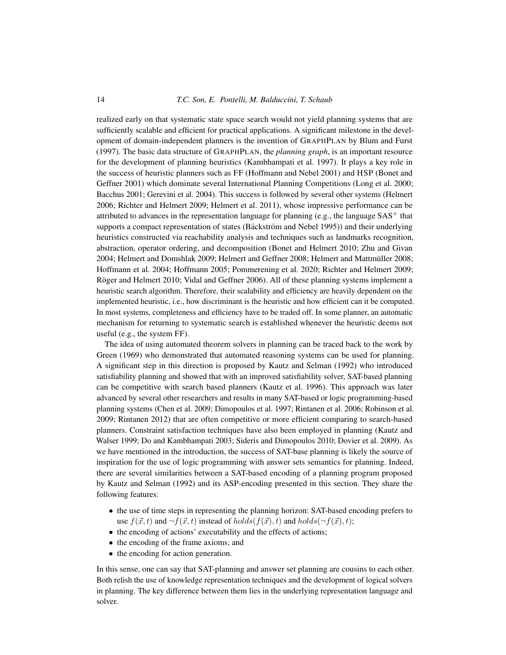realized early on that systematic state space search would not yield planning systems that are sufficiently scalable and efficient for practical applications. A significant milestone in the development of domain-independent planners is the invention of GRAPHPLAN by Blum and Furst (1997). The basic data structure of GRAPHPLAN, the *planning graph*, is an important resource for the development of planning heuristics (Kambhampati et al. 1997). It plays a key role in the success of heuristic planners such as FF (Hoffmann and Nebel 2001) and HSP (Bonet and Geffner 2001) which dominate several International Planning Competitions (Long et al. 2000; Bacchus 2001; Gerevini et al. 2004). This success is followed by several other systems (Helmert 2006; Richter and Helmert 2009; Helmert et al. 2011), whose impressive performance can be attributed to advances in the representation language for planning (e.g., the language  $SAS^+$  that supports a compact representation of states (Bäckström and Nebel 1995)) and their underlying heuristics constructed via reachability analysis and techniques such as landmarks recognition, abstraction, operator ordering, and decomposition (Bonet and Helmert 2010; Zhu and Givan 2004; Helmert and Domshlak 2009; Helmert and Geffner 2008; Helmert and Mattmüller 2008; Hoffmann et al. 2004; Hoffmann 2005; Pommerening et al. 2020; Richter and Helmert 2009; Röger and Helmert 2010; Vidal and Geffner 2006). All of these planning systems implement a heuristic search algorithm. Therefore, their scalability and efficiency are heavily dependent on the implemented heuristic, i.e., how discriminant is the heuristic and how efficient can it be computed. In most systems, completeness and efficiency have to be traded off. In some planner, an automatic mechanism for returning to systematic search is established whenever the heuristic deems not useful (e.g., the system FF).

The idea of using automated theorem solvers in planning can be traced back to the work by Green (1969) who demonstrated that automated reasoning systems can be used for planning. A significant step in this direction is proposed by Kautz and Selman (1992) who introduced satisfiability planning and showed that with an improved satisfiability solver, SAT-based planning can be competitive with search based planners (Kautz et al. 1996). This approach was later advanced by several other researchers and results in many SAT-based or logic programming-based planning systems (Chen et al. 2009; Dimopoulos et al. 1997; Rintanen et al. 2006; Robinson et al. 2009; Rintanen 2012) that are often competitive or more efficient comparing to search-based planners. Constraint satisfaction techniques have also been employed in planning (Kautz and Walser 1999; Do and Kambhampati 2003; Sideris and Dimopoulos 2010; Dovier et al. 2009). As we have mentioned in the introduction, the success of SAT-base planning is likely the source of inspiration for the use of logic programming with answer sets semantics for planning. Indeed, there are several similarities between a SAT-based encoding of a planning program proposed by Kautz and Selman (1992) and its ASP-encoding presented in this section. They share the following features:

- the use of time steps in representing the planning horizon: SAT-based encoding prefers to use  $f(\vec{x}, t)$  and  $\neg f(\vec{x}, t)$  instead of  $holds(f(\vec{x}), t)$  and  $holds(\neg f(\vec{x}), t)$ ;
- the encoding of actions' executability and the effects of actions;
- the encoding of the frame axioms; and
- the encoding for action generation.

In this sense, one can say that SAT-planning and answer set planning are cousins to each other. Both relish the use of knowledge representation techniques and the development of logical solvers in planning. The key difference between them lies in the underlying representation language and solver.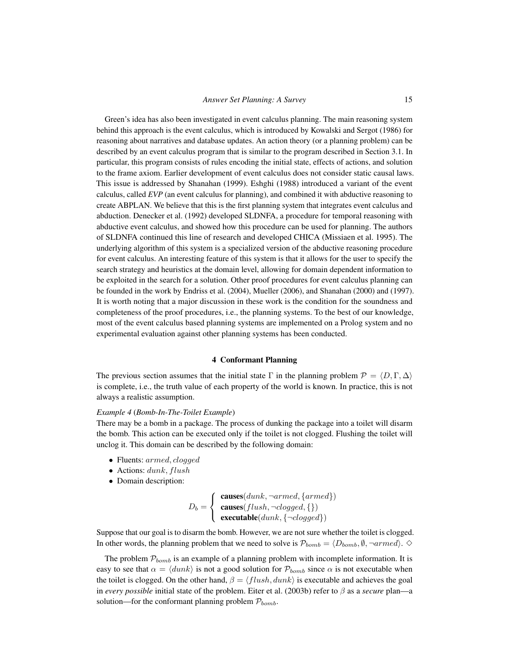# *Answer Set Planning: A Survey* 15

Green's idea has also been investigated in event calculus planning. The main reasoning system behind this approach is the event calculus, which is introduced by Kowalski and Sergot (1986) for reasoning about narratives and database updates. An action theory (or a planning problem) can be described by an event calculus program that is similar to the program described in Section 3.1. In particular, this program consists of rules encoding the initial state, effects of actions, and solution to the frame axiom. Earlier development of event calculus does not consider static causal laws. This issue is addressed by Shanahan (1999). Eshghi (1988) introduced a variant of the event calculus, called *EVP* (an event calculus for planning), and combined it with abductive reasoning to create ABPLAN. We believe that this is the first planning system that integrates event calculus and abduction. Denecker et al. (1992) developed SLDNFA, a procedure for temporal reasoning with abductive event calculus, and showed how this procedure can be used for planning. The authors of SLDNFA continued this line of research and developed CHICA (Missiaen et al. 1995). The underlying algorithm of this system is a specialized version of the abductive reasoning procedure for event calculus. An interesting feature of this system is that it allows for the user to specify the search strategy and heuristics at the domain level, allowing for domain dependent information to be exploited in the search for a solution. Other proof procedures for event calculus planning can be founded in the work by Endriss et al. (2004), Mueller (2006), and Shanahan (2000) and (1997). It is worth noting that a major discussion in these work is the condition for the soundness and completeness of the proof procedures, i.e., the planning systems. To the best of our knowledge, most of the event calculus based planning systems are implemented on a Prolog system and no experimental evaluation against other planning systems has been conducted.

# 4 Conformant Planning

The previous section assumes that the initial state Γ in the planning problem  $\mathcal{P} = \langle D, \Gamma, \Delta \rangle$ is complete, i.e., the truth value of each property of the world is known. In practice, this is not always a realistic assumption.

#### *Example 4* (*Bomb-In-The-Toilet Example*)

There may be a bomb in a package. The process of dunking the package into a toilet will disarm the bomb. This action can be executed only if the toilet is not clogged. Flushing the toilet will unclog it. This domain can be described by the following domain:

- Fluents: armed, clogged
- Actions:  $dunk, flux$
- Domain description:

 $D_b =$  $\sqrt{ }$ J  $\mathcal{L}$ causes $(dunk, \neg armed, \{armed\})$ causes( $flush, \neg clogged, \{\})$ **executable**( $dunk, \{\neg clogged\})$ )

Suppose that our goal is to disarm the bomb. However, we are not sure whether the toilet is clogged. In other words, the planning problem that we need to solve is  $\mathcal{P}_{bomb} = \langle D_{bomb}, \emptyset, \neg \text{armed} \rangle$ .

The problem  $P_{\text{bomb}}$  is an example of a planning problem with incomplete information. It is easy to see that  $\alpha = \langle dunk \rangle$  is not a good solution for  $\mathcal{P}_{bomb}$  since  $\alpha$  is not executable when the toilet is clogged. On the other hand,  $\beta = \langle \text{flux}, \text{dunk} \rangle$  is executable and achieves the goal in *every possible* initial state of the problem. Eiter et al. (2003b) refer to β as a *secure* plan—a solution—for the conformant planning problem  $\mathcal{P}_{\text{bomb}}$ .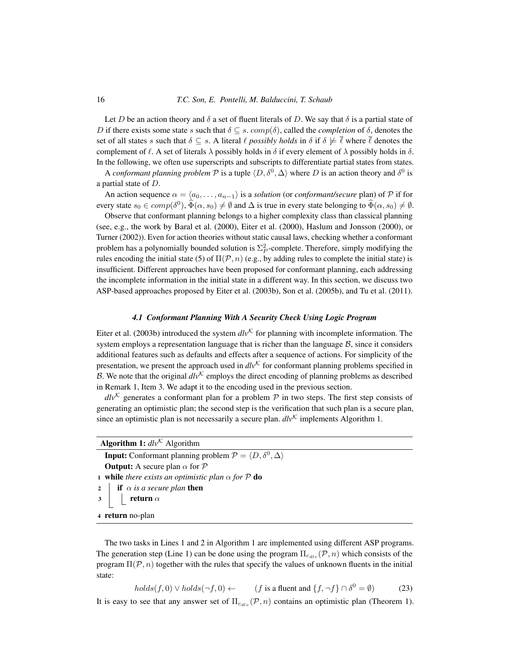Let D be an action theory and  $\delta$  a set of fluent literals of D. We say that  $\delta$  is a partial state of D if there exists some state s such that  $\delta \subseteq s$ .  $comp(\delta)$ , called the *completion* of  $\delta$ , denotes the set of all states s such that  $\delta \subseteq s$ . A literal  $\ell$  *possibly holds* in  $\delta$  if  $\delta \not\models \overline{\ell}$  where  $\overline{\ell}$  denotes the complement of  $\ell$ . A set of literals  $\lambda$  possibly holds in  $\delta$  if every element of  $\lambda$  possibly holds in  $\delta$ . In the following, we often use superscripts and subscripts to differentiate partial states from states.

A *conformant planning problem*  $P$  is a tuple  $\langle D, \delta^0, \Delta \rangle$  where D is an action theory and  $\delta^0$  is a partial state of D.

An action sequence  $\alpha = \langle a_0, \ldots, a_{n-1} \rangle$  is a *solution* (or *conformant/secure* plan) of P if for every state  $s_0 \in comp(\delta^0)$ ,  $\hat{\Phi}(\alpha, s_0) \neq \emptyset$  and  $\Delta$  is true in every state belonging to  $\hat{\Phi}(\alpha, s_0) \neq \emptyset$ .

Observe that conformant planning belongs to a higher complexity class than classical planning (see, e.g., the work by Baral et al. (2000), Eiter et al. (2000), Haslum and Jonsson (2000), or Turner (2002)). Even for action theories without static causal laws, checking whether a conformant problem has a polynomially bounded solution is  $\Sigma_P^2$ -complete. Therefore, simply modifying the rules encoding the initial state (5) of  $\Pi(\mathcal{P}, n)$  (e.g., by adding rules to complete the initial state) is insufficient. Different approaches have been proposed for conformant planning, each addressing the incomplete information in the initial state in a different way. In this section, we discuss two ASP-based approaches proposed by Eiter et al. (2003b), Son et al. (2005b), and Tu et al. (2011).

# *4.1 Conformant Planning With A Security Check Using Logic Program*

Eiter et al. (2003b) introduced the system  $dlv<sup>K</sup>$  for planning with incomplete information. The system employs a representation language that is richer than the language  $\beta$ , since it considers additional features such as defaults and effects after a sequence of actions. For simplicity of the presentation, we present the approach used in  $d\nu^{\mathcal{K}}$  for conformant planning problems specified in B. We note that the original  $dlv^{\mathcal{K}}$  employs the direct encoding of planning problems as described in Remark 1, Item 3. We adapt it to the encoding used in the previous section.

 $d\nu^{\mathcal{K}}$  generates a conformant plan for a problem  $\mathcal P$  in two steps. The first step consists of generating an optimistic plan; the second step is the verification that such plan is a secure plan, since an optimistic plan is not necessarily a secure plan.  $d\mathbf{v}^{\mathcal{K}}$  implements Algorithm 1.

| <b>Algorithm 1:</b> $dlv^{\mathcal{K}}$ Algorithm                                   |
|-------------------------------------------------------------------------------------|
| <b>Input:</b> Conformant planning problem $P = \langle D, \delta^0, \Delta \rangle$ |
| <b>Output:</b> A secure plan $\alpha$ for $\mathcal{P}$                             |
| <b>1</b> while there exists an optimistic plan $\alpha$ for P do                    |
| 2 <b>if</b> $\alpha$ is a secure plan then                                          |
| $\begin{array}{c c} 3 & \end{array}$ return $\alpha$                                |
| 4 <b>return</b> no-plan                                                             |

The two tasks in Lines 1 and 2 in Algorithm 1 are implemented using different ASP programs. The generation step (Line 1) can be done using the program  $\Pi_{c_{div}}(\mathcal{P}, n)$  which consists of the program  $\Pi(\mathcal{P}, n)$  together with the rules that specify the values of unknown fluents in the initial state:

 $holds(f, 0) \vee holds(\neg f, 0) \leftarrow$ (*f* is a fluent and  $\{f, \neg f\} \cap \delta^0 = \emptyset$ ) (23) It is easy to see that any answer set of  $\Pi_{\text{Cat}_v}(\mathcal{P}, n)$  contains an optimistic plan (Theorem 1).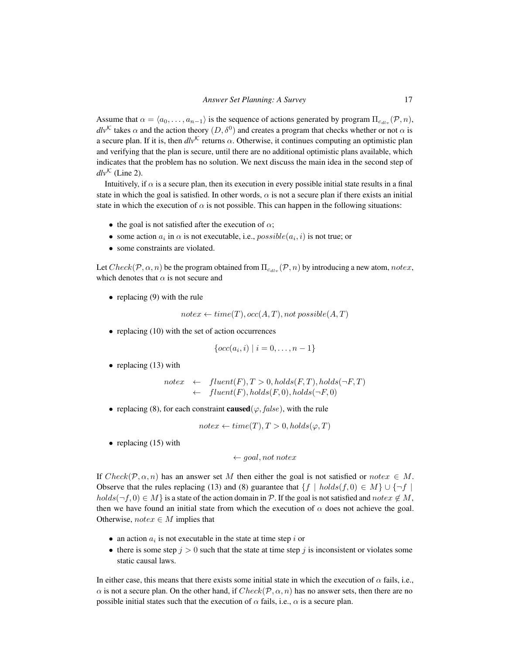Assume that  $\alpha = \langle a_0, \ldots, a_{n-1} \rangle$  is the sequence of actions generated by program  $\Pi_{c_n} (\mathcal{P}, n)$ ,  $d\mathbf{l}v^{\mathcal{K}}$  takes  $\alpha$  and the action theory  $(D, \delta^0)$  and creates a program that checks whether or not  $\alpha$  is a secure plan. If it is, then  $dlv<sup>K</sup>$  returns  $\alpha$ . Otherwise, it continues computing an optimistic plan and verifying that the plan is secure, until there are no additional optimistic plans available, which indicates that the problem has no solution. We next discuss the main idea in the second step of  $dlv^{\mathcal{K}}$  (Line 2).

Intuitively, if  $\alpha$  is a secure plan, then its execution in every possible initial state results in a final state in which the goal is satisfied. In other words,  $\alpha$  is not a secure plan if there exists an initial state in which the execution of  $\alpha$  is not possible. This can happen in the following situations:

- the goal is not satisfied after the execution of  $\alpha$ ;
- some action  $a_i$  in  $\alpha$  is not executable, i.e.,  $possible(a_i, i)$  is not true; or
- some constraints are violated.

Let  $Check(\mathcal{P}, \alpha, n)$  be the program obtained from  $\Pi_{cal}(\mathcal{P}, n)$  by introducing a new atom, notex, which denotes that  $\alpha$  is not secure and

• replacing  $(9)$  with the rule

$$
notex \leftarrow time(T), occ(A, T), not possible(A, T)
$$

• replacing (10) with the set of action occurrences

$$
\{occ(a_i, i) \mid i = 0, \ldots, n-1\}
$$

• replacing  $(13)$  with

$$
notex \leftarrow fluent(F), T > 0, holds(F, T), holds(\neg F, T) \leftarrow fluent(F), holds(F, 0), holds(\neg F, 0)
$$

• replacing (8), for each constraint **caused**( $\varphi$ , *false*), with the rule

$$
notex \leftarrow time(T), T > 0, holds(\varphi, T)
$$

• replacing (15) with

$$
\leftarrow goal, not\; not
$$

If  $Check(\mathcal{P}, \alpha, n)$  has an answer set M then either the goal is not satisfied or  $note \in M$ . Observe that the rules replacing (13) and (8) guarantee that  $\{f \mid holds(f, 0) \in M\} \cup \{\neg f \mid$  $holds(\neg f, 0) \in M$  is a state of the action domain in P. If the goal is not satisfied and note  $x \notin M$ , then we have found an initial state from which the execution of  $\alpha$  does not achieve the goal. Otherwise,  $notex \in M$  implies that

- an action  $a_i$  is not executable in the state at time step i or
- there is some step  $j > 0$  such that the state at time step j is inconsistent or violates some static causal laws.

In either case, this means that there exists some initial state in which the execution of  $\alpha$  fails, i.e.,  $\alpha$  is not a secure plan. On the other hand, if  $Check(\mathcal{P}, \alpha, n)$  has no answer sets, then there are no possible initial states such that the execution of  $\alpha$  fails, i.e.,  $\alpha$  is a secure plan.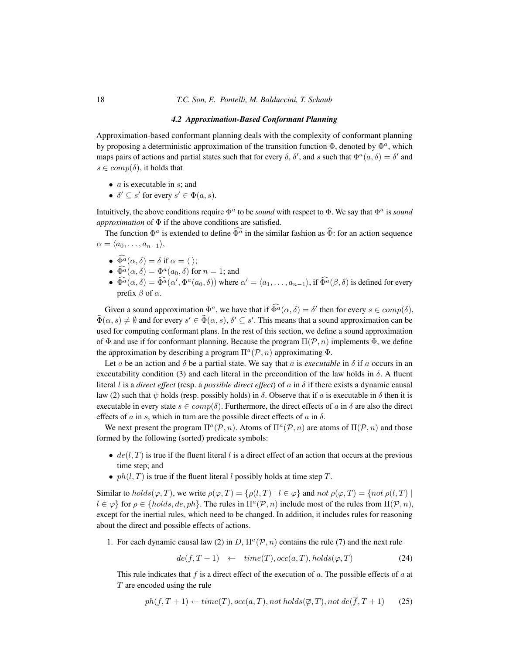18 *T.C. Son, E. Pontelli, M. Balduccini, T. Schaub*

#### *4.2 Approximation-Based Conformant Planning*

Approximation-based conformant planning deals with the complexity of conformant planning by proposing a deterministic approximation of the transition function  $\Phi$ , denoted by  $\Phi^a$ , which maps pairs of actions and partial states such that for every  $\delta$ ,  $\delta'$ , and s such that  $\Phi^a(a, \delta) = \delta'$  and  $s \in comp(\delta)$ , it holds that

- $a$  is executable in  $s$ ; and
- $\delta' \subseteq s'$  for every  $s' \in \Phi(a, s)$ .

Intuitively, the above conditions require  $\Phi^a$  to be *sound* with respect to  $\Phi$ . We say that  $\Phi^a$  is *sound approximation* of Φ if the above conditions are satisfied.

The function  $\Phi^a$  is extended to define  $\widehat{\Phi}^{\widehat{a}}$  in the similar fashion as  $\widehat{\Phi}$ : for an action sequence  $\alpha = \langle a_0, \ldots, a_{n-1} \rangle,$ 

- $\widehat{\Phi}^{\widehat{a}}(\alpha,\delta) = \delta$  if  $\alpha = \langle \ \rangle;$
- $\widehat{\Phi}^{\widehat{a}}(\alpha,\delta) = \Phi^a(a_0,\delta)$  for  $n = 1$ ; and
- $\bullet$   $\widehat{\Phi}^{\widehat{a}}(\alpha,\delta) = \widehat{\Phi}^{\widehat{a}}(\alpha',\Phi^a(a_0,\delta))$  where  $\alpha' = \langle a_1,\ldots,a_{n-1}\rangle$ , if  $\widehat{\Phi}^{\widehat{a}}(\beta,\delta)$  is defined for every prefix  $\beta$  of  $\alpha$ .

Given a sound approximation  $\Phi^a$ , we have that if  $\widehat{\Phi^a}(\alpha, \delta) = \delta'$  then for every  $s \in comp(\delta)$ ,  $\widehat{\Phi}(\alpha, s) \neq \emptyset$  and for every  $s' \in \widehat{\Phi}(\alpha, s)$ ,  $\delta' \subseteq s'$ . This means that a sound approximation can be used for computing conformant plans. In the rest of this section, we define a sound approximation of  $\Phi$  and use if for conformant planning. Because the program  $\Pi(\mathcal{P}, n)$  implements  $\Phi$ , we define the approximation by describing a program  $\Pi^a(\mathcal{P}, n)$  approximating  $\Phi$ .

Let a be an action and  $\delta$  be a partial state. We say that a is *executable* in  $\delta$  if a occurs in an executability condition (3) and each literal in the precondition of the law holds in  $\delta$ . A fluent literal l is a *direct effect* (resp. a *possible direct effect*) of a in  $\delta$  if there exists a dynamic causal law (2) such that  $\psi$  holds (resp. possibly holds) in  $\delta$ . Observe that if a is executable in  $\delta$  then it is executable in every state  $s \in comp(\delta)$ . Furthermore, the direct effects of a in  $\delta$  are also the direct effects of a in s, which in turn are the possible direct effects of a in  $\delta$ .

We next present the program  $\Pi^a(\mathcal{P}, n)$ . Atoms of  $\Pi^a(\mathcal{P}, n)$  are atoms of  $\Pi(\mathcal{P}, n)$  and those formed by the following (sorted) predicate symbols:

- $de(1, T)$  is true if the fluent literal l is a direct effect of an action that occurs at the previous time step; and
- $ph(l, T)$  is true if the fluent literal l possibly holds at time step T.

Similar to holds( $\varphi, T$ ), we write  $\rho(\varphi, T) = \{\rho(l, T) | l \in \varphi\}$  and not  $\rho(\varphi, T) = \{\rho(l, T) | l \in \varphi\}$  $l \in \varphi$  for  $\rho \in \{holds, de, ph\}$ . The rules in  $\Pi^a(\mathcal{P}, n)$  include most of the rules from  $\Pi(\mathcal{P}, n)$ , except for the inertial rules, which need to be changed. In addition, it includes rules for reasoning about the direct and possible effects of actions.

1. For each dynamic causal law (2) in D,  $\Pi^a(\mathcal{P}, n)$  contains the rule (7) and the next rule

$$
de(f, T+1) \leftarrow time(T), occ(a, T), holds(\varphi, T) \tag{24}
$$

This rule indicates that f is a direct effect of the execution of a. The possible effects of a at T are encoded using the rule

$$
ph(f, T+1) \leftarrow time(T), occ(a, T), not holds(\overline{\varphi}, T), not \ de(\overline{f}, T+1)
$$
 (25)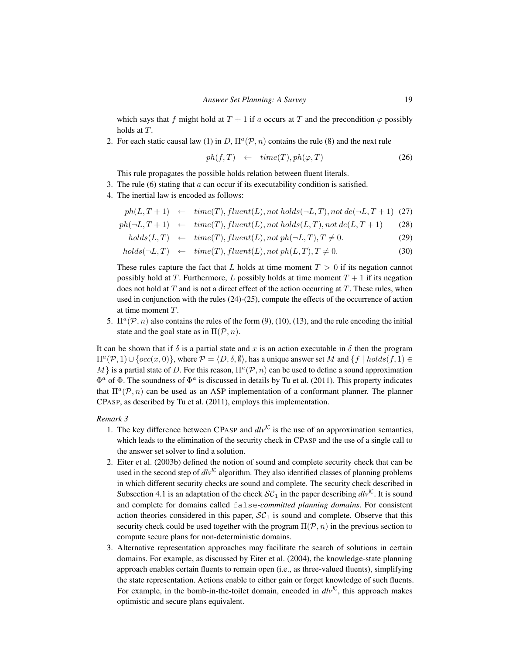which says that f might hold at  $T + 1$  if a occurs at T and the precondition  $\varphi$  possibly holds at T.

2. For each static causal law (1) in D,  $\Pi^a(\mathcal{P}, n)$  contains the rule (8) and the next rule

$$
ph(f, T) \leftarrow time(T), ph(\varphi, T) \tag{26}
$$

This rule propagates the possible holds relation between fluent literals.

- 3. The rule (6) stating that a can occur if its executability condition is satisfied.
- 4. The inertial law is encoded as follows:

$$
ph(L, T+1) \leftarrow time(T), fluent(L), not holds(\neg L, T), not de(\neg L, T+1) (27)
$$

$$
ph(\neg L, T+1) \quad \leftarrow \quad time(T), fluent(L), not \; holds(L, T), not \; de(L, T+1) \tag{28}
$$

$$
holds(L, T) \leftarrow time(T), fluent(L), not\,ph(\neg L, T), T \neq 0. \tag{29}
$$

$$
holds(\neg L, T) \leftarrow time(T), fluent(L), not\,ph(L, T), T \neq 0. \tag{30}
$$

These rules capture the fact that L holds at time moment  $T > 0$  if its negation cannot possibly hold at T. Furthermore, L possibly holds at time moment  $T + 1$  if its negation does not hold at  $T$  and is not a direct effect of the action occurring at  $T$ . These rules, when used in conjunction with the rules (24)-(25), compute the effects of the occurrence of action at time moment T.

5.  $\Pi^a(\mathcal{P}, n)$  also contains the rules of the form (9), (10), (13), and the rule encoding the initial state and the goal state as in  $\Pi(\mathcal{P}, n)$ .

It can be shown that if  $\delta$  is a partial state and x is an action executable in  $\delta$  then the program  $\Pi^a(\mathcal{P}, 1) \cup \{occ(x, 0)\}\$ , where  $\mathcal{P} = \langle D, \delta, \emptyset \rangle$ , has a unique answer set M and  $\{f \mid holds(f, 1) \in$ M is a partial state of D. For this reason,  $\Pi^a(\mathcal{P}, n)$  can be used to define a sound approximation  $\Phi^a$  of  $\Phi$ . The soundness of  $\Phi^a$  is discussed in details by Tu et al. (2011). This property indicates that  $\Pi^a(\mathcal{P}, n)$  can be used as an ASP implementation of a conformant planner. The planner CPASP, as described by Tu et al. (2011), employs this implementation.

#### *Remark 3*

- 1. The key difference between CPASP and  $dlv<sup>K</sup>$  is the use of an approximation semantics, which leads to the elimination of the security check in CPASP and the use of a single call to the answer set solver to find a solution.
- 2. Eiter et al. (2003b) defined the notion of sound and complete security check that can be used in the second step of  $d\mathbf{w}^k$  algorithm. They also identified classes of planning problems in which different security checks are sound and complete. The security check described in Subsection 4.1 is an adaptation of the check  $\mathcal{SC}_1$  in the paper describing  $dlv^{\mathcal{K}}$ . It is sound and complete for domains called false*-committed planning domains*. For consistent action theories considered in this paper,  $SC<sub>1</sub>$  is sound and complete. Observe that this security check could be used together with the program  $\Pi(\mathcal{P}, n)$  in the previous section to compute secure plans for non-deterministic domains.
- 3. Alternative representation approaches may facilitate the search of solutions in certain domains. For example, as discussed by Eiter et al. (2004), the knowledge-state planning approach enables certain fluents to remain open (i.e., as three-valued fluents), simplifying the state representation. Actions enable to either gain or forget knowledge of such fluents. For example, in the bomb-in-the-toilet domain, encoded in  $dlv<sup>K</sup>$ , this approach makes optimistic and secure plans equivalent.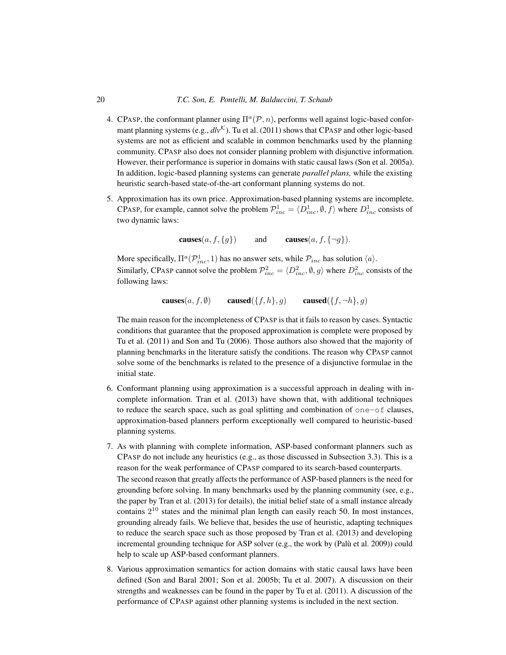- 4. CPASP, the conformant planner using  $\Pi^a(\mathcal{P}, n)$ , performs well against logic-based conformant planning systems (e.g.,  $dlv^{\mathcal{K}}$ ). Tu et al. (2011) shows that CPASP and other logic-based systems are not as efficient and scalable in common benchmarks used by the planning community. CPASP also does not consider planning problem with disjunctive information. However, their performance is superior in domains with static causal laws (Son et al. 2005a). In addition, logic-based planning systems can generate *parallel plans,* while the existing heuristic search-based state-of-the-art conformant planning systems do not.
- 5. Approximation has its own price. Approximation-based planning systems are incomplete. CPASP, for example, cannot solve the problem  $\mathcal{P}^1_{inc} = \langle D^1_{inc}, \emptyset, f \rangle$  where  $D^1_{inc}$  consists of two dynamic laws:

**causes** $(a, f, \{g\})$  and **causes** $(a, f, \{\neg g\}).$ 

More specifically,  $\Pi^a(\mathcal{P}_{inc}^1, 1)$  has no answer sets, while  $\mathcal{P}_{inc}$  has solution  $\langle a \rangle$ . Similarly, CPASP cannot solve the problem  $\mathcal{P}_{inc}^2 = \langle D_{inc}^2, \emptyset, g \rangle$  where  $D_{inc}^2$  consists of the following laws:

causes  $(a, f, \emptyset)$  caused  $(\{f, h\}, g)$  caused  $(\{f, \neg h\}, g)$ 

The main reason for the incompleteness of CPASP is that it fails to reason by cases. Syntactic conditions that guarantee that the proposed approximation is complete were proposed by Tu et al. (2011) and Son and Tu (2006). Those authors also showed that the majority of planning benchmarks in the literature satisfy the conditions. The reason why CPASP cannot solve some of the benchmarks is related to the presence of a disjunctive formulae in the initial state.

- 6. Conformant planning using approximation is a successful approach in dealing with incomplete information. Tran et al. (2013) have shown that, with additional techniques to reduce the search space, such as goal splitting and combination of  $one-of$  clauses, approximation-based planners perform exceptionally well compared to heuristic-based planning systems.
- 7. As with planning with complete information, ASP-based conformant planners such as CPASP do not include any heuristics (e.g., as those discussed in Subsection 3.3). This is a reason for the weak performance of CPASP compared to its search-based counterparts. The second reason that greatly affects the performance of ASP-based planners is the need for grounding before solving. In many benchmarks used by the planning community (see, e.g., the paper by Tran et al. (2013) for details), the initial belief state of a small instance already contains  $2^{10}$  states and the minimal plan length can easily reach 50. In most instances, grounding already fails. We believe that, besides the use of heuristic, adapting techniques to reduce the search space such as those proposed by Tran et al. (2013) and developing incremental grounding technique for ASP solver (e.g., the work by (Palu et al. 2009)) could help to scale up ASP-based conformant planners.
- 8. Various approximation semantics for action domains with static causal laws have been defined (Son and Baral 2001; Son et al. 2005b; Tu et al. 2007). A discussion on their strengths and weaknesses can be found in the paper by Tu et al. (2011). A discussion of the performance of CPASP against other planning systems is included in the next section.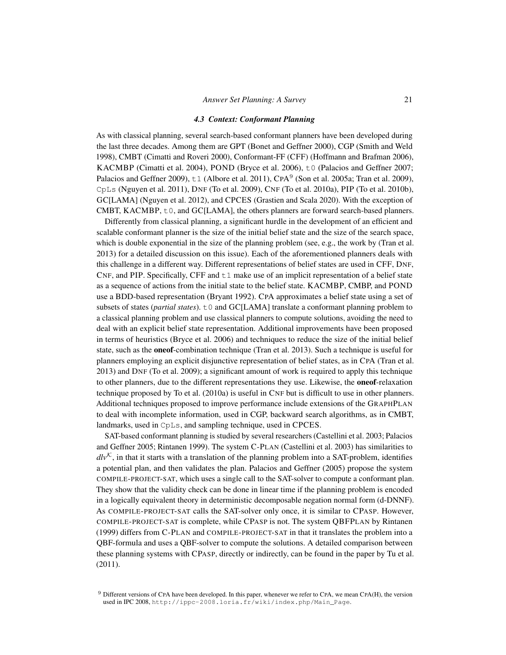#### *4.3 Context: Conformant Planning*

As with classical planning, several search-based conformant planners have been developed during the last three decades. Among them are GPT (Bonet and Geffner 2000), CGP (Smith and Weld 1998), CMBT (Cimatti and Roveri 2000), Conformant-FF (CFF) (Hoffmann and Brafman 2006), KACMBP (Cimatti et al. 2004), POND (Bryce et al. 2006),  $\pm 0$  (Palacios and Geffner 2007; Palacios and Geffner 2009),  $\text{\text{t1}}$  (Albore et al. 2011), CPA<sup>9</sup> (Son et al. 2005a; Tran et al. 2009), CpLs (Nguyen et al. 2011), DNF (To et al. 2009), CNF (To et al. 2010a), PIP (To et al. 2010b), GC[LAMA] (Nguyen et al. 2012), and CPCES (Grastien and Scala 2020). With the exception of CMBT,  $KACMBP$ ,  $\pm 0$ , and  $GCLAMA$ , the others planners are forward search-based planners.

Differently from classical planning, a significant hurdle in the development of an efficient and scalable conformant planner is the size of the initial belief state and the size of the search space, which is double exponential in the size of the planning problem (see, e.g., the work by (Tran et al. 2013) for a detailed discussion on this issue). Each of the aforementioned planners deals with this challenge in a different way. Different representations of belief states are used in CFF, DNF, CNF, and PIP. Specifically, CFF and  $t_1$  make use of an implicit representation of a belief state as a sequence of actions from the initial state to the belief state. KACMBP, CMBP, and POND use a BDD-based representation (Bryant 1992). CPA approximates a belief state using a set of subsets of states (*partial states*).  $\pm 0$  and GC[LAMA] translate a conformant planning problem to a classical planning problem and use classical planners to compute solutions, avoiding the need to deal with an explicit belief state representation. Additional improvements have been proposed in terms of heuristics (Bryce et al. 2006) and techniques to reduce the size of the initial belief state, such as the oneof-combination technique (Tran et al. 2013). Such a technique is useful for planners employing an explicit disjunctive representation of belief states, as in CPA (Tran et al. 2013) and DNF (To et al. 2009); a significant amount of work is required to apply this technique to other planners, due to the different representations they use. Likewise, the oneof-relaxation technique proposed by To et al. (2010a) is useful in CNF but is difficult to use in other planners. Additional techniques proposed to improve performance include extensions of the GRAPHPLAN to deal with incomplete information, used in CGP, backward search algorithms, as in CMBT, landmarks, used in CpLs, and sampling technique, used in CPCES.

SAT-based conformant planning is studied by several researchers (Castellini et al. 2003; Palacios and Geffner 2005; Rintanen 1999). The system C-PLAN (Castellini et al. 2003) has similarities to  $d\nu^{K}$ , in that it starts with a translation of the planning problem into a SAT-problem, identifies a potential plan, and then validates the plan. Palacios and Geffner (2005) propose the system COMPILE-PROJECT-SAT, which uses a single call to the SAT-solver to compute a conformant plan. They show that the validity check can be done in linear time if the planning problem is encoded in a logically equivalent theory in deterministic decomposable negation normal form (d-DNNF). As COMPILE-PROJECT-SAT calls the SAT-solver only once, it is similar to CPASP. However, COMPILE-PROJECT-SAT is complete, while CPASP is not. The system QBFPLAN by Rintanen (1999) differs from C-PLAN and COMPILE-PROJECT-SAT in that it translates the problem into a QBF-formula and uses a QBF-solver to compute the solutions. A detailed comparison between these planning systems with CPASP, directly or indirectly, can be found in the paper by Tu et al. (2011).

<sup>9</sup> Different versions of CPA have been developed. In this paper, whenever we refer to CPA, we mean CPA(H), the version used in IPC 2008, http://ippc-2008.loria.fr/wiki/index.php/Main\_Page.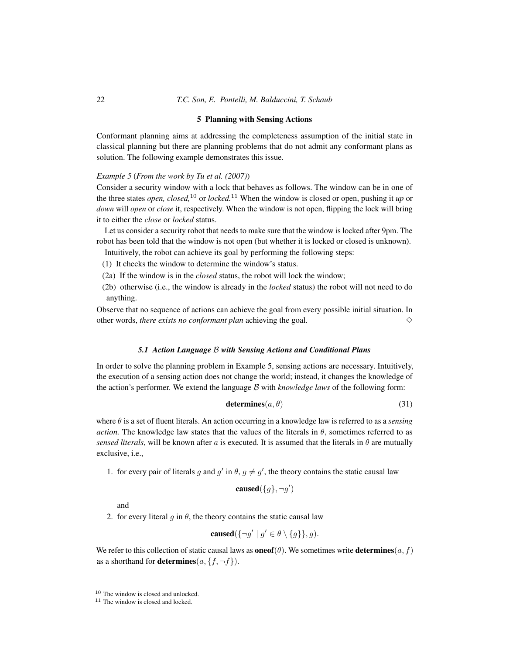# 22 *T.C. Son, E. Pontelli, M. Balduccini, T. Schaub*

#### 5 Planning with Sensing Actions

Conformant planning aims at addressing the completeness assumption of the initial state in classical planning but there are planning problems that do not admit any conformant plans as solution. The following example demonstrates this issue.

# *Example 5* (*From the work by Tu et al. (2007)*)

Consider a security window with a lock that behaves as follows. The window can be in one of the three states *open, closed,*<sup>10</sup> or *locked.*<sup>11</sup> When the window is closed or open, pushing it *up* or *down* will *open* or *close* it, respectively. When the window is not open, flipping the lock will bring it to either the *close* or *locked* status.

Let us consider a security robot that needs to make sure that the window is locked after 9pm. The robot has been told that the window is not open (but whether it is locked or closed is unknown).

Intuitively, the robot can achieve its goal by performing the following steps:

(1) It checks the window to determine the window's status.

- (2a) If the window is in the *closed* status, the robot will lock the window;
- (2b) otherwise (i.e., the window is already in the *locked* status) the robot will not need to do anything.

Observe that no sequence of actions can achieve the goal from every possible initial situation. In other words, *there exists no conformant plan* achieving the goal.  $\diamondsuit$ 

# *5.1 Action Language* B *with Sensing Actions and Conditional Plans*

In order to solve the planning problem in Example 5, sensing actions are necessary. Intuitively, the execution of a sensing action does not change the world; instead, it changes the knowledge of the action's performer. We extend the language B with *knowledge laws* of the following form:

determines
$$
(a, \theta)
$$
 (31)

where  $\theta$  is a set of fluent literals. An action occurring in a knowledge law is referred to as a *sensing action*. The knowledge law states that the values of the literals in  $\theta$ , sometimes referred to as *sensed literals*, will be known after a is executed. It is assumed that the literals in  $\theta$  are mutually exclusive, i.e.,

1. for every pair of literals g and  $g'$  in  $\theta$ ,  $g \neq g'$ , the theory contains the static causal law

caused(
$$
\{g\}, \neg g'
$$
)

and

2. for every literal g in  $\theta$ , the theory contains the static causal law

**caused**
$$
({\neg g' | g' \in \theta \setminus \{g\}}, g)
$$
.

We refer to this collection of static causal laws as **one of**( $\theta$ ). We sometimes write **determines** $(a, f)$ as a shorthand for **determines** $(a, \{f, \neg f\})$ .

<sup>&</sup>lt;sup>10</sup> The window is closed and unlocked.

<sup>&</sup>lt;sup>11</sup> The window is closed and locked.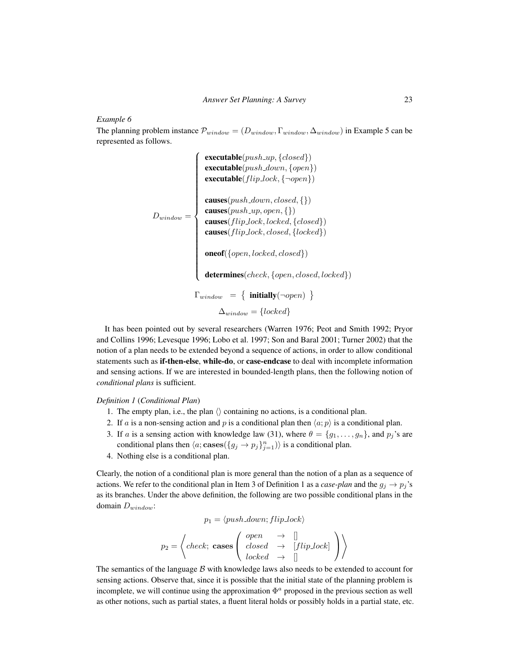*Example 6*

The planning problem instance  $\mathcal{P}_{window} = (D_{window}, \Gamma_{window}, \Delta_{window})$  in Example 5 can be represented as follows.

> $D_{window} =$  $\left\{$  executable(*push\_up*, {*closed*})  $\begin{array}{c} \hline \end{array}$  $\begin{array}{c} \hline \end{array}$  ${\bf executeable}(push\_down, \{open\})$ **executable**( $flip\_lock, \{\neg open\})$  $causes(push\_down, closed, \{\})$ causes $(push\_up, open, \{\})$  $causes(flip\_lock, locked, \{closed\})$  $causes(flip\_lock, closed, \{locked\})$  $\textbf{oneof}(\{open, locked, closed\})$  $\textbf{oneof}(\{open, locked, closed\})$ <br>determines $(check, \{open, closed, locked\})$  $\Gamma_{window} = \{ \text{ initially}(\neg open) \}$

> > $\Delta_{window} = \{locked\}$

It has been pointed out by several researchers (Warren 1976; Peot and Smith 1992; Pryor and Collins 1996; Levesque 1996; Lobo et al. 1997; Son and Baral 2001; Turner 2002) that the notion of a plan needs to be extended beyond a sequence of actions, in order to allow conditional statements such as **if-then-else**, while-do, or case-endcase to deal with incomplete information and sensing actions. If we are interested in bounded-length plans, then the following notion of *conditional plans* is sufficient.

*Definition 1* (*Conditional Plan*)

- 1. The empty plan, i.e., the plan  $\langle \rangle$  containing no actions, is a conditional plan.
- 2. If a is a non-sensing action and p is a conditional plan then  $\langle a; p \rangle$  is a conditional plan.
- 3. If a is a sensing action with knowledge law (31), where  $\theta = \{g_1, \ldots, g_n\}$ , and  $p_j$ 's are
- conditional plans then  $\langle a; \text{cases}(\lbrace g_j \to p_j \rbrace_{j=1}^n) \rangle$  is a conditional plan.
- 4. Nothing else is a conditional plan.

Clearly, the notion of a conditional plan is more general than the notion of a plan as a sequence of actions. We refer to the conditional plan in Item 3 of Definition 1 as a *case-plan* and the  $g_i \rightarrow p_i$ 's as its branches. Under the above definition, the following are two possible conditional plans in the domain  $D_{window}$ :

$$
p_1 = \langle push\_down; flip\_lock \rangle
$$

$$
p_2 = \left\langle check; \ \textbf{cases} \begin{pmatrix} open & \rightarrow & [] \\ closed & \rightarrow & [flip\_lock] \\ locked & \rightarrow & [] \end{pmatrix} \right\rangle
$$

The semantics of the language  $\beta$  with knowledge laws also needs to be extended to account for sensing actions. Observe that, since it is possible that the initial state of the planning problem is incomplete, we will continue using the approximation  $\Phi^a$  proposed in the previous section as well as other notions, such as partial states, a fluent literal holds or possibly holds in a partial state, etc.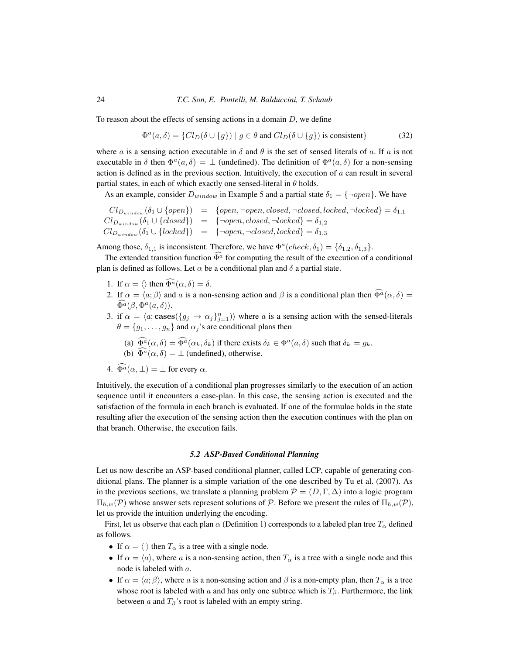To reason about the effects of sensing actions in a domain  $D$ , we define

$$
\Phi^{a}(a,\delta) = \{Cl_D(\delta \cup \{g\}) \mid g \in \theta \text{ and } Cl_D(\delta \cup \{g\}) \text{ is consistent}\}\
$$
 (32)

where a is a sensing action executable in  $\delta$  and  $\theta$  is the set of sensed literals of a. If a is not executable in  $\delta$  then  $\Phi^a(a,\delta) = \bot$  (undefined). The definition of  $\Phi^a(a,\delta)$  for a non-sensing action is defined as in the previous section. Intuitively, the execution of  $a$  can result in several partial states, in each of which exactly one sensed-literal in  $\theta$  holds.

As an example, consider  $D_{window}$  in Example 5 and a partial state  $\delta_1 = {\neg open}$ . We have

$$
Cl_{D_{window}}(\delta_1 \cup \{open\}) = \{open, \neg open, closed, \neg closed, locked, \neg locked\} = \delta_{1,1}
$$
  
\n
$$
Cl_{D_{window}}(\delta_1 \cup \{closed\}) = \{\neg open, closed, \neg locked\} = \delta_{1,2}
$$
  
\n
$$
Cl_{D_{window}}(\delta_1 \cup \{locked\}) = \{\neg open, closed, locked\} = \delta_{1,3}
$$

Among those,  $\delta_{1,1}$  is inconsistent. Therefore, we have  $\Phi^a(check, \delta_1) = {\delta_{1,2}, \delta_{1,3}}$ .

The extended transition function  $\widehat{\Phi}^{\widehat{a}}$  for computing the result of the execution of a conditional plan is defined as follows. Let  $\alpha$  be a conditional plan and  $\delta$  a partial state.

- 1. If  $\alpha = \langle \rangle$  then  $\widehat{\Phi}^{\alpha}(\alpha, \delta) = \delta$ .
- 2. If  $\alpha = \langle a; \beta \rangle$  and a is a non-sensing action and  $\beta$  is a conditional plan then  $\widehat{\Phi}^{\widehat{a}}(\alpha, \delta)$  =  $\widehat{\Phi}^{\widehat{a}}(\beta, \Phi^{a}(a, \delta)).$
- 3. if  $\alpha = \langle a; \text{cases}(\lbrace g_j \to \alpha_j \rbrace_{j=1}^n) \rangle$  where a is a sensing action with the sensed-literals  $\theta = \{g_1, \ldots, g_n\}$  and  $\alpha_i$ 's are conditional plans then
	- (a)  $\widehat{\Phi}^{\widehat{a}}(\alpha,\delta) = \widehat{\Phi}^{\widehat{a}}(\alpha_k,\delta_k)$  if there exists  $\delta_k \in \Phi^a(a,\delta)$  such that  $\delta_k \models g_k$ . (b)  $\widehat{\Phi}^{\widehat{a}}(\alpha,\delta) = \bot$  (undefined), otherwise.

4. 
$$
\tilde{\Phi}^{\tilde{a}}(\alpha, \perp) = \perp
$$
 for every  $\alpha$ .

Intuitively, the execution of a conditional plan progresses similarly to the execution of an action sequence until it encounters a case-plan. In this case, the sensing action is executed and the satisfaction of the formula in each branch is evaluated. If one of the formulae holds in the state resulting after the execution of the sensing action then the execution continues with the plan on that branch. Otherwise, the execution fails.

# *5.2 ASP-Based Conditional Planning*

Let us now describe an ASP-based conditional planner, called LCP, capable of generating conditional plans. The planner is a simple variation of the one described by Tu et al. (2007). As in the previous sections, we translate a planning problem  $\mathcal{P} = (D, \Gamma, \Delta)$  into a logic program  $\Pi_{h,w}(\mathcal{P})$  whose answer sets represent solutions of  $\mathcal{P}$ . Before we present the rules of  $\Pi_{h,w}(\mathcal{P})$ , let us provide the intuition underlying the encoding.

First, let us observe that each plan  $\alpha$  (Definition 1) corresponds to a labeled plan tree  $T_{\alpha}$  defined as follows.

- If  $\alpha = \langle \rangle$  then  $T_{\alpha}$  is a tree with a single node.
- If  $\alpha = \langle a \rangle$ , where a is a non-sensing action, then  $T_{\alpha}$  is a tree with a single node and this node is labeled with a.
- If  $\alpha = \langle a; \beta \rangle$ , where a is a non-sensing action and  $\beta$  is a non-empty plan, then  $T_{\alpha}$  is a tree whose root is labeled with a and has only one subtree which is  $T_\beta$ . Furthermore, the link between a and  $T_\beta$ 's root is labeled with an empty string.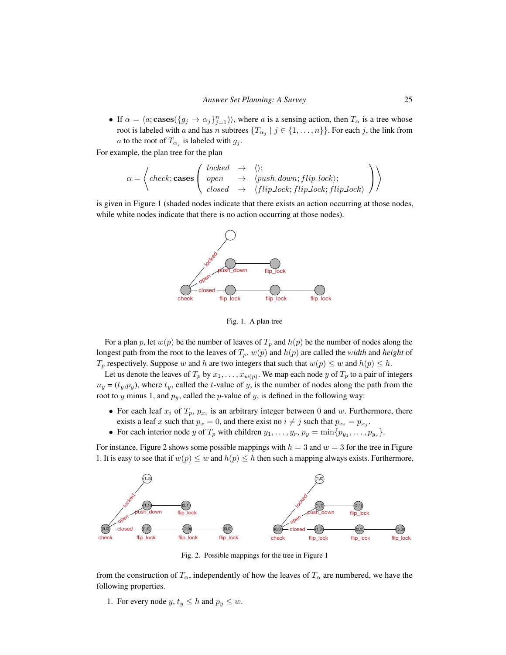• If  $\alpha = \langle a; \text{cases}(\lbrace g_j \to \alpha_j \rbrace_{j=1}^n) \rangle$ , where a is a sensing action, then  $T_\alpha$  is a tree whose root is labeled with a and has n subtrees  $\{T_{\alpha_j} \mid j \in \{1, ..., n\}\}$ . For each j, the link from *a* to the root of  $T_{\alpha_j}$  is labeled with  $g_j$ .

For example, the plan tree for the plan

$$
\alpha = \left\langle check; \textbf{cases} \left( \begin{array}{rcl} locked & \rightarrow & \langle \rangle; \\ open & \rightarrow & \langle push\_down; \{lip\_lock \rangle; \\ closed & \rightarrow & \langle flip\_lock; \{lip\_lock; \{lip\_lock; \} \} \rangle \end{array} \right) \right\rangle
$$

is given in Figure 1 (shaded nodes indicate that there exists an action occurring at those nodes, while white nodes indicate that there is no action occurring at those nodes).



Fig. 1. A plan tree

For a plan p, let  $w(p)$  be the number of leaves of  $T_p$  and  $h(p)$  be the number of nodes along the longest path from the root to the leaves of  $T_p$ .  $w(p)$  and  $h(p)$  are called the *width* and *height* of  $T_p$  respectively. Suppose w and h are two integers that such that  $w(p) \leq w$  and  $h(p) \leq h$ .

Let us denote the leaves of  $T_p$  by  $x_1, \ldots, x_{w(p)}$ . We map each node y of  $T_p$  to a pair of integers  $n_y = (t_y, p_y)$ , where  $t_y$ , called the t-value of y, is the number of nodes along the path from the root to y minus 1, and  $p_y$ , called the p-value of y, is defined in the following way:

- For each leaf  $x_i$  of  $T_p$ ,  $p_{x_i}$  is an arbitrary integer between 0 and w. Furthermore, there exists a leaf x such that  $p_x = 0$ , and there exist no  $i \neq j$  such that  $p_{x_i} = p_{x_j}$ .
- For each interior node y of  $T_p$  with children  $y_1, \ldots, y_r, p_y = \min\{p_{y_1}, \ldots, p_{y_r}\}.$

For instance, Figure 2 shows some possible mappings with  $h = 3$  and  $w = 3$  for the tree in Figure 1. It is easy to see that if  $w(p) \leq w$  and  $h(p) \leq h$  then such a mapping always exists. Furthermore,



Fig. 2. Possible mappings for the tree in Figure 1

from the construction of  $T_{\alpha}$ , independently of how the leaves of  $T_{\alpha}$  are numbered, we have the following properties.

1. For every node  $y, t_y \leq h$  and  $p_y \leq w$ .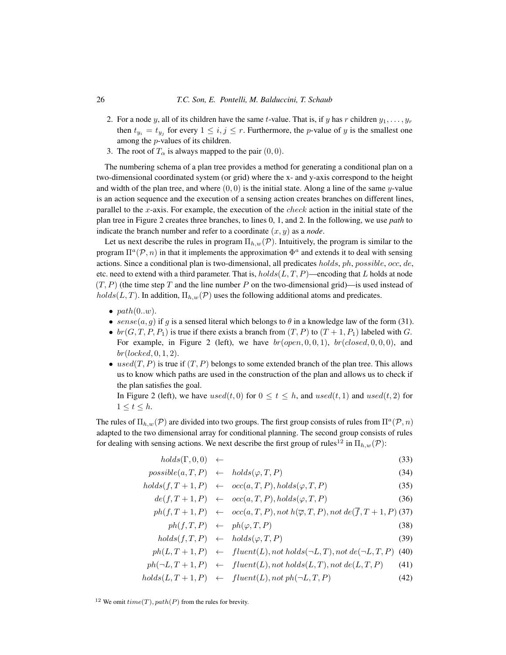- 2. For a node y, all of its children have the same t-value. That is, if y has r children  $y_1, \ldots, y_r$ then  $t_{y_i} = t_{y_j}$  for every  $1 \leq i, j \leq r$ . Furthermore, the *p*-value of *y* is the smallest one among the p-values of its children.
- 3. The root of  $T_{\alpha}$  is always mapped to the pair  $(0, 0)$ .

The numbering schema of a plan tree provides a method for generating a conditional plan on a two-dimensional coordinated system (or grid) where the x- and y-axis correspond to the height and width of the plan tree, and where  $(0, 0)$  is the initial state. Along a line of the same y-value is an action sequence and the execution of a sensing action creates branches on different lines, parallel to the  $x$ -axis. For example, the execution of the *check* action in the initial state of the plan tree in Figure 2 creates three branches, to lines 0, 1, and 2. In the following, we use *path* to indicate the branch number and refer to a coordinate  $(x, y)$  as a *node*.

Let us next describe the rules in program  $\Pi_{h,w}(\mathcal{P})$ . Intuitively, the program is similar to the program  $\Pi^a(P, n)$  in that it implements the approximation  $\Phi^a$  and extends it to deal with sensing actions. Since a conditional plan is two-dimensional, all predicates holds, ph, possible, occ, de, etc. need to extend with a third parameter. That is,  $holds(L, T, P)$ —encoding that L holds at node  $(T, P)$  (the time step T and the line number P on the two-dimensional grid)—is used instead of  $holds(L, T)$ . In addition,  $\Pi_{h,w}(P)$  uses the following additional atoms and predicates.

- $path(0..w)$ .
- $sense(a, g)$  if g is a sensed literal which belongs to  $\theta$  in a knowledge law of the form (31).
- $br(G, T, P, P_1)$  is true if there exists a branch from  $(T, P)$  to  $(T + 1, P_1)$  labeled with G. For example, in Figure 2 (left), we have  $br(open, 0, 0, 1)$ ,  $br(closed, 0, 0, 0)$ , and  $br(locked, 0, 1, 2).$
- used(T, P) is true if  $(T, P)$  belongs to some extended branch of the plan tree. This allows us to know which paths are used in the construction of the plan and allows us to check if the plan satisfies the goal.

In Figure 2 (left), we have  $used(t, 0)$  for  $0 \le t \le h$ , and  $used(t, 1)$  and  $used(t, 2)$  for  $1 \leq t \leq h$ .

The rules of  $\Pi_{h,w}(P)$  are divided into two groups. The first group consists of rules from  $\Pi^a(P,n)$ adapted to the two dimensional array for conditional planning. The second group consists of rules for dealing with sensing actions. We next describe the first group of rules<sup>12</sup> in  $\Pi_{h,w}(\mathcal{P})$ :

$$
holds(\Gamma, 0, 0) \leftarrow \tag{33}
$$

$$
possible(a, T, P) \leftarrow holds(\varphi, T, P) \tag{34}
$$

$$
holds(f, T+1, P) \leftarrow occ(a, T, P), holds(\varphi, T, P) \tag{35}
$$

$$
de(f, T+1, P) \leftarrow occ(a, T, P), holds(\varphi, T, P) \tag{36}
$$

$$
ph(f, T+1, P) \leftarrow \quad occ(a, T, P), not \; h(\overline{\varphi}, T, P), not \; de(\overline{f}, T+1, P) \; (37)
$$

$$
ph(f, T, P) \leftarrow ph(\varphi, T, P) \tag{38}
$$

$$
holds(f, T, P) \leftarrow holds(\varphi, T, P) \tag{39}
$$

$$
ph(L, T+1, P) \leftarrow fluent(L), not holds(\neg L, T), not de(\neg L, T, P)
$$
 (40)

$$
ph(\neg L, T+1, P) \leftarrow fluent(L), not holds(L, T), not de(L, T, P) \qquad (41)
$$

$$
holds(L, T+1, P) \leftarrow fluent(L), not\, ph(\neg L, T, P) \tag{42}
$$

<sup>12</sup> We omit  $time(T)$ ,  $path(P)$  from the rules for brevity.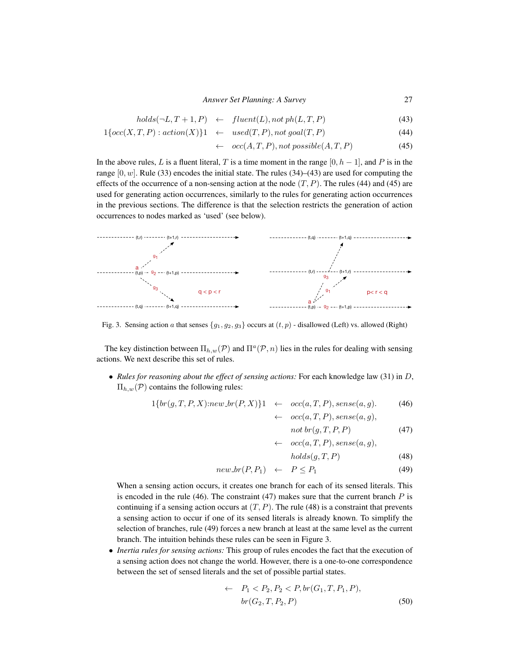$$
holds(\neg L, T+1, P) \leftarrow fluent(L), not\,ph(L, T, P) \tag{43}
$$

$$
1\{occ(X, T, P) : action(X)\}1 \leftarrow used(T, P), not\ goal(T, P) \tag{44}
$$

 $\leftarrow \quad occ(A, T, P), \text{not possible}(A, T, P)$  (45)

In the above rules, L is a fluent literal, T is a time moment in the range  $[0, h - 1]$ , and P is in the range  $[0, w]$ . Rule (33) encodes the initial state. The rules (34)–(43) are used for computing the effects of the occurrence of a non-sensing action at the node  $(T, P)$ . The rules (44) and (45) are used for generating action occurrences, similarly to the rules for generating action occurrences in the previous sections. The difference is that the selection restricts the generation of action occurrences to nodes marked as 'used' (see below).



Fig. 3. Sensing action a that senses  $\{g_1, g_2, g_3\}$  occurs at  $(t, p)$  - disallowed (Left) vs. allowed (Right)

The key distinction between  $\Pi_{h,w}(\mathcal{P})$  and  $\Pi^a(\mathcal{P}, n)$  lies in the rules for dealing with sensing actions. We next describe this set of rules.

• *Rules for reasoning about the effect of sensing actions:* For each knowledge law (31) in D,  $\Pi_{h,w}(\mathcal{P})$  contains the following rules:

$$
1\{br(g, T, P, X): new\_br(P, X)\}1 \leftarrow occ(a, T, P), sense(a, g). \tag{46}
$$

$$
\leftarrow \quad occ(a,T,P), sense(a,g),
$$

$$
not \, br(g, T, P, P) \tag{47}
$$

$$
\leftarrow \quad occ(a,T,P), sense(a,g),
$$

$$
holds(g, T, P) \tag{48}
$$

$$
new\_br(P, P_1) \leftarrow P \le P_1 \tag{49}
$$

When a sensing action occurs, it creates one branch for each of its sensed literals. This is encoded in the rule (46). The constraint (47) makes sure that the current branch  $P$  is continuing if a sensing action occurs at  $(T, P)$ . The rule (48) is a constraint that prevents a sensing action to occur if one of its sensed literals is already known. To simplify the selection of branches, rule (49) forces a new branch at least at the same level as the current branch. The intuition behinds these rules can be seen in Figure 3.

• *Inertia rules for sensing actions:* This group of rules encodes the fact that the execution of a sensing action does not change the world. However, there is a one-to-one correspondence between the set of sensed literals and the set of possible partial states.

$$
\leftarrow P_1 < P_2, P_2 < P, br(G_1, T, P_1, P),
$$
\n
$$
br(G_2, T, P_2, P) \tag{50}
$$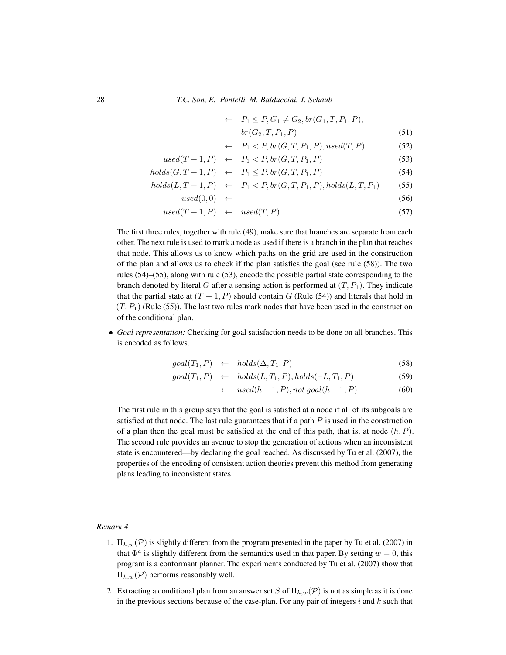$$
\leftarrow P_1 \leq P, G_1 \neq G_2, br(G_1, T, P_1, P),
$$
  

$$
br(G_2, T, P_1, P) \tag{51}
$$

$$
or(G2, I, P1, P)
$$
\n
$$
P \leq P \log(C \mid T \mid P \mid P) \leq \log d(T \mid P)
$$
\n
$$
(51)
$$

$$
\leftarrow P_1 < P, or(G,1,P_1,P), used(1,P) \tag{32}
$$

$$
used(T+1, P) \leftarrow P_1 < P, br(G, T, P_1, P) \tag{53}
$$
\n
$$
U(G, T, L, P) \leftarrow P_1 \leftarrow P_2 \leftarrow P_1 \leftarrow P_2 \leftarrow P_2 \leftarrow P_1 \leftarrow P_2 \leftarrow P_2 \leftarrow P_2 \leftarrow P_2 \leftarrow P_2 \leftarrow P_2 \leftarrow P_2 \leftarrow P_2 \leftarrow P_2 \leftarrow P_2 \leftarrow P_2 \leftarrow P_2 \leftarrow P_2 \leftarrow P_2 \leftarrow P_2 \leftarrow P_2 \leftarrow P_2 \leftarrow P_2 \leftarrow P_2 \leftarrow P_2 \leftarrow P_2 \leftarrow P_2 \leftarrow P_2 \leftarrow P_2 \leftarrow P_2 \leftarrow P_2 \leftarrow P_2 \leftarrow P_2 \leftarrow P_2 \leftarrow P_2 \leftarrow P_2 \leftarrow P_2 \leftarrow P_2 \leftarrow P_2 \leftarrow P_2 \leftarrow P_2 \leftarrow P_2 \leftarrow P_2 \leftarrow P_2 \leftarrow P_2 \leftarrow P_2 \leftarrow P_2 \leftarrow P_2 \leftarrow P_2 \leftarrow P_2 \leftarrow P_2 \leftarrow P_2 \leftarrow P_2 \leftarrow P_2 \leftarrow P_2 \leftarrow P_2 \leftarrow P_2 \leftarrow P_2 \leftarrow P_2 \leftarrow P_2 \leftarrow P_2 \leftarrow P_2 \leftarrow P_2 \leftarrow P_2 \leftarrow P_2 \leftarrow P_2 \leftarrow P_2 \leftarrow P_2 \leftarrow P_2 \leftarrow P_2 \leftarrow P_2 \leftarrow P_2 \leftarrow P_2 \leftarrow P_2 \leftarrow P_2 \leftarrow P_2 \leftarrow P_2 \leftarrow P_2 \leftarrow P_2 \leftarrow P_2 \leftarrow P_2 \leftarrow P_2 \leftarrow P_2 \leftarrow P_2 \leftarrow P_2 \leftarrow P_2 \leftarrow P_2 \leftarrow P_2 \leftarrow P_2 \leftarrow P_2 \leftarrow P_2 \leftarrow P_2 \leftarrow P_2 \leftarrow P_2 \leftarrow P_2 \leftarrow P_2 \leftarrow P_2 \leftarrow P_2 \leftarrow P_2 \leftarrow P_2 \leftarrow P_2 \leftarrow P_2 \leftarrow P_2 \leftarrow P_2 \leftarrow P_2 \leftarrow P_2 \leftarrow P_2 \leftarrow P_2 \leftarrow P_2 \leftarrow P_2 \leftarrow P_2 \leftarrow P_2 \leftarrow P_2 \leftarrow P_2 \leftarrow P_2 \leftarrow P_2 \leftarrow P
$$

$$
holds(G, T+1, P) \leftarrow P_1 \leq P, br(G, T, P_1, P) \tag{54}
$$

$$
holds(L, T+1, P) \leftarrow P_1 < P, br(G, T, P_1, P), holds(L, T, P_1) \tag{55}
$$

$$
used(0,0) \leftarrow \tag{56}
$$

$$
used(T+1,P) \leftarrow used(T,P) \tag{57}
$$

The first three rules, together with rule (49), make sure that branches are separate from each other. The next rule is used to mark a node as used if there is a branch in the plan that reaches that node. This allows us to know which paths on the grid are used in the construction of the plan and allows us to check if the plan satisfies the goal (see rule (58)). The two rules (54)–(55), along with rule (53), encode the possible partial state corresponding to the branch denoted by literal G after a sensing action is performed at  $(T, P_1)$ . They indicate that the partial state at  $(T + 1, P)$  should contain G (Rule (54)) and literals that hold in  $(T, P_1)$  (Rule (55)). The last two rules mark nodes that have been used in the construction of the conditional plan.

• *Goal representation:* Checking for goal satisfaction needs to be done on all branches. This is encoded as follows.

$$
goal(T_1, P) \leftarrow holds(\Delta, T_1, P) \tag{58}
$$

$$
goal(T_1, P) \leftarrow holds(L, T_1, P), holds(\neg L, T_1, P) \tag{59}
$$

$$
\leftarrow \text{ used}(h+1, P), \text{not goal}(h+1, P) \tag{60}
$$

The first rule in this group says that the goal is satisfied at a node if all of its subgoals are satisfied at that node. The last rule guarantees that if a path  $P$  is used in the construction of a plan then the goal must be satisfied at the end of this path, that is, at node  $(h, P)$ . The second rule provides an avenue to stop the generation of actions when an inconsistent state is encountered—by declaring the goal reached. As discussed by Tu et al. (2007), the properties of the encoding of consistent action theories prevent this method from generating plans leading to inconsistent states.

# *Remark 4*

- 1.  $\Pi_{h,w}(\mathcal{P})$  is slightly different from the program presented in the paper by Tu et al. (2007) in that  $\Phi^a$  is slightly different from the semantics used in that paper. By setting  $w = 0$ , this program is a conformant planner. The experiments conducted by Tu et al. (2007) show that  $\Pi_{h,w}(\mathcal{P})$  performs reasonably well.
- 2. Extracting a conditional plan from an answer set S of  $\Pi_{h,w}(\mathcal{P})$  is not as simple as it is done in the previous sections because of the case-plan. For any pair of integers  $i$  and  $k$  such that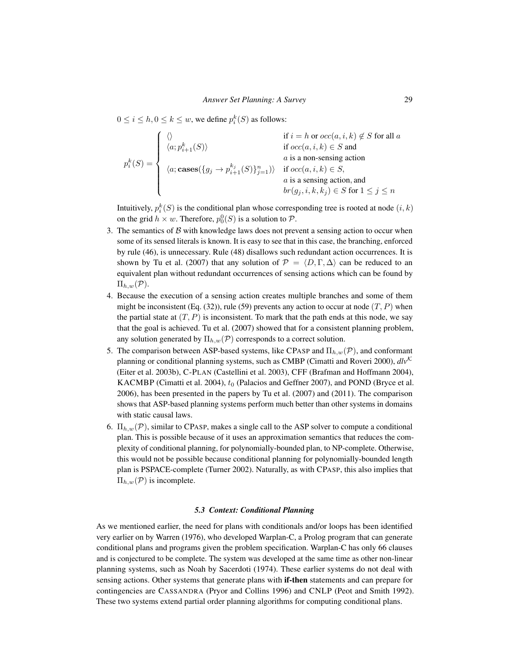$0 \le i \le h, 0 \le k \le w$ , we define  $p_i^k(S)$  as follows:

 $p_i^k(S) =$  $\sqrt{ }$  $\int$  $\overline{\mathcal{L}}$  $\langle \rangle$  if  $i = h$  or  $occ(a, i, k) \notin S$  for all a  $\langle a; p_{i+1}^k(S) \rangle$  if  $occ(a, i, k) \in S$  and  $a$  is a non-sensing action  $\langle a; \mathbf{cases} (\{g_j \to p_{i+1}^{k_j}(S)\}_{j=1}^n) \rangle$  if  $occ(a, i, k) \in S$ ,  $a$  is a sensing action, and  $br(g_j, i, k, k_j) \in S$  for  $1 \le j \le n$ 

Intuitively,  $p_i^k(S)$  is the conditional plan whose corresponding tree is rooted at node  $(i, k)$ on the grid  $h \times w$ . Therefore,  $p_0^0(S)$  is a solution to  $P$ .

- 3. The semantics of  $\beta$  with knowledge laws does not prevent a sensing action to occur when some of its sensed literals is known. It is easy to see that in this case, the branching, enforced by rule (46), is unnecessary. Rule (48) disallows such redundant action occurrences. It is shown by Tu et al. (2007) that any solution of  $\mathcal{P} = \langle D, \Gamma, \Delta \rangle$  can be reduced to an equivalent plan without redundant occurrences of sensing actions which can be found by  $\Pi_{h,w}(\mathcal{P}).$
- 4. Because the execution of a sensing action creates multiple branches and some of them might be inconsistent (Eq. (32)), rule (59) prevents any action to occur at node  $(T, P)$  when the partial state at  $(T, P)$  is inconsistent. To mark that the path ends at this node, we say that the goal is achieved. Tu et al. (2007) showed that for a consistent planning problem, any solution generated by  $\Pi_{h,w}(\mathcal{P})$  corresponds to a correct solution.
- 5. The comparison between ASP-based systems, like CPASP and  $\Pi_{h,w}(\mathcal{P})$ , and conformant planning or conditional planning systems, such as CMBP (Cimatti and Roveri 2000),  $d\nu^{\mathcal{K}}$ (Eiter et al. 2003b), C-PLAN (Castellini et al. 2003), CFF (Brafman and Hoffmann 2004), KACMBP (Cimatti et al. 2004),  $t_0$  (Palacios and Geffner 2007), and POND (Bryce et al. 2006), has been presented in the papers by Tu et al. (2007) and (2011). The comparison shows that ASP-based planning systems perform much better than other systems in domains with static causal laws.
- 6.  $\Pi_{h,w}(\mathcal{P})$ , similar to CPASP, makes a single call to the ASP solver to compute a conditional plan. This is possible because of it uses an approximation semantics that reduces the complexity of conditional planning, for polynomially-bounded plan, to NP-complete. Otherwise, this would not be possible because conditional planning for polynomially-bounded length plan is PSPACE-complete (Turner 2002). Naturally, as with CPASP, this also implies that  $\Pi_{h,w}(\mathcal{P})$  is incomplete.

# *5.3 Context: Conditional Planning*

As we mentioned earlier, the need for plans with conditionals and/or loops has been identified very earlier on by Warren (1976), who developed Warplan-C, a Prolog program that can generate conditional plans and programs given the problem specification. Warplan-C has only 66 clauses and is conjectured to be complete. The system was developed at the same time as other non-linear planning systems, such as Noah by Sacerdoti (1974). These earlier systems do not deal with sensing actions. Other systems that generate plans with if-then statements and can prepare for contingencies are CASSANDRA (Pryor and Collins 1996) and CNLP (Peot and Smith 1992). These two systems extend partial order planning algorithms for computing conditional plans.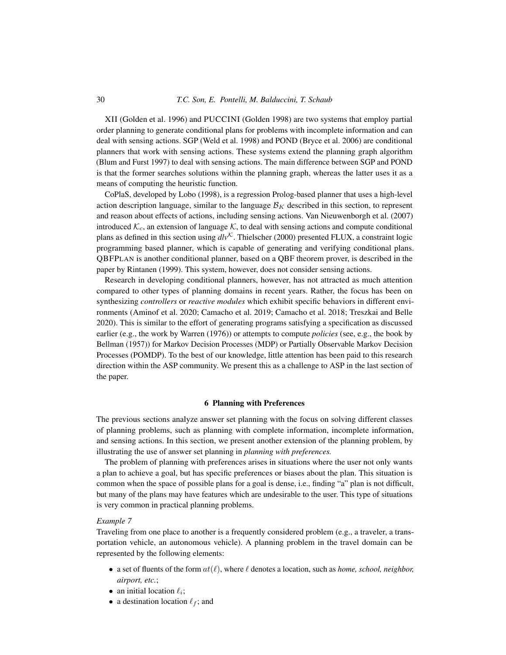XII (Golden et al. 1996) and PUCCINI (Golden 1998) are two systems that employ partial order planning to generate conditional plans for problems with incomplete information and can deal with sensing actions. SGP (Weld et al. 1998) and POND (Bryce et al. 2006) are conditional planners that work with sensing actions. These systems extend the planning graph algorithm (Blum and Furst 1997) to deal with sensing actions. The main difference between SGP and POND is that the former searches solutions within the planning graph, whereas the latter uses it as a means of computing the heuristic function.

CoPlaS, developed by Lobo (1998), is a regression Prolog-based planner that uses a high-level action description language, similar to the language  $\mathcal{B}_K$  described in this section, to represent and reason about effects of actions, including sensing actions. Van Nieuwenborgh et al. (2007) introduced  $\mathcal{K}_c$ , an extension of language  $\mathcal{K}$ , to deal with sensing actions and compute conditional plans as defined in this section using  $d/v^{\mathcal{K}}$ . Thielscher (2000) presented FLUX, a constraint logic programming based planner, which is capable of generating and verifying conditional plans. QBFPLAN is another conditional planner, based on a QBF theorem prover, is described in the paper by Rintanen (1999). This system, however, does not consider sensing actions.

Research in developing conditional planners, however, has not attracted as much attention compared to other types of planning domains in recent years. Rather, the focus has been on synthesizing *controllers* or *reactive modules* which exhibit specific behaviors in different environments (Aminof et al. 2020; Camacho et al. 2019; Camacho et al. 2018; Treszkai and Belle 2020). This is similar to the effort of generating programs satisfying a specification as discussed earlier (e.g., the work by Warren (1976)) or attempts to compute *policies* (see, e.g., the book by Bellman (1957)) for Markov Decision Processes (MDP) or Partially Observable Markov Decision Processes (POMDP). To the best of our knowledge, little attention has been paid to this research direction within the ASP community. We present this as a challenge to ASP in the last section of the paper.

# 6 Planning with Preferences

The previous sections analyze answer set planning with the focus on solving different classes of planning problems, such as planning with complete information, incomplete information, and sensing actions. In this section, we present another extension of the planning problem, by illustrating the use of answer set planning in *planning with preferences.*

The problem of planning with preferences arises in situations where the user not only wants a plan to achieve a goal, but has specific preferences or biases about the plan. This situation is common when the space of possible plans for a goal is dense, i.e., finding "a" plan is not difficult, but many of the plans may have features which are undesirable to the user. This type of situations is very common in practical planning problems.

#### *Example 7*

Traveling from one place to another is a frequently considered problem (e.g., a traveler, a transportation vehicle, an autonomous vehicle). A planning problem in the travel domain can be represented by the following elements:

- a set of fluents of the form  $at(\ell)$ , where  $\ell$  denotes a location, such as *home, school, neighbor, airport, etc.*;
- an initial location  $\ell_i$ ;
- a destination location  $\ell_f$ ; and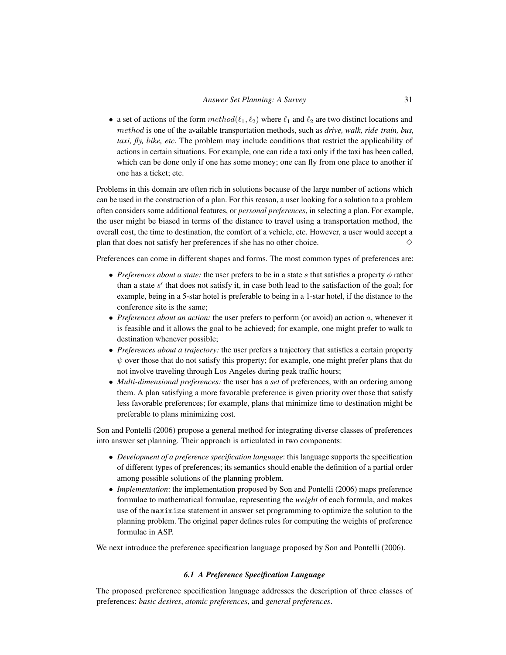• a set of actions of the form  $method(\ell_1, \ell_2)$  where  $\ell_1$  and  $\ell_2$  are two distinct locations and method is one of the available transportation methods, such as *drive, walk, ride train, bus, taxi, fly, bike, etc.* The problem may include conditions that restrict the applicability of actions in certain situations. For example, one can ride a taxi only if the taxi has been called, which can be done only if one has some money; one can fly from one place to another if one has a ticket; etc.

Problems in this domain are often rich in solutions because of the large number of actions which can be used in the construction of a plan. For this reason, a user looking for a solution to a problem often considers some additional features, or *personal preferences*, in selecting a plan. For example, the user might be biased in terms of the distance to travel using a transportation method, the overall cost, the time to destination, the comfort of a vehicle, etc. However, a user would accept a plan that does not satisfy her preferences if she has no other choice.  $\Diamond$ 

Preferences can come in different shapes and forms. The most common types of preferences are:

- *Preferences about a state:* the user prefers to be in a state s that satisfies a property  $\phi$  rather than a state  $s'$  that does not satisfy it, in case both lead to the satisfaction of the goal; for example, being in a 5-star hotel is preferable to being in a 1-star hotel, if the distance to the conference site is the same;
- *Preferences about an action:* the user prefers to perform (or avoid) an action a, whenever it is feasible and it allows the goal to be achieved; for example, one might prefer to walk to destination whenever possible;
- *Preferences about a trajectory:* the user prefers a trajectory that satisfies a certain property  $\psi$  over those that do not satisfy this property; for example, one might prefer plans that do not involve traveling through Los Angeles during peak traffic hours;
- *Multi-dimensional preferences:* the user has a *set* of preferences, with an ordering among them. A plan satisfying a more favorable preference is given priority over those that satisfy less favorable preferences; for example, plans that minimize time to destination might be preferable to plans minimizing cost.

Son and Pontelli (2006) propose a general method for integrating diverse classes of preferences into answer set planning. Their approach is articulated in two components:

- *Development of a preference specification language*: this language supports the specification of different types of preferences; its semantics should enable the definition of a partial order among possible solutions of the planning problem.
- *Implementation*: the implementation proposed by Son and Pontelli (2006) maps preference formulae to mathematical formulae, representing the *weight* of each formula, and makes use of the maximize statement in answer set programming to optimize the solution to the planning problem. The original paper defines rules for computing the weights of preference formulae in ASP.

We next introduce the preference specification language proposed by Son and Pontelli (2006).

# *6.1 A Preference Specification Language*

The proposed preference specification language addresses the description of three classes of preferences: *basic desires*, *atomic preferences*, and *general preferences*.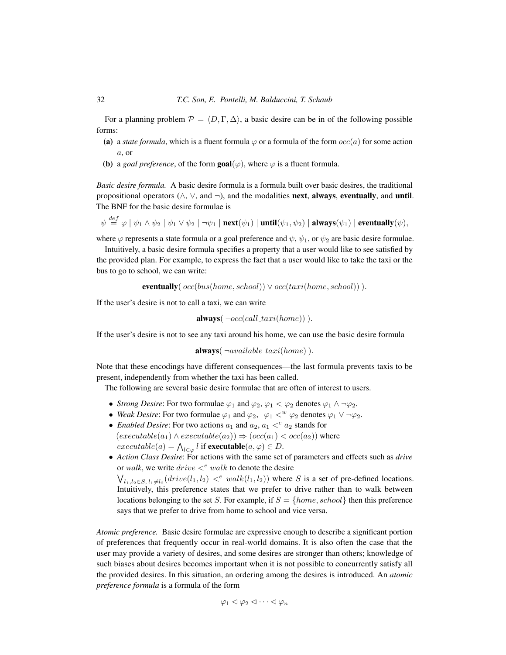For a planning problem  $\mathcal{P} = \langle D, \Gamma, \Delta \rangle$ , a basic desire can be in of the following possible forms:

- (a) a *state formula*, which is a fluent formula  $\varphi$  or a formula of the form  $occ(a)$  for some action  $a$ , or
- (b) a *goal preference*, of the form **goal**( $\varphi$ ), where  $\varphi$  is a fluent formula.

*Basic desire formula.* A basic desire formula is a formula built over basic desires, the traditional propositional operators ( $\wedge$ ,  $\vee$ , and  $\neg$ ), and the modalities **next, always, eventually**, and **until**. The BNF for the basic desire formulae is

 $\psi\stackrel{def}{=}\varphi\mid \psi_1\wedge\psi_2\mid \psi_1\vee\psi_2\mid\neg\psi_1\mid \textbf{next}(\psi_1)\mid\textbf{until}(\psi_1,\psi_2)\mid\textbf{always}(\psi_1)\mid\textbf{eventually}(\psi),$ 

where  $\varphi$  represents a state formula or a goal preference and  $\psi$ ,  $\psi_1$ , or  $\psi_2$  are basic desire formulae.

Intuitively, a basic desire formula specifies a property that a user would like to see satisfied by the provided plan. For example, to express the fact that a user would like to take the taxi or the bus to go to school, we can write:

eventually( $occ(bus(home, school)) \vee occ(taxi(home, school))$ ).

If the user's desire is not to call a taxi, we can write

$$
always( \neg occ(call\_taxi(home))).
$$

If the user's desire is not to see any taxi around his home, we can use the basic desire formula

always $(\neg available\_taxi(home))$ .

Note that these encodings have different consequences—the last formula prevents taxis to be present, independently from whether the taxi has been called.

The following are several basic desire formulae that are often of interest to users.

- *Strong Desire:* For two formulae  $\varphi_1$  and  $\varphi_2$ ,  $\varphi_1 < \varphi_2$  denotes  $\varphi_1 \wedge \neg \varphi_2$ .
- *Weak Desire*: For two formulae  $\varphi_1$  and  $\varphi_2$ ,  $\varphi_1 <^w \varphi_2$  denotes  $\varphi_1 \vee \neg \varphi_2$ .
- *Enabled Desire*: For two actions  $a_1$  and  $a_2$ ,  $a_1 <^e a_2$  stands for  $(executable(a_1) \wedge executable(a_2)) \Rightarrow (occ(a_1) < occ(a_2))$  where  $execute(a) = \bigwedge_{l \in \varphi} l$  if **executable** $(a, \varphi) \in D$ .
- *Action Class Desire*: For actions with the same set of parameters and effects such as *drive* or *walk*, we write  $drive <^e$  *walk* to denote the desire

 $\bigvee_{l_1, l_2 \in S, l_1 \neq l_2} (drive(l_1, l_2) \lt^e walk(l_1, l_2))$  where S is a set of pre-defined locations. Intuitively, this preference states that we prefer to drive rather than to walk between locations belonging to the set S. For example, if  $S = \{home, school\}$  then this preference says that we prefer to drive from home to school and vice versa.

*Atomic preference.* Basic desire formulae are expressive enough to describe a significant portion of preferences that frequently occur in real-world domains. It is also often the case that the user may provide a variety of desires, and some desires are stronger than others; knowledge of such biases about desires becomes important when it is not possible to concurrently satisfy all the provided desires. In this situation, an ordering among the desires is introduced. An *atomic preference formula* is a formula of the form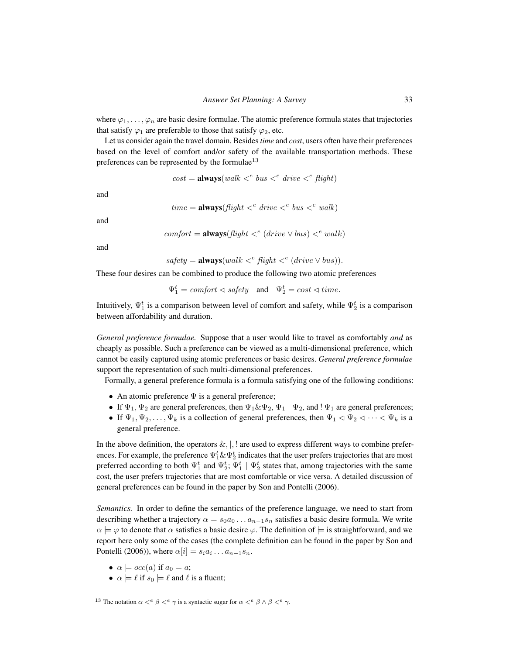where  $\varphi_1, \ldots, \varphi_n$  are basic desire formulae. The atomic preference formula states that trajectories that satisfy  $\varphi_1$  are preferable to those that satisfy  $\varphi_2$ , etc.

Let us consider again the travel domain. Besides *time* and *cost*, users often have their preferences based on the level of comfort and/or safety of the available transportation methods. These preferences can be represented by the formulae $^{13}$ 

$$
cost = always(walk e bus e drive e flipht)
$$

and

$$
time = \mathbf{always}(\mathit{flight} <^e \mathit{drive} <^e \mathit{bus} <^e \mathit{walk})
$$

and

$$
confort = \mathbf{always}(flight \lt^e (drive \lor bus) \lt^e walk)
$$

and

$$
safety = always(walk
$$

These four desires can be combined to produce the following two atomic preferences

 $\Psi_1^t = \text{comfort} \triangleleft \text{safety}$  and  $\Psi_2^t = \text{cost} \triangleleft \text{time}$ .

Intuitively,  $\Psi_1^t$  is a comparison between level of comfort and safety, while  $\Psi_2^t$  is a comparison between affordability and duration.

*General preference formulae.* Suppose that a user would like to travel as comfortably *and* as cheaply as possible. Such a preference can be viewed as a multi-dimensional preference, which cannot be easily captured using atomic preferences or basic desires. *General preference formulae* support the representation of such multi-dimensional preferences.

Formally, a general preference formula is a formula satisfying one of the following conditions:

- An atomic preference  $\Psi$  is a general preference;
- If  $\Psi_1, \Psi_2$  are general preferences, then  $\Psi_1 \& \Psi_2, \Psi_1 | \Psi_2$ , and  $\Psi_1$  are general preferences;
- If  $\Psi_1, \Psi_2, \ldots, \Psi_k$  is a collection of general preferences, then  $\Psi_1 \lhd \Psi_2 \lhd \cdots \lhd \Psi_k$  is a general preference.

In the above definition, the operators  $\&, \, \vert, \, \vert$  are used to express different ways to combine preferences. For example, the preference  $\Psi_1^t \& \Psi_2^t$  indicates that the user prefers trajectories that are most preferred according to both  $\Psi_1^t$  and  $\Psi_2^t$ ;  $\Psi_1^t \mid \Psi_2^t$  states that, among trajectories with the same cost, the user prefers trajectories that are most comfortable or vice versa. A detailed discussion of general preferences can be found in the paper by Son and Pontelli (2006).

*Semantics.* In order to define the semantics of the preference language, we need to start from describing whether a trajectory  $\alpha = s_0 a_0 \dots a_{n-1} s_n$  satisfies a basic desire formula. We write  $\alpha \models \varphi$  to denote that  $\alpha$  satisfies a basic desire  $\varphi$ . The definition of  $\models$  is straightforward, and we report here only some of the cases (the complete definition can be found in the paper by Son and Pontelli (2006)), where  $\alpha[i] = s_i a_i \dots a_{n-1} s_n$ .

- $\alpha \models occ(a)$  if  $a_0 = a$ ;
- $\alpha \models \ell$  if  $s_0 \models \ell$  and  $\ell$  is a fluent;

<sup>13</sup> The notation  $\alpha <^e \beta <^e \gamma$  is a syntactic sugar for  $\alpha <^e \beta \land \beta <^e \gamma$ .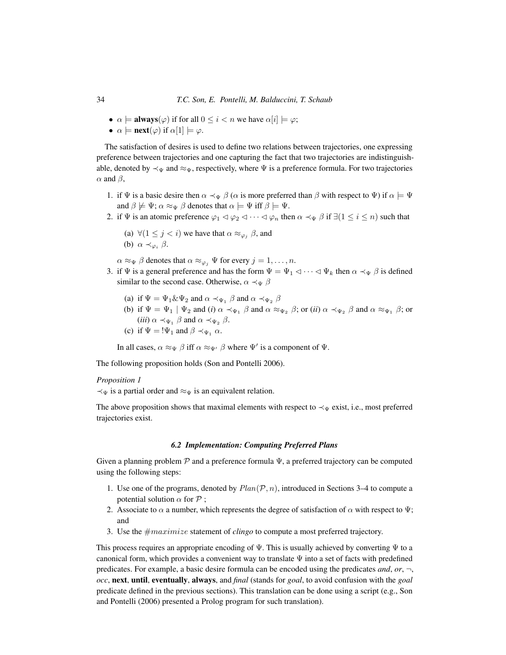- $\alpha \models \mathbf{always}(\varphi)$  if for all  $0 \leq i < n$  we have  $\alpha[i] \models \varphi;$
- $\alpha \models \textbf{next}(\varphi)$  if  $\alpha[1] \models \varphi$ .

The satisfaction of desires is used to define two relations between trajectories, one expressing preference between trajectories and one capturing the fact that two trajectories are indistinguishable, denoted by  $\prec_{\Psi}$  and  $\approx_{\Psi}$ , respectively, where  $\Psi$  is a preference formula. For two trajectories  $\alpha$  and  $\beta$ ,

- 1. if  $\Psi$  is a basic desire then  $\alpha \prec_{\Psi} \beta$  ( $\alpha$  is more preferred than  $\beta$  with respect to  $\Psi$ ) if  $\alpha \models \Psi$ and  $\beta \not\models \Psi$ ;  $\alpha \approx_{\Psi} \beta$  denotes that  $\alpha \models \Psi$  iff  $\beta \models \Psi$ .
- 2. if  $\Psi$  is an atomic preference  $\varphi_1 \vartriangleleft \varphi_2 \vartriangleleft \cdots \vartriangleleft \varphi_n$  then  $\alpha \prec_{\Psi} \beta$  if  $\exists (1 \leq i \leq n)$  such that
	- (a)  $\forall (1 \leq j < i)$  we have that  $\alpha \approx_{\varphi_i} \beta$ , and
	- (b)  $\alpha \prec_{\alpha_i} \beta$ .

 $\alpha \approx_{\Psi} \beta$  denotes that  $\alpha \approx_{\varphi_i} \Psi$  for every  $j = 1, \dots, n$ .

- 3. if  $\Psi$  is a general preference and has the form  $\Psi = \Psi_1 \lhd \cdots \lhd \Psi_k$  then  $\alpha \prec_{\Psi} \beta$  is defined similar to the second case. Otherwise,  $\alpha \prec_{\Psi} \beta$ 
	- (a) if  $\Psi = \Psi_1 \& \Psi_2$  and  $\alpha \prec_{\Psi_1} \beta$  and  $\alpha \prec_{\Psi_2} \beta$
	- (b) if  $\Psi = \Psi_1 \mid \Psi_2$  and (*i*)  $\alpha \prec_{\Psi_1} \beta$  and  $\alpha \approx_{\Psi_2} \beta$ ; or (*ii*)  $\alpha \prec_{\Psi_2} \beta$  and  $\alpha \approx_{\Psi_1} \beta$ ; or (*iii*)  $\alpha \prec_{\Psi_1} \beta$  and  $\alpha \prec_{\Psi_2} \beta$ .
	- (c) if  $\Psi = \Psi_1$  and  $\beta \prec_{\Psi_1} \alpha$ .

In all cases,  $\alpha \approx_{\Psi} \beta$  iff  $\alpha \approx_{\Psi'} \beta$  where  $\Psi'$  is a component of  $\Psi$ .

The following proposition holds (Son and Pontelli 2006).

#### *Proposition 1*

 $\prec_{\Psi}$  is a partial order and  $\approx_{\Psi}$  is an equivalent relation.

The above proposition shows that maximal elements with respect to  $\prec_{\Psi}$  exist, i.e., most preferred trajectories exist.

# *6.2 Implementation: Computing Preferred Plans*

Given a planning problem  $\mathcal P$  and a preference formula  $\Psi$ , a preferred trajectory can be computed using the following steps:

- 1. Use one of the programs, denoted by  $Plan(\mathcal{P}, n)$ , introduced in Sections 3–4 to compute a potential solution  $\alpha$  for  $\mathcal{P}$ ;
- 2. Associate to  $\alpha$  a number, which represents the degree of satisfaction of  $\alpha$  with respect to  $\Psi$ ; and
- 3. Use the #maximize statement of *clingo* to compute a most preferred trajectory.

This process requires an appropriate encoding of  $\Psi$ . This is usually achieved by converting  $\Psi$  to a canonical form, which provides a convenient way to translate  $\Psi$  into a set of facts with predefined predicates. For example, a basic desire formula can be encoded using the predicates *and*, *or*, ¬, *occ*, next, until, eventually, always, and *final* (stands for *goal*, to avoid confusion with the *goal* predicate defined in the previous sections). This translation can be done using a script (e.g., Son and Pontelli (2006) presented a Prolog program for such translation).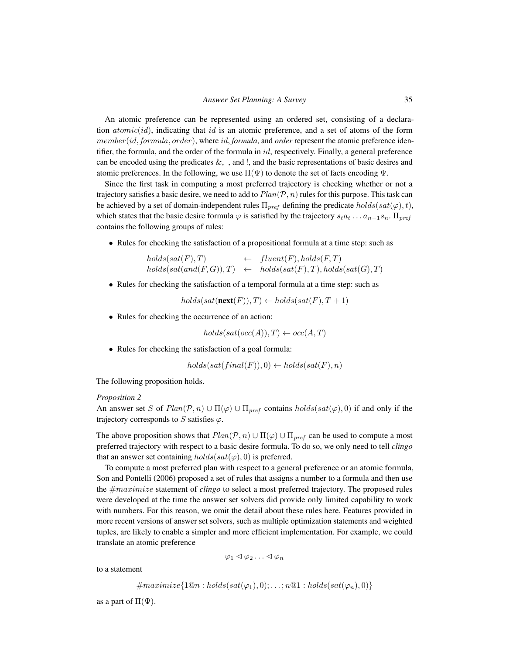An atomic preference can be represented using an ordered set, consisting of a declaration  $atomic(id)$ , indicating that id is an atomic preference, and a set of atoms of the form member(id, formula, order), where id, *formula*, and *order* represent the atomic preference identifier, the formula, and the order of the formula in  $id$ , respectively. Finally, a general preference can be encoded using the predicates  $\&$ ,  $\vert$ , and  $\vert$ , and the basic representations of basic desires and atomic preferences. In the following, we use  $\Pi(\Psi)$  to denote the set of facts encoding  $\Psi$ .

Since the first task in computing a most preferred trajectory is checking whether or not a trajectory satisfies a basic desire, we need to add to  $Plan(\mathcal{P}, n)$  rules for this purpose. This task can be achieved by a set of domain-independent rules  $\Pi_{pref}$  defining the predicate  $holdssat(\varphi), t)$ , which states that the basic desire formula  $\varphi$  is satisfied by the trajectory  $s_t a_t \dots a_{n-1} s_n$ .  $\Pi_{pref}$ contains the following groups of rules:

• Rules for checking the satisfaction of a propositional formula at a time step: such as

$$
holds(sat(F), T) \leftarrow fluent(F), holds(F, T)
$$
  

$$
holds(sat(and(F, G)), T) \leftarrow holds(sat(F), T), holds(sat(G), T)
$$

• Rules for checking the satisfaction of a temporal formula at a time step: such as

 $holds(sat(\textbf{next}(F)), T) \leftarrow holds(sat(F), T + 1)$ 

• Rules for checking the occurrence of an action:

 $holds(sat(occ(A)), T) \leftarrow occ(A, T)$ 

• Rules for checking the satisfaction of a goal formula:

$$
holds(sat(final(F)), 0) \leftarrow holds(sat(F), n)
$$

The following proposition holds.

#### *Proposition 2*

An answer set S of  $Plan(\mathcal{P}, n) \cup \Pi(\varphi) \cup \Pi_{pref}$  contains  $holds(sat(\varphi), 0)$  if and only if the trajectory corresponds to S satisfies  $\varphi$ .

The above proposition shows that  $Plan(\mathcal{P}, n) \cup \Pi(\varphi) \cup \Pi_{pref}$  can be used to compute a most preferred trajectory with respect to a basic desire formula. To do so, we only need to tell *clingo* that an answer set containing  $holds(sat(\varphi), 0)$  is preferred.

To compute a most preferred plan with respect to a general preference or an atomic formula, Son and Pontelli (2006) proposed a set of rules that assigns a number to a formula and then use the #maximize statement of *clingo* to select a most preferred trajectory. The proposed rules were developed at the time the answer set solvers did provide only limited capability to work with numbers. For this reason, we omit the detail about these rules here. Features provided in more recent versions of answer set solvers, such as multiple optimization statements and weighted tuples, are likely to enable a simpler and more efficient implementation. For example, we could translate an atomic preference

$$
\varphi_1 \lhd \varphi_2 \ldots \lhd \varphi_n
$$

to a statement

 $\#maximize\{1@n : holds(sat(\varphi_1), 0); \ldots; n@1 : holds(sat(\varphi_n), 0)\}$ 

as a part of  $\Pi(\Psi)$ .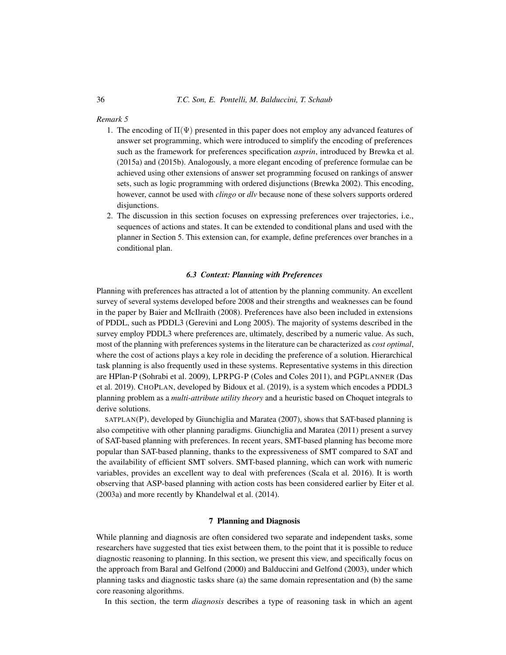### *Remark 5*

- 1. The encoding of  $\Pi(\Psi)$  presented in this paper does not employ any advanced features of answer set programming, which were introduced to simplify the encoding of preferences such as the framework for preferences specification *asprin*, introduced by Brewka et al. (2015a) and (2015b). Analogously, a more elegant encoding of preference formulae can be achieved using other extensions of answer set programming focused on rankings of answer sets, such as logic programming with ordered disjunctions (Brewka 2002). This encoding, however, cannot be used with *clingo* or *dlv* because none of these solvers supports ordered disjunctions.
- 2. The discussion in this section focuses on expressing preferences over trajectories, i.e., sequences of actions and states. It can be extended to conditional plans and used with the planner in Section 5. This extension can, for example, define preferences over branches in a conditional plan.

# *6.3 Context: Planning with Preferences*

Planning with preferences has attracted a lot of attention by the planning community. An excellent survey of several systems developed before 2008 and their strengths and weaknesses can be found in the paper by Baier and McIlraith (2008). Preferences have also been included in extensions of PDDL, such as PDDL3 (Gerevini and Long 2005). The majority of systems described in the survey employ PDDL3 where preferences are, ultimately, described by a numeric value. As such, most of the planning with preferences systems in the literature can be characterized as *cost optimal*, where the cost of actions plays a key role in deciding the preference of a solution. Hierarchical task planning is also frequently used in these systems. Representative systems in this direction are HPlan-P (Sohrabi et al. 2009), LPRPG-P (Coles and Coles 2011), and PGPLANNER (Das et al. 2019). CHOPLAN, developed by Bidoux et al. (2019), is a system which encodes a PDDL3 planning problem as a *multi-attribute utility theory* and a heuristic based on Choquet integrals to derive solutions.

SATPLAN(P), developed by Giunchiglia and Maratea (2007), shows that SAT-based planning is also competitive with other planning paradigms. Giunchiglia and Maratea (2011) present a survey of SAT-based planning with preferences. In recent years, SMT-based planning has become more popular than SAT-based planning, thanks to the expressiveness of SMT compared to SAT and the availability of efficient SMT solvers. SMT-based planning, which can work with numeric variables, provides an excellent way to deal with preferences (Scala et al. 2016). It is worth observing that ASP-based planning with action costs has been considered earlier by Eiter et al. (2003a) and more recently by Khandelwal et al. (2014).

#### 7 Planning and Diagnosis

While planning and diagnosis are often considered two separate and independent tasks, some researchers have suggested that ties exist between them, to the point that it is possible to reduce diagnostic reasoning to planning. In this section, we present this view, and specifically focus on the approach from Baral and Gelfond (2000) and Balduccini and Gelfond (2003), under which planning tasks and diagnostic tasks share (a) the same domain representation and (b) the same core reasoning algorithms.

In this section, the term *diagnosis* describes a type of reasoning task in which an agent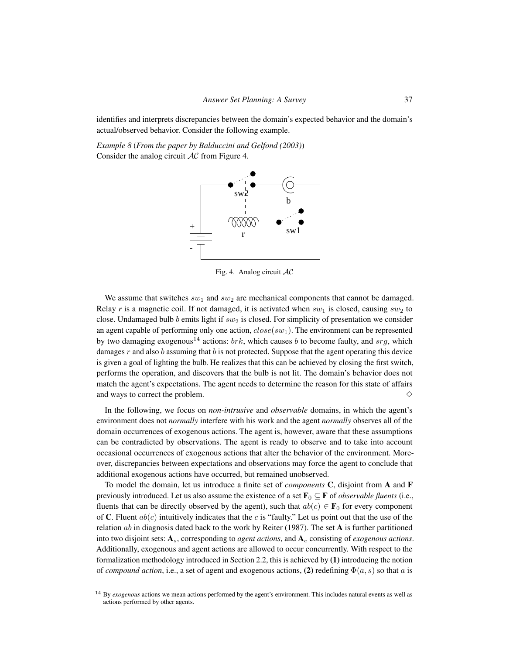identifies and interprets discrepancies between the domain's expected behavior and the domain's actual/observed behavior. Consider the following example.

*Example 8* (*From the paper by Balduccini and Gelfond (2003)*) Consider the analog circuit AC from Figure 4.



Fig. 4. Analog circuit AC

We assume that switches  $sw_1$  and  $sw_2$  are mechanical components that cannot be damaged. Relay *r* is a magnetic coil. If not damaged, it is activated when  $sw_1$  is closed, causing  $sw_2$  to close. Undamaged bulb b emits light if  $sw_2$  is closed. For simplicity of presentation we consider an agent capable of performing only one action,  $close(sw_1)$ . The environment can be represented by two damaging exogenous<sup>14</sup> actions: brk, which causes b to become faulty, and srg, which damages r and also b assuming that b is not protected. Suppose that the agent operating this device is given a goal of lighting the bulb. He realizes that this can be achieved by closing the first switch, performs the operation, and discovers that the bulb is not lit. The domain's behavior does not match the agent's expectations. The agent needs to determine the reason for this state of affairs and ways to correct the problem.  $\Diamond$ 

In the following, we focus on *non-intrusive* and *observable* domains, in which the agent's environment does not *normally* interfere with his work and the agent *normally* observes all of the domain occurrences of exogenous actions. The agent is, however, aware that these assumptions can be contradicted by observations. The agent is ready to observe and to take into account occasional occurrences of exogenous actions that alter the behavior of the environment. Moreover, discrepancies between expectations and observations may force the agent to conclude that additional exogenous actions have occurred, but remained unobserved.

To model the domain, let us introduce a finite set of *components* C, disjoint from A and F previously introduced. Let us also assume the existence of a set  $\mathbf{F}_0 \subseteq \mathbf{F}$  of *observable fluents* (i.e., fluents that can be directly observed by the agent), such that  $ab(c) \in \mathbf{F}_0$  for every component of C. Fluent  $ab(c)$  intuitively indicates that the c is "faulty." Let us point out that the use of the relation  $ab$  in diagnosis dated back to the work by Reiter (1987). The set A is further partitioned into two disjoint sets:  $A_s$ , corresponding to *agent actions*, and  $A_e$  consisting of *exogenous actions*. Additionally, exogenous and agent actions are allowed to occur concurrently. With respect to the formalization methodology introduced in Section 2.2, this is achieved by (1) introducing the notion of *compound action*, i.e., a set of agent and exogenous actions, (2) redefining  $\Phi(a, s)$  so that a is

<sup>14</sup> By *exogenous* actions we mean actions performed by the agent's environment. This includes natural events as well as actions performed by other agents.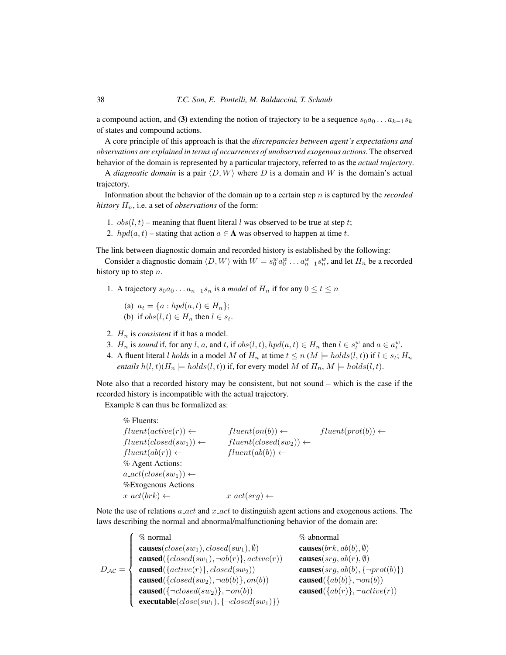a compound action, and (3) extending the notion of trajectory to be a sequence  $s_0a_0 \dots a_{k-1}s_k$ of states and compound actions.

A core principle of this approach is that the *discrepancies between agent's expectations and observations are explained in terms of occurrences of unobserved exogenous actions*. The observed behavior of the domain is represented by a particular trajectory, referred to as the *actual trajectory*.

A *diagnostic domain* is a pair  $\langle D, W \rangle$  where D is a domain and W is the domain's actual trajectory.

Information about the behavior of the domain up to a certain step n is captured by the *recorded history*  $H_n$ , i.e. a set of *observations* of the form:

- 1.  $obs(l, t)$  meaning that fluent literal l was observed to be true at step t;
- 2.  $hpd(a, t)$  stating that action  $a \in A$  was observed to happen at time t.

The link between diagnostic domain and recorded history is established by the following:

Consider a diagnostic domain  $\langle D, W \rangle$  with  $W = s_0^w a_0^w \dots a_{n-1}^w s_n^w$ , and let  $H_n$  be a recorded history up to step  $n$ .

- 1. A trajectory  $s_0a_0 \ldots a_{n-1}s_n$  is a *model* of  $H_n$  if for any  $0 \le t \le n$ 
	- (a)  $a_t = \{a : hpd(a, t) \in H_n\};$ (b) if  $obs(l, t) \in H_n$  then  $l \in s_t$ .
- 2.  $H_n$  is *consistent* if it has a model.
- 3.  $H_n$  is *sound* if, for any l, a, and t, if  $obs(l, t)$ ,  $hpd(a, t) \in H_n$  then  $l \in s_t^w$  and  $a \in a_t^w$ .
- 4. A fluent literal l *holds* in a model M of  $H_n$  at time  $t \leq n$  ( $M \models holds(l, t)$ ) if  $l \in s_t$ ;  $H_n$ *entails*  $h(l, t)(H_n \models holds(l, t))$  if, for every model M of  $H_n$ ,  $M \models holds(l, t)$ .

Note also that a recorded history may be consistent, but not sound – which is the case if the recorded history is incompatible with the actual trajectory.

Example 8 can thus be formalized as:

 $\alpha$  Fu

| <i>%</i> riuents:                 |                                   |                              |
|-----------------------------------|-----------------------------------|------------------------------|
| $fluent(active(r)) \leftarrow$    | $fluent(on(b)) \leftarrow$        | $fluent(prot(b)) \leftarrow$ |
| $fluent(closed(sw_1)) \leftarrow$ | $fluent(closed(sw_2)) \leftarrow$ |                              |
| $fluent(ab(r)) \leftarrow$        | $fluent(ab(b)) \leftarrow$        |                              |
| % Agent Actions:                  |                                   |                              |
| $a\_act(close(sw_1)) \leftarrow$  |                                   |                              |
| %Exogenous Actions                |                                   |                              |
| $x\text{.}act(brk) \leftarrow$    | $x \text{ } act(srg) \leftarrow$  |                              |

Note the use of relations  $a_1 \cdot act$  and  $x_1 \cdot act$  to distinguish agent actions and exogenous actions. The laws describing the normal and abnormal/malfunctioning behavior of the domain are:

 $D_{\mathcal{AC}} =$  $\sqrt{ }$  $\begin{array}{c} \hline \end{array}$  $\begin{array}{|c|c|} \hline \rule{0pt}{12pt} \rule{0pt}{2pt} \rule{0pt}{2pt} \rule{0pt}{2pt} \rule{0pt}{2pt} \rule{0pt}{2pt} \rule{0pt}{2pt} \rule{0pt}{2pt} \rule{0pt}{2pt} \rule{0pt}{2pt} \rule{0pt}{2pt} \rule{0pt}{2pt} \rule{0pt}{2pt} \rule{0pt}{2pt} \rule{0pt}{2pt} \rule{0pt}{2pt} \rule{0pt}{2pt} \rule{0pt}{2pt} \rule{0pt}{2pt} \rule{0pt}{2pt} \rule{0pt}{2pt} \rule{0pt}{2pt} \rule{0pt}{2$ % normal % abnormal causes( $close(sw_1), closed(sw_1), \emptyset)$  causes(brk,  $ab(b), \emptyset)$ caused $(\{closed(sw_1), \neg ab(r)\}, active(r))$  causes $(srg, ab(r), \emptyset)$ **caused**({ $active(r)$ },  $closed(sw_2)$  **causes**( $srg, ab(b)$ , { $\neg prot(b)$ }) **caused**( $\{closed(sw_2), \neg ab(b)\}$ ,  $on(b)$ ) **caused**( $\{ab(b)\}$ ,  $\neg on(b)$ ) **caused**( $\{\neg closed(sw_2)\}, \neg on(b)$  **caused**( $\{ab(r)\}, \neg active(r)$ ) **executable**( $close(sw_1), \{\neg closed(sw_1)\})$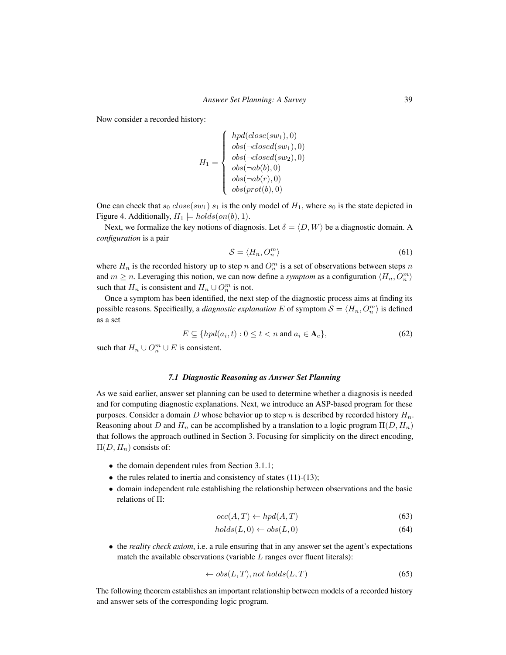Now consider a recorded history:

$$
H_1 = \left\{ \begin{array}{c} \begin{array}{c} \begin{array}{c} \begin{array}{c} \begin{array}{c} \begin{array}{c} \begin{array}{c} \end{array}\end{array}\end{array} & \begin{array}{c} \end{array} & \begin{array}{c} \end{array} & \end{array} & \end{array} & \begin{array}{c} \end{array} & \begin{array}{c} \end{array} & \end{array} & \begin{array}{c} \end{array} & \end{array} & \begin{array}{c} \end{array} & \begin{array}{c} \end{array} & \end{array} & \begin{array}{c} \end{array} & \end{array} & \begin{array}{c} \end{array} & \begin{array}{c} \end{array} & \end{array} & \end{array} & \begin{array}{c} \end{array} & \begin{array}{c} \end{array} & \end{array} & \begin{array} \end{array} & \end{array} & \begin{array} \end{array} & \end{array} & \begin{array} \end{array} & \end{array} & \begin{array} \end{array} & \end{array} & \begin{array} \end{array} & \end{array} & \begin{array} \end{array} & \end{array} & \begin{array} \end{array} & \end{array} & \begin{array} \end{array} & \end{array} & \begin{array} \end{array} & \end{array} & \begin{array} \end{array} & \end{array} & \begin{array} \end{array} & \end{array} & \begin{array} \end{array} & \end{array} & \begin{array} \end{array} & \end{array} & \begin{array} \end{array} & \end{array} & \begin{array} \end{array} & \end{array} & \begin{array} \end{array} & \end{array} & \begin{array} \end{array} & \end{array} & \begin{array} \end{array} & \begin{array} \end{array} & \end{array} & \begin{array} \end{array} & \begin{array} \end{array} & \begin{array} \end{array} & \end{array} & \begin{array} \end{array} & \begin{array} \end{array} & \end{array} & \begin{array} \end{array} & \begin{array} \end{array} & \begin{array} \end{array} & \begin{array} \end{array} & \begin{array} \end{array} & \begin{array} \end{array} & \end{array} & \begin{array} \end{array} & \begin{array} \end{array} &
$$

One can check that  $s_0 \text{ close}(sw_1) \ s_1$  is the only model of  $H_1$ , where  $s_0$  is the state depicted in Figure 4. Additionally,  $H_1 \models holds(on(b), 1)$ .

Next, we formalize the key notions of diagnosis. Let  $\delta = \langle D, W \rangle$  be a diagnostic domain. A *configuration* is a pair

$$
S = \langle H_n, O_n^m \rangle \tag{61}
$$

where  $H_n$  is the recorded history up to step n and  $O_n^m$  is a set of observations between steps n and  $m \ge n$ . Leveraging this notion, we can now define a *symptom* as a configuration  $\langle H_n, O_n^m \rangle$ such that  $H_n$  is consistent and  $H_n \cup O_n^m$  is not.

Once a symptom has been identified, the next step of the diagnostic process aims at finding its possible reasons. Specifically, a *diagnostic explanation* E of symptom  $\mathcal{S} = \langle H_n, O_n^m \rangle$  is defined as a set

$$
E \subseteq \{hpd(a_i, t) : 0 \le t < n \text{ and } a_i \in \mathbf{A}_e\},\tag{62}
$$

such that  $H_n \cup O_n^m \cup E$  is consistent.

### *7.1 Diagnostic Reasoning as Answer Set Planning*

As we said earlier, answer set planning can be used to determine whether a diagnosis is needed and for computing diagnostic explanations. Next, we introduce an ASP-based program for these purposes. Consider a domain D whose behavior up to step n is described by recorded history  $H_n$ . Reasoning about D and  $H_n$  can be accomplished by a translation to a logic program  $\Pi(D, H_n)$ that follows the approach outlined in Section 3. Focusing for simplicity on the direct encoding,  $\Pi(D, H_n)$  consists of:

- the domain dependent rules from Section 3.1.1;
- $\bullet$  the rules related to inertia and consistency of states (11)-(13);
- domain independent rule establishing the relationship between observations and the basic relations of Π:

$$
occ(A, T) \leftarrow hpd(A, T) \tag{63}
$$

$$
holds(L,0) \leftarrow obs(L,0) \tag{64}
$$

• the *reality check axiom*, i.e. a rule ensuring that in any answer set the agent's expectations match the available observations (variable  $L$  ranges over fluent literals):

$$
\leftarrow obs(L, T), not holds(L, T) \tag{65}
$$

The following theorem establishes an important relationship between models of a recorded history and answer sets of the corresponding logic program.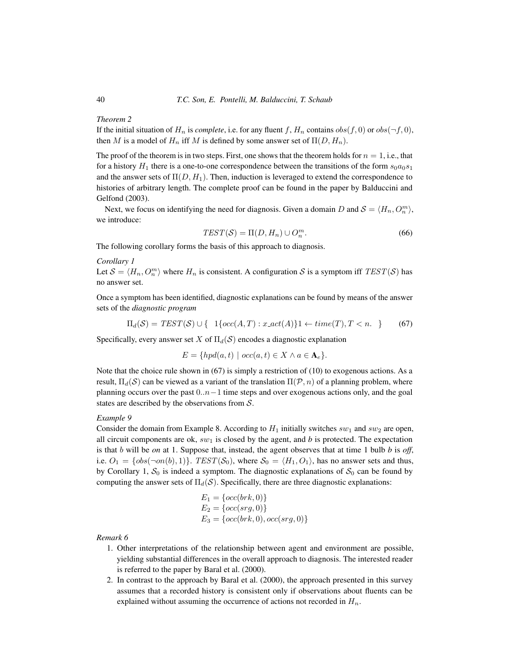*Theorem 2*

If the initial situation of  $H_n$  is *complete*, i.e. for any fluent f,  $H_n$  contains  $obs(f, 0)$  or  $obs(\neg f, 0)$ , then M is a model of  $H_n$  iff M is defined by some answer set of  $\Pi(D, H_n)$ .

The proof of the theorem is in two steps. First, one shows that the theorem holds for  $n = 1$ , i.e., that for a history  $H_1$  there is a one-to-one correspondence between the transitions of the form  $s_0a_0s_1$ and the answer sets of  $\Pi(D, H_1)$ . Then, induction is leveraged to extend the correspondence to histories of arbitrary length. The complete proof can be found in the paper by Balduccini and Gelfond (2003).

Next, we focus on identifying the need for diagnosis. Given a domain D and  $\mathcal{S} = \langle H_n, O_n^m \rangle$ , we introduce:

$$
TEST(\mathcal{S}) = \Pi(D, H_n) \cup O_n^m.
$$
\n(66)

The following corollary forms the basis of this approach to diagnosis.

#### *Corollary 1*

Let  $S = \langle H_n, O_n^m \rangle$  where  $H_n$  is consistent. A configuration S is a symptom iff  $TEST(S)$  has no answer set.

Once a symptom has been identified, diagnostic explanations can be found by means of the answer sets of the *diagnostic program*

$$
\Pi_d(\mathcal{S}) = TEST(\mathcal{S}) \cup \{ 1\{ occ(A, T) : x \cdot act(A) \} 1 \leftarrow time(T), T < n. \}
$$
\n
$$
(67)
$$

Specifically, every answer set X of  $\Pi_d(\mathcal{S})$  encodes a diagnostic explanation

$$
E = \{ hpd(a, t) \mid occ(a, t) \in X \land a \in A_e \}.
$$

Note that the choice rule shown in  $(67)$  is simply a restriction of  $(10)$  to exogenous actions. As a result,  $\Pi_d(\mathcal{S})$  can be viewed as a variant of the translation  $\Pi(\mathcal{P}, n)$  of a planning problem, where planning occurs over the past  $0..n-1$  time steps and over exogenous actions only, and the goal states are described by the observations from  $S$ .

# *Example 9*

Consider the domain from Example 8. According to  $H_1$  initially switches  $sw_1$  and  $sw_2$  are open, all circuit components are ok,  $sw_1$  is closed by the agent, and *b* is protected. The expectation is that b will be *on* at 1. Suppose that, instead, the agent observes that at time 1 bulb *b* is *off*, i.e.  $O_1 = \{obs(\neg on(b), 1)\}\$ . TEST( $S_0$ ), where  $S_0 = \langle H_1, O_1 \rangle$ , has no answer sets and thus, by Corollary 1,  $S_0$  is indeed a symptom. The diagnostic explanations of  $S_0$  can be found by computing the answer sets of  $\Pi_d(\mathcal{S})$ . Specifically, there are three diagnostic explanations:

$$
E_1 = \{ occ(brk, 0) \}
$$
  
\n
$$
E_2 = \{ occ(srg, 0) \}
$$
  
\n
$$
E_3 = \{ occ(brk, 0), occ(srg, 0) \}
$$

*Remark 6*

- 1. Other interpretations of the relationship between agent and environment are possible, yielding substantial differences in the overall approach to diagnosis. The interested reader is referred to the paper by Baral et al. (2000).
- 2. In contrast to the approach by Baral et al. (2000), the approach presented in this survey assumes that a recorded history is consistent only if observations about fluents can be explained without assuming the occurrence of actions not recorded in  $H_n$ .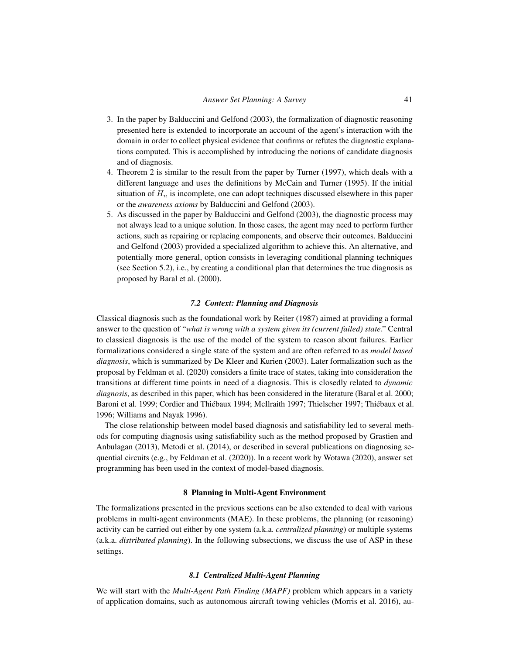- 3. In the paper by Balduccini and Gelfond (2003), the formalization of diagnostic reasoning presented here is extended to incorporate an account of the agent's interaction with the domain in order to collect physical evidence that confirms or refutes the diagnostic explanations computed. This is accomplished by introducing the notions of candidate diagnosis and of diagnosis.
- 4. Theorem 2 is similar to the result from the paper by Turner (1997), which deals with a different language and uses the definitions by McCain and Turner (1995). If the initial situation of  $H_n$  is incomplete, one can adopt techniques discussed elsewhere in this paper or the *awareness axioms* by Balduccini and Gelfond (2003).
- 5. As discussed in the paper by Balduccini and Gelfond (2003), the diagnostic process may not always lead to a unique solution. In those cases, the agent may need to perform further actions, such as repairing or replacing components, and observe their outcomes. Balduccini and Gelfond (2003) provided a specialized algorithm to achieve this. An alternative, and potentially more general, option consists in leveraging conditional planning techniques (see Section 5.2), i.e., by creating a conditional plan that determines the true diagnosis as proposed by Baral et al. (2000).

#### *7.2 Context: Planning and Diagnosis*

Classical diagnosis such as the foundational work by Reiter (1987) aimed at providing a formal answer to the question of "*what is wrong with a system given its (current failed) state*." Central to classical diagnosis is the use of the model of the system to reason about failures. Earlier formalizations considered a single state of the system and are often referred to as *model based diagnosis*, which is summarized by De Kleer and Kurien (2003). Later formalization such as the proposal by Feldman et al. (2020) considers a finite trace of states, taking into consideration the transitions at different time points in need of a diagnosis. This is closedly related to *dynamic diagnosis*, as described in this paper, which has been considered in the literature (Baral et al. 2000; Baroni et al. 1999; Cordier and Thiébaux 1994; McIlraith 1997; Thielscher 1997; Thiébaux et al. 1996; Williams and Nayak 1996).

The close relationship between model based diagnosis and satisfiability led to several methods for computing diagnosis using satisfiability such as the method proposed by Grastien and Anbulagan (2013), Metodi et al. (2014), or described in several publications on diagnosing sequential circuits (e.g., by Feldman et al. (2020)). In a recent work by Wotawa (2020), answer set programming has been used in the context of model-based diagnosis.

#### 8 Planning in Multi-Agent Environment

The formalizations presented in the previous sections can be also extended to deal with various problems in multi-agent environments (MAE). In these problems, the planning (or reasoning) activity can be carried out either by one system (a.k.a. *centralized planning*) or multiple systems (a.k.a. *distributed planning*). In the following subsections, we discuss the use of ASP in these settings.

#### *8.1 Centralized Multi-Agent Planning*

We will start with the *Multi-Agent Path Finding (MAPF)* problem which appears in a variety of application domains, such as autonomous aircraft towing vehicles (Morris et al. 2016), au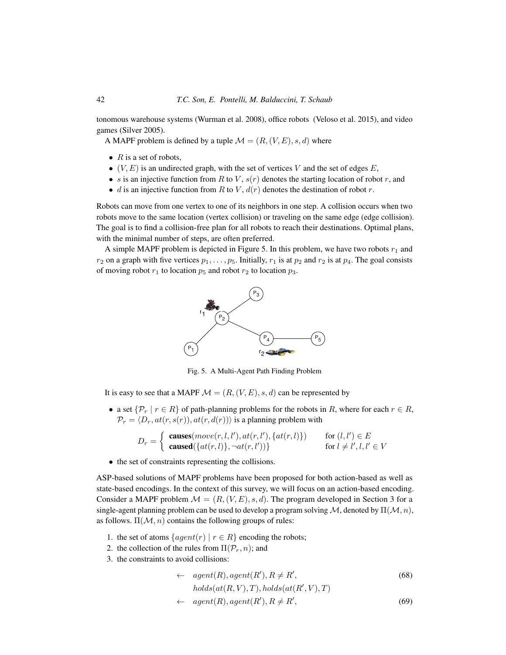tonomous warehouse systems (Wurman et al. 2008), office robots (Veloso et al. 2015), and video games (Silver 2005).

A MAPF problem is defined by a tuple  $\mathcal{M} = (R,(V,E),s,d)$  where

- $R$  is a set of robots,
- $(V, E)$  is an undirected graph, with the set of vertices V and the set of edges E,
- s is an injective function from R to V,  $s(r)$  denotes the starting location of robot r, and
- d is an injective function from R to V,  $d(r)$  denotes the destination of robot r.

Robots can move from one vertex to one of its neighbors in one step. A collision occurs when two robots move to the same location (vertex collision) or traveling on the same edge (edge collision). The goal is to find a collision-free plan for all robots to reach their destinations. Optimal plans, with the minimal number of steps, are often preferred.

A simple MAPF problem is depicted in Figure 5. In this problem, we have two robots  $r_1$  and  $r_2$  on a graph with five vertices  $p_1, \ldots, p_5$ . Initially,  $r_1$  is at  $p_2$  and  $r_2$  is at  $p_4$ . The goal consists of moving robot  $r_1$  to location  $p_5$  and robot  $r_2$  to location  $p_3$ .



Fig. 5. A Multi-Agent Path Finding Problem

It is easy to see that a MAPF  $\mathcal{M} = (R,(V,E), s, d)$  can be represented by

• a set  $\{\mathcal{P}_r \mid r \in R\}$  of path-planning problems for the robots in R, where for each  $r \in R$ ,  $\mathcal{P}_r = \langle D_r, at(r, s(r)), at(r, d(r))\rangle$  is a planning problem with

$$
D_r = \begin{cases} \text{ causes}(move(r, l, l'), at(r, l'), \{at(r, l)\}) & \text{for } (l, l') \in E \\ \text{caused}(\{at(r, l)\}, \neg at(r, l'))\} & \text{for } l \neq l', l, l' \in V \end{cases}
$$

• the set of constraints representing the collisions.

ASP-based solutions of MAPF problems have been proposed for both action-based as well as state-based encodings. In the context of this survey, we will focus on an action-based encoding. Consider a MAPF problem  $\mathcal{M} = (R,(V,E), s, d)$ . The program developed in Section 3 for a single-agent planning problem can be used to develop a program solving  $M$ , denoted by  $\Pi(M, n)$ , as follows.  $\Pi(\mathcal{M}, n)$  contains the following groups of rules:

- 1. the set of atoms  $\{agent(r) | r \in R\}$  encoding the robots;
- 2. the collection of the rules from  $\Pi(\mathcal{P}_r, n)$ ; and
- 3. the constraints to avoid collisions:

$$
\leftarrow agent(R), agent(R'), R \neq R',\nholds(at(R, V), T), holds(at(R', V), T)\n\leftarrow agent(R), agent(R'), R \neq R',
$$
\n(69)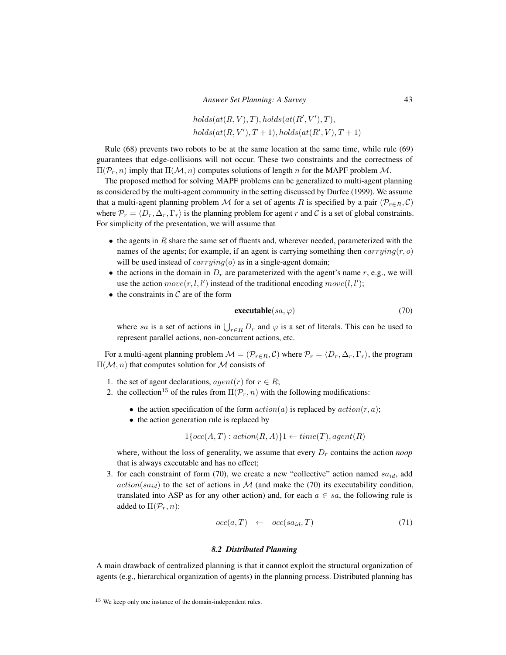$$
holds(at(R, V), T), holds(at(R', V'), T),
$$
  

$$
holds(at(R, V'), T + 1), holds(at(R', V), T + 1)
$$

Rule (68) prevents two robots to be at the same location at the same time, while rule (69) guarantees that edge-collisions will not occur. These two constraints and the correctness of  $\Pi(\mathcal{P}_r, n)$  imply that  $\Pi(\mathcal{M}, n)$  computes solutions of length n for the MAPF problem M.

The proposed method for solving MAPF problems can be generalized to multi-agent planning as considered by the multi-agent community in the setting discussed by Durfee (1999). We assume that a multi-agent planning problem M for a set of agents R is specified by a pair  $(\mathcal{P}_{r \in R}, \mathcal{C})$ where  $\mathcal{P}_r = \langle D_r, \Delta_r, \Gamma_r \rangle$  is the planning problem for agent r and C is a set of global constraints. For simplicity of the presentation, we will assume that

- $\bullet$  the agents in  $R$  share the same set of fluents and, wherever needed, parameterized with the names of the agents; for example, if an agent is carrying something then  $carrying(r, o)$ will be used instead of  $carrying(o)$  as in a single-agent domain;
- the actions in the domain in  $D_r$  are parameterized with the agent's name r, e.g., we will use the action  $move(r, l, l')$  instead of the traditional encoding  $move(l, l')$ ;
- $\bullet$  the constraints in  $\mathcal C$  are of the form

$$
\textbf{execute}(\mathit{sa}, \varphi) \tag{70}
$$

where sa is a set of actions in  $\bigcup_{r \in R} D_r$  and  $\varphi$  is a set of literals. This can be used to represent parallel actions, non-concurrent actions, etc.

For a multi-agent planning problem  $\mathcal{M} = (\mathcal{P}_{r \in R}, \mathcal{C})$  where  $\mathcal{P}_r = \langle D_r, \Delta_r, \Gamma_r \rangle$ , the program  $\Pi(\mathcal{M}, n)$  that computes solution for M consists of

- 1. the set of agent declarations,  $agent(r)$  for  $r \in R$ ;
- 2. the collection<sup>15</sup> of the rules from  $\Pi(\mathcal{P}_r, n)$  with the following modifications:
	- the action specification of the form  $action(a)$  is replaced by  $action(r, a)$ ;
	- the action generation rule is replaced by

$$
1\{occ(A, T) : action(R, A)\}1 \leftarrow time(T), agent(R)
$$

where, without the loss of generality, we assume that every  $D_r$  contains the action *noop* that is always executable and has no effect;

3. for each constraint of form (70), we create a new "collective" action named  $sa_{id}$ , add  $action(sa_{id})$  to the set of actions in M (and make the (70) its executability condition, translated into ASP as for any other action) and, for each  $a \in sa$ , the following rule is added to  $\Pi(\mathcal{P}_r, n)$ :

$$
occ(a, T) \leftarrow occ(sa_{id}, T) \tag{71}
$$

# *8.2 Distributed Planning*

A main drawback of centralized planning is that it cannot exploit the structural organization of agents (e.g., hierarchical organization of agents) in the planning process. Distributed planning has

<sup>&</sup>lt;sup>15</sup> We keep only one instance of the domain-independent rules.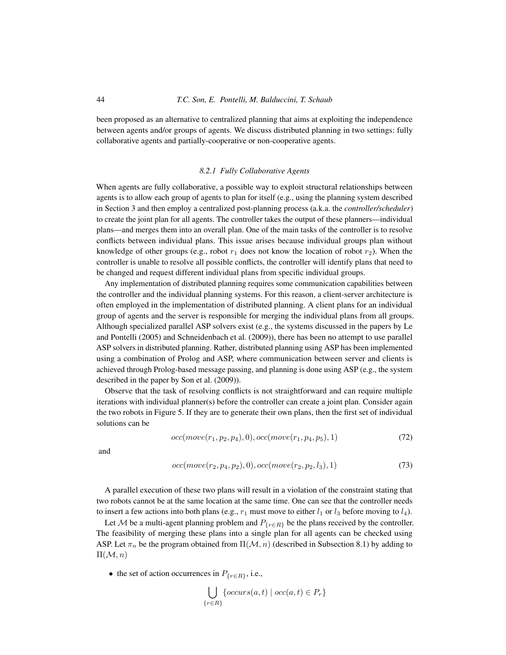been proposed as an alternative to centralized planning that aims at exploiting the independence between agents and/or groups of agents. We discuss distributed planning in two settings: fully collaborative agents and partially-cooperative or non-cooperative agents.

# *8.2.1 Fully Collaborative Agents*

When agents are fully collaborative, a possible way to exploit structural relationships between agents is to allow each group of agents to plan for itself (e.g., using the planning system described in Section 3 and then employ a centralized post-planning process (a.k.a. the *controller/scheduler*) to create the joint plan for all agents. The controller takes the output of these planners—individual plans—and merges them into an overall plan. One of the main tasks of the controller is to resolve conflicts between individual plans. This issue arises because individual groups plan without knowledge of other groups (e.g., robot  $r_1$  does not know the location of robot  $r_2$ ). When the controller is unable to resolve all possible conflicts, the controller will identify plans that need to be changed and request different individual plans from specific individual groups.

Any implementation of distributed planning requires some communication capabilities between the controller and the individual planning systems. For this reason, a client-server architecture is often employed in the implementation of distributed planning. A client plans for an individual group of agents and the server is responsible for merging the individual plans from all groups. Although specialized parallel ASP solvers exist (e.g., the systems discussed in the papers by Le and Pontelli (2005) and Schneidenbach et al. (2009)), there has been no attempt to use parallel ASP solvers in distributed planning. Rather, distributed planning using ASP has been implemented using a combination of Prolog and ASP, where communication between server and clients is achieved through Prolog-based message passing, and planning is done using ASP (e.g., the system described in the paper by Son et al. (2009)).

Observe that the task of resolving conflicts is not straightforward and can require multiple iterations with individual planner(s) before the controller can create a joint plan. Consider again the two robots in Figure 5. If they are to generate their own plans, then the first set of individual solutions can be

$$
occ(move(r_1, p_2, p_4), 0), occ(move(r_1, p_4, p_5), 1)
$$
\n(72)

and

$$
occ(move(r_2, p_4, p_2), 0), occ(move(r_2, p_2, l_3), 1)
$$
\n(73)

A parallel execution of these two plans will result in a violation of the constraint stating that two robots cannot be at the same location at the same time. One can see that the controller needs to insert a few actions into both plans (e.g.,  $r_1$  must move to either  $l_1$  or  $l_3$  before moving to  $l_4$ ).

Let M be a multi-agent planning problem and  $P_{\{r \in R\}}$  be the plans received by the controller. The feasibility of merging these plans into a single plan for all agents can be checked using ASP. Let  $\pi_n$  be the program obtained from  $\Pi(\mathcal{M}, n)$  (described in Subsection 8.1) by adding to  $\Pi(\mathcal{M}, n)$ 

• the set of action occurrences in  $P_{\{r \in R\}}$ , i.e.,

$$
\bigcup_{\{r \in R\}} \{occurs(a, t) \mid occ(a, t) \in P_r\}
$$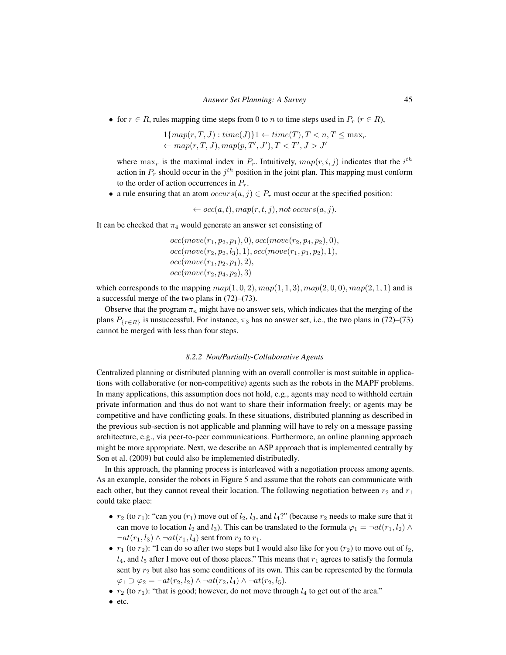• for  $r \in R$ , rules mapping time steps from 0 to n to time steps used in  $P_r$  ( $r \in R$ ),

$$
1\{map(r, T, J) : time(J)\}1 \leftarrow time(T), T < n, T \leq \max_r
$$
  

$$
\leftarrow map(r, T, J), map(p, T', J'), T < T', J > J'
$$

where  $\max_r$  is the maximal index in  $P_r$ . Intuitively,  $map(r, i, j)$  indicates that the  $i^{th}$ action in  $P_r$  should occur in the  $j<sup>th</sup>$  position in the joint plan. This mapping must conform to the order of action occurrences in  $P<sub>r</sub>$ .

• a rule ensuring that an atom  $occurs(a, j) \in P_r$  must occur at the specified position:

 $\leftarrow occ(a, t), map(r, t, j), not occurs(a, j).$ 

It can be checked that  $\pi_4$  would generate an answer set consisting of

$$
occ(move(r_1, p_2, p_1), 0), occ(move(r_2, p_4, p_2), 0), \\ occ(move(r_2, p_2, l_3), 1), occ(move(r_1, p_1, p_2), 1), \\ occ(move(r_1, p_2, p_1), 2), \\ occ(move(r_2, p_4, p_2), 3)
$$

which corresponds to the mapping  $map(1, 0, 2)$ ,  $map(1, 1, 3)$ ,  $map(2, 0, 0)$ ,  $map(2, 1, 1)$  and is a successful merge of the two plans in (72)–(73).

Observe that the program  $\pi_n$  might have no answer sets, which indicates that the merging of the plans  $P_{\{r \in R\}}$  is unsuccessful. For instance,  $\pi_3$  has no answer set, i.e., the two plans in (72)–(73) cannot be merged with less than four steps.

# *8.2.2 Non/Partially-Collaborative Agents*

Centralized planning or distributed planning with an overall controller is most suitable in applications with collaborative (or non-competitive) agents such as the robots in the MAPF problems. In many applications, this assumption does not hold, e.g., agents may need to withhold certain private information and thus do not want to share their information freely; or agents may be competitive and have conflicting goals. In these situations, distributed planning as described in the previous sub-section is not applicable and planning will have to rely on a message passing architecture, e.g., via peer-to-peer communications. Furthermore, an online planning approach might be more appropriate. Next, we describe an ASP approach that is implemented centrally by Son et al. (2009) but could also be implemented distributedly.

In this approach, the planning process is interleaved with a negotiation process among agents. As an example, consider the robots in Figure 5 and assume that the robots can communicate with each other, but they cannot reveal their location. The following negotiation between  $r_2$  and  $r_1$ could take place:

- $r_2$  (to  $r_1$ ): "can you  $(r_1)$  move out of  $l_2$ ,  $l_3$ , and  $l_4$ ?" (because  $r_2$  needs to make sure that it can move to location  $l_2$  and  $l_3$ ). This can be translated to the formula  $\varphi_1 = \neg at(r_1, l_2) \land$  $\neg at(r_1, l_3) \wedge \neg at(r_1, l_4)$  sent from  $r_2$  to  $r_1$ .
- $r_1$  (to  $r_2$ ): "I can do so after two steps but I would also like for you  $(r_2)$  to move out of  $l_2$ ,  $l_4$ , and  $l_5$  after I move out of those places." This means that  $r_1$  agrees to satisfy the formula sent by  $r_2$  but also has some conditions of its own. This can be represented by the formula  $\varphi_1 \supset \varphi_2 = \neg at(r_2, l_2) \wedge \neg at(r_2, l_4) \wedge \neg at(r_2, l_5).$
- $r_2$  (to  $r_1$ ): "that is good; however, do not move through  $l_4$  to get out of the area."
- etc.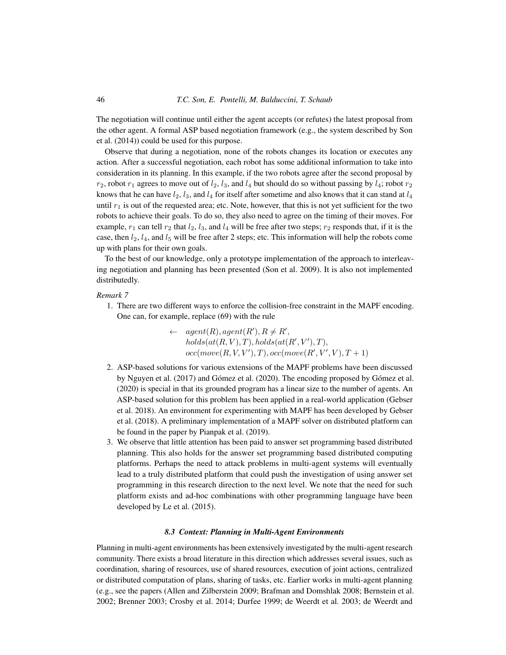The negotiation will continue until either the agent accepts (or refutes) the latest proposal from the other agent. A formal ASP based negotiation framework (e.g., the system described by Son et al. (2014)) could be used for this purpose.

Observe that during a negotiation, none of the robots changes its location or executes any action. After a successful negotiation, each robot has some additional information to take into consideration in its planning. In this example, if the two robots agree after the second proposal by  $r_2$ , robot  $r_1$  agrees to move out of  $l_2$ ,  $l_3$ , and  $l_4$  but should do so without passing by  $l_4$ ; robot  $r_2$ knows that he can have  $l_2$ ,  $l_3$ , and  $l_4$  for itself after sometime and also knows that it can stand at  $l_4$ until  $r_1$  is out of the requested area; etc. Note, however, that this is not yet sufficient for the two robots to achieve their goals. To do so, they also need to agree on the timing of their moves. For example,  $r_1$  can tell  $r_2$  that  $l_2$ ,  $l_3$ , and  $l_4$  will be free after two steps;  $r_2$  responds that, if it is the case, then  $l_2$ ,  $l_4$ , and  $l_5$  will be free after 2 steps; etc. This information will help the robots come up with plans for their own goals.

To the best of our knowledge, only a prototype implementation of the approach to interleaving negotiation and planning has been presented (Son et al. 2009). It is also not implemented distributedly.

# *Remark 7*

1. There are two different ways to enforce the collision-free constraint in the MAPF encoding. One can, for example, replace (69) with the rule

> $\leftarrow$  agent(R), agent(R'),  $R \neq R'$ ,  $holds(at(R, V), T), holds(at(R', V'), T),$  $occ(move(R, V, V'), T), occ(move(R', V', V), T + 1)$

- 2. ASP-based solutions for various extensions of the MAPF problems have been discussed by Nguyen et al. (2017) and Gómez et al. (2020). The encoding proposed by Gómez et al. (2020) is special in that its grounded program has a linear size to the number of agents. An ASP-based solution for this problem has been applied in a real-world application (Gebser et al. 2018). An environment for experimenting with MAPF has been developed by Gebser et al. (2018). A preliminary implementation of a MAPF solver on distributed platform can be found in the paper by Pianpak et al. (2019).
- 3. We observe that little attention has been paid to answer set programming based distributed planning. This also holds for the answer set programming based distributed computing platforms. Perhaps the need to attack problems in multi-agent systems will eventually lead to a truly distributed platform that could push the investigation of using answer set programming in this research direction to the next level. We note that the need for such platform exists and ad-hoc combinations with other programming language have been developed by Le et al. (2015).

# *8.3 Context: Planning in Multi-Agent Environments*

Planning in multi-agent environments has been extensively investigated by the multi-agent research community. There exists a broad literature in this direction which addresses several issues, such as coordination, sharing of resources, use of shared resources, execution of joint actions, centralized or distributed computation of plans, sharing of tasks, etc. Earlier works in multi-agent planning (e.g., see the papers (Allen and Zilberstein 2009; Brafman and Domshlak 2008; Bernstein et al. 2002; Brenner 2003; Crosby et al. 2014; Durfee 1999; de Weerdt et al. 2003; de Weerdt and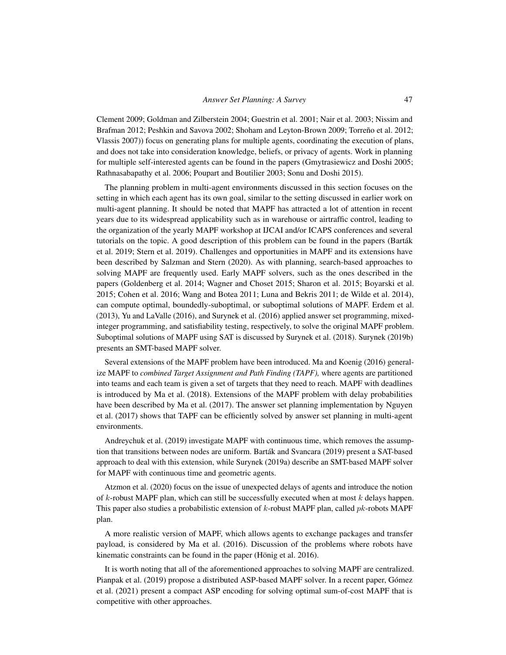# *Answer Set Planning: A Survey* 47

Clement 2009; Goldman and Zilberstein 2004; Guestrin et al. 2001; Nair et al. 2003; Nissim and Brafman 2012; Peshkin and Savova 2002; Shoham and Leyton-Brown 2009; Torreño et al. 2012; Vlassis 2007)) focus on generating plans for multiple agents, coordinating the execution of plans, and does not take into consideration knowledge, beliefs, or privacy of agents. Work in planning for multiple self-interested agents can be found in the papers (Gmytrasiewicz and Doshi 2005; Rathnasabapathy et al. 2006; Poupart and Boutilier 2003; Sonu and Doshi 2015).

The planning problem in multi-agent environments discussed in this section focuses on the setting in which each agent has its own goal, similar to the setting discussed in earlier work on multi-agent planning. It should be noted that MAPF has attracted a lot of attention in recent years due to its widespread applicability such as in warehouse or airtraffic control, leading to the organization of the yearly MAPF workshop at IJCAI and/or ICAPS conferences and several tutorials on the topic. A good description of this problem can be found in the papers (Bartak´ et al. 2019; Stern et al. 2019). Challenges and opportunities in MAPF and its extensions have been described by Salzman and Stern (2020). As with planning, search-based approaches to solving MAPF are frequently used. Early MAPF solvers, such as the ones described in the papers (Goldenberg et al. 2014; Wagner and Choset 2015; Sharon et al. 2015; Boyarski et al. 2015; Cohen et al. 2016; Wang and Botea 2011; Luna and Bekris 2011; de Wilde et al. 2014), can compute optimal, boundedly-suboptimal, or suboptimal solutions of MAPF. Erdem et al. (2013), Yu and LaValle (2016), and Surynek et al. (2016) applied answer set programming, mixedinteger programming, and satisfiability testing, respectively, to solve the original MAPF problem. Suboptimal solutions of MAPF using SAT is discussed by Surynek et al. (2018). Surynek (2019b) presents an SMT-based MAPF solver.

Several extensions of the MAPF problem have been introduced. Ma and Koenig (2016) generalize MAPF to *combined Target Assignment and Path Finding (TAPF),* where agents are partitioned into teams and each team is given a set of targets that they need to reach. MAPF with deadlines is introduced by Ma et al. (2018). Extensions of the MAPF problem with delay probabilities have been described by Ma et al. (2017). The answer set planning implementation by Nguyen et al. (2017) shows that TAPF can be efficiently solved by answer set planning in multi-agent environments.

Andreychuk et al. (2019) investigate MAPF with continuous time, which removes the assumption that transitions between nodes are uniform. Bartak and Svancara (2019) present a SAT-based ´ approach to deal with this extension, while Surynek (2019a) describe an SMT-based MAPF solver for MAPF with continuous time and geometric agents.

Atzmon et al. (2020) focus on the issue of unexpected delays of agents and introduce the notion of k-robust MAPF plan, which can still be successfully executed when at most  $k$  delays happen. This paper also studies a probabilistic extension of k-robust MAPF plan, called  $pk$ -robots MAPF plan.

A more realistic version of MAPF, which allows agents to exchange packages and transfer payload, is considered by Ma et al. (2016). Discussion of the problems where robots have kinematic constraints can be found in the paper (Hönig et al. 2016).

It is worth noting that all of the aforementioned approaches to solving MAPF are centralized. Pianpak et al. (2019) propose a distributed ASP-based MAPF solver. In a recent paper, Gómez et al. (2021) present a compact ASP encoding for solving optimal sum-of-cost MAPF that is competitive with other approaches.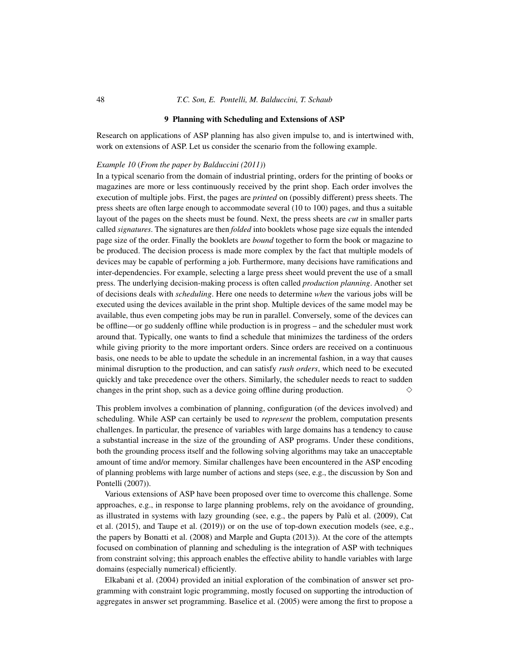# 48 *T.C. Son, E. Pontelli, M. Balduccini, T. Schaub*

#### 9 Planning with Scheduling and Extensions of ASP

Research on applications of ASP planning has also given impulse to, and is intertwined with, work on extensions of ASP. Let us consider the scenario from the following example.

### *Example 10* (*From the paper by Balduccini (2011)*)

In a typical scenario from the domain of industrial printing, orders for the printing of books or magazines are more or less continuously received by the print shop. Each order involves the execution of multiple jobs. First, the pages are *printed* on (possibly different) press sheets. The press sheets are often large enough to accommodate several (10 to 100) pages, and thus a suitable layout of the pages on the sheets must be found. Next, the press sheets are *cut* in smaller parts called *signatures*. The signatures are then *folded* into booklets whose page size equals the intended page size of the order. Finally the booklets are *bound* together to form the book or magazine to be produced. The decision process is made more complex by the fact that multiple models of devices may be capable of performing a job. Furthermore, many decisions have ramifications and inter-dependencies. For example, selecting a large press sheet would prevent the use of a small press. The underlying decision-making process is often called *production planning*. Another set of decisions deals with *scheduling*. Here one needs to determine *when* the various jobs will be executed using the devices available in the print shop. Multiple devices of the same model may be available, thus even competing jobs may be run in parallel. Conversely, some of the devices can be offline—or go suddenly offline while production is in progress – and the scheduler must work around that. Typically, one wants to find a schedule that minimizes the tardiness of the orders while giving priority to the more important orders. Since orders are received on a continuous basis, one needs to be able to update the schedule in an incremental fashion, in a way that causes minimal disruption to the production, and can satisfy *rush orders*, which need to be executed quickly and take precedence over the others. Similarly, the scheduler needs to react to sudden changes in the print shop, such as a device going offline during production.  $\diamond$ 

This problem involves a combination of planning, configuration (of the devices involved) and scheduling. While ASP can certainly be used to *represent* the problem, computation presents challenges. In particular, the presence of variables with large domains has a tendency to cause a substantial increase in the size of the grounding of ASP programs. Under these conditions, both the grounding process itself and the following solving algorithms may take an unacceptable amount of time and/or memory. Similar challenges have been encountered in the ASP encoding of planning problems with large number of actions and steps (see, e.g., the discussion by Son and Pontelli (2007)).

Various extensions of ASP have been proposed over time to overcome this challenge. Some approaches, e.g., in response to large planning problems, rely on the avoidance of grounding, as illustrated in systems with lazy grounding (see, e.g., the papers by Palu et al.  $(2009)$ , Cat et al. (2015), and Taupe et al. (2019)) or on the use of top-down execution models (see, e.g., the papers by Bonatti et al. (2008) and Marple and Gupta (2013)). At the core of the attempts focused on combination of planning and scheduling is the integration of ASP with techniques from constraint solving; this approach enables the effective ability to handle variables with large domains (especially numerical) efficiently.

Elkabani et al. (2004) provided an initial exploration of the combination of answer set programming with constraint logic programming, mostly focused on supporting the introduction of aggregates in answer set programming. Baselice et al. (2005) were among the first to propose a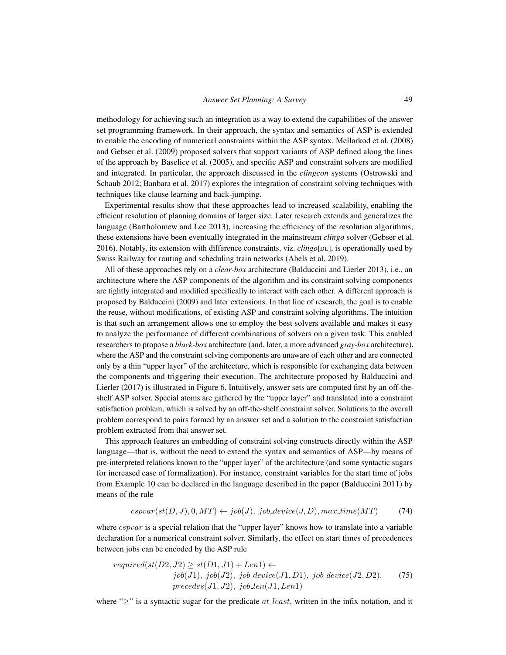methodology for achieving such an integration as a way to extend the capabilities of the answer set programming framework. In their approach, the syntax and semantics of ASP is extended to enable the encoding of numerical constraints within the ASP syntax. Mellarkod et al. (2008) and Gebser et al. (2009) proposed solvers that support variants of ASP defined along the lines of the approach by Baselice et al. (2005), and specific ASP and constraint solvers are modified and integrated. In particular, the approach discussed in the *clingcon* systems (Ostrowski and Schaub 2012; Banbara et al. 2017) explores the integration of constraint solving techniques with techniques like clause learning and back-jumping.

Experimental results show that these approaches lead to increased scalability, enabling the efficient resolution of planning domains of larger size. Later research extends and generalizes the language (Bartholomew and Lee 2013), increasing the efficiency of the resolution algorithms; these extensions have been eventually integrated in the mainstream *clingo* solver (Gebser et al. 2016). Notably, its extension with difference constraints, viz. *clingo*[DL], is operationally used by Swiss Railway for routing and scheduling train networks (Abels et al. 2019).

All of these approaches rely on a *clear-box* architecture (Balduccini and Lierler 2013), i.e., an architecture where the ASP components of the algorithm and its constraint solving components are tightly integrated and modified specifically to interact with each other. A different approach is proposed by Balduccini (2009) and later extensions. In that line of research, the goal is to enable the reuse, without modifications, of existing ASP and constraint solving algorithms. The intuition is that such an arrangement allows one to employ the best solvers available and makes it easy to analyze the performance of different combinations of solvers on a given task. This enabled researchers to propose a *black-box* architecture (and, later, a more advanced *gray-box* architecture), where the ASP and the constraint solving components are unaware of each other and are connected only by a thin "upper layer" of the architecture, which is responsible for exchanging data between the components and triggering their execution. The architecture proposed by Balduccini and Lierler (2017) is illustrated in Figure 6. Intuitively, answer sets are computed first by an off-theshelf ASP solver. Special atoms are gathered by the "upper layer" and translated into a constraint satisfaction problem, which is solved by an off-the-shelf constraint solver. Solutions to the overall problem correspond to pairs formed by an answer set and a solution to the constraint satisfaction problem extracted from that answer set.

This approach features an embedding of constraint solving constructs directly within the ASP language—that is, without the need to extend the syntax and semantics of ASP—by means of pre-interpreted relations known to the "upper layer" of the architecture (and some syntactic sugars for increased ease of formalization). For instance, constraint variables for the start time of jobs from Example 10 can be declared in the language described in the paper (Balduccini 2011) by means of the rule

$$
cspvar(st(D, J), 0, MT) \leftarrow job(J), job\_device(J, D), max\_time(MT)
$$
 (74)

where  $cspvar$  is a special relation that the "upper layer" knows how to translate into a variable declaration for a numerical constraint solver. Similarly, the effect on start times of precedences between jobs can be encoded by the ASP rule

$$
required(st(D2, J2) \ge st(D1, J1) + Len1) \leftarrow
$$
  
\n
$$
job(J1), job(J2), job\rangle device(J1, D1), job\rangle device(J2, D2),
$$
  
\n
$$
precedes(J1, J2), job\text{len}(J1, Len1)
$$
\n(75)

where " $\geq$ " is a syntactic sugar for the predicate *at least*, written in the infix notation, and it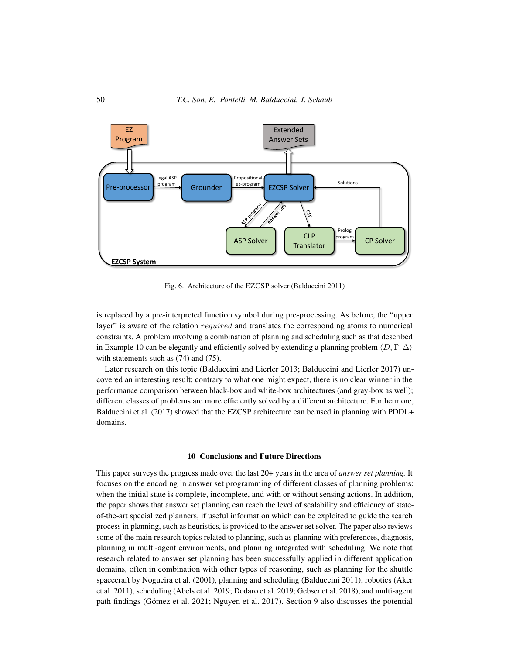

Fig. 6. Architecture of the EZCSP solver (Balduccini 2011)

is replaced by a pre-interpreted function symbol during pre-processing. As before, the "upper layer" is aware of the relation *required* and translates the corresponding atoms to numerical constraints. A problem involving a combination of planning and scheduling such as that described in Example 10 can be elegantly and efficiently solved by extending a planning problem  $\langle D, \Gamma, \Delta \rangle$ with statements such as  $(74)$  and  $(75)$ .

Later research on this topic (Balduccini and Lierler 2013; Balduccini and Lierler 2017) uncovered an interesting result: contrary to what one might expect, there is no clear winner in the performance comparison between black-box and white-box architectures (and gray-box as well); different classes of problems are more efficiently solved by a different architecture. Furthermore, Balduccini et al. (2017) showed that the EZCSP architecture can be used in planning with PDDL+ domains.

### 10 Conclusions and Future Directions

This paper surveys the progress made over the last 20+ years in the area of *answer set planning.* It focuses on the encoding in answer set programming of different classes of planning problems: when the initial state is complete, incomplete, and with or without sensing actions. In addition, the paper shows that answer set planning can reach the level of scalability and efficiency of stateof-the-art specialized planners, if useful information which can be exploited to guide the search process in planning, such as heuristics, is provided to the answer set solver. The paper also reviews some of the main research topics related to planning, such as planning with preferences, diagnosis, planning in multi-agent environments, and planning integrated with scheduling. We note that research related to answer set planning has been successfully applied in different application domains, often in combination with other types of reasoning, such as planning for the shuttle spacecraft by Nogueira et al. (2001), planning and scheduling (Balduccini 2011), robotics (Aker et al. 2011), scheduling (Abels et al. 2019; Dodaro et al. 2019; Gebser et al. 2018), and multi-agent path findings (Gómez et al. 2021; Nguyen et al. 2017). Section 9 also discusses the potential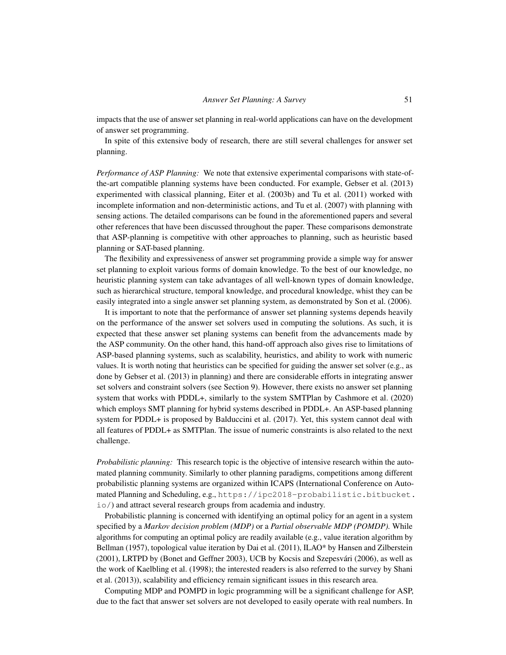impacts that the use of answer set planning in real-world applications can have on the development of answer set programming.

In spite of this extensive body of research, there are still several challenges for answer set planning.

*Performance of ASP Planning:* We note that extensive experimental comparisons with state-ofthe-art compatible planning systems have been conducted. For example, Gebser et al. (2013) experimented with classical planning, Eiter et al. (2003b) and Tu et al. (2011) worked with incomplete information and non-deterministic actions, and Tu et al. (2007) with planning with sensing actions. The detailed comparisons can be found in the aforementioned papers and several other references that have been discussed throughout the paper. These comparisons demonstrate that ASP-planning is competitive with other approaches to planning, such as heuristic based planning or SAT-based planning.

The flexibility and expressiveness of answer set programming provide a simple way for answer set planning to exploit various forms of domain knowledge. To the best of our knowledge, no heuristic planning system can take advantages of all well-known types of domain knowledge, such as hierarchical structure, temporal knowledge, and procedural knowledge, whist they can be easily integrated into a single answer set planning system, as demonstrated by Son et al. (2006).

It is important to note that the performance of answer set planning systems depends heavily on the performance of the answer set solvers used in computing the solutions. As such, it is expected that these answer set planing systems can benefit from the advancements made by the ASP community. On the other hand, this hand-off approach also gives rise to limitations of ASP-based planning systems, such as scalability, heuristics, and ability to work with numeric values. It is worth noting that heuristics can be specified for guiding the answer set solver (e.g., as done by Gebser et al. (2013) in planning) and there are considerable efforts in integrating answer set solvers and constraint solvers (see Section 9). However, there exists no answer set planning system that works with PDDL+, similarly to the system SMTPlan by Cashmore et al. (2020) which employs SMT planning for hybrid systems described in PDDL+. An ASP-based planning system for PDDL+ is proposed by Balduccini et al. (2017). Yet, this system cannot deal with all features of PDDL+ as SMTPlan. The issue of numeric constraints is also related to the next challenge.

*Probabilistic planning:* This research topic is the objective of intensive research within the automated planning community. Similarly to other planning paradigms, competitions among different probabilistic planning systems are organized within ICAPS (International Conference on Automated Planning and Scheduling, e.g., https://ipc2018-probabilistic.bitbucket. io/) and attract several research groups from academia and industry.

Probabilistic planning is concerned with identifying an optimal policy for an agent in a system specified by a *Markov decision problem (MDP)* or a *Partial observable MDP (POMDP).* While algorithms for computing an optimal policy are readily available (e.g., value iteration algorithm by Bellman (1957), topological value iteration by Dai et al. (2011), ILAO\* by Hansen and Zilberstein (2001), LRTPD by (Bonet and Geffner 2003), UCB by Kocsis and Szepesvári (2006), as well as the work of Kaelbling et al. (1998); the interested readers is also referred to the survey by Shani et al. (2013)), scalability and efficiency remain significant issues in this research area.

Computing MDP and POMPD in logic programming will be a significant challenge for ASP, due to the fact that answer set solvers are not developed to easily operate with real numbers. In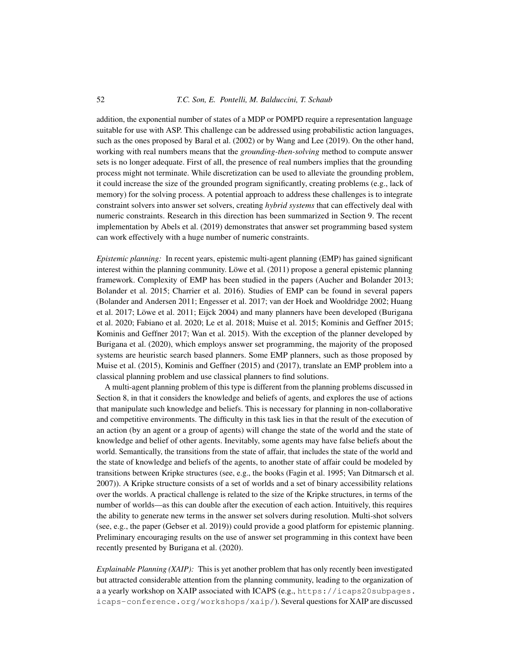# 52 *T.C. Son, E. Pontelli, M. Balduccini, T. Schaub*

addition, the exponential number of states of a MDP or POMPD require a representation language suitable for use with ASP. This challenge can be addressed using probabilistic action languages, such as the ones proposed by Baral et al. (2002) or by Wang and Lee (2019). On the other hand, working with real numbers means that the *grounding-then-solving* method to compute answer sets is no longer adequate. First of all, the presence of real numbers implies that the grounding process might not terminate. While discretization can be used to alleviate the grounding problem, it could increase the size of the grounded program significantly, creating problems (e.g., lack of memory) for the solving process. A potential approach to address these challenges is to integrate constraint solvers into answer set solvers, creating *hybrid systems* that can effectively deal with numeric constraints. Research in this direction has been summarized in Section 9. The recent implementation by Abels et al. (2019) demonstrates that answer set programming based system can work effectively with a huge number of numeric constraints.

*Epistemic planning:* In recent years, epistemic multi-agent planning (EMP) has gained significant interest within the planning community. Löwe et al.  $(2011)$  propose a general epistemic planning framework. Complexity of EMP has been studied in the papers (Aucher and Bolander 2013; Bolander et al. 2015; Charrier et al. 2016). Studies of EMP can be found in several papers (Bolander and Andersen 2011; Engesser et al. 2017; van der Hoek and Wooldridge 2002; Huang et al. 2017; Löwe et al. 2011; Eijck 2004) and many planners have been developed (Burigana et al. 2020; Fabiano et al. 2020; Le et al. 2018; Muise et al. 2015; Kominis and Geffner 2015; Kominis and Geffner 2017; Wan et al. 2015). With the exception of the planner developed by Burigana et al. (2020), which employs answer set programming, the majority of the proposed systems are heuristic search based planners. Some EMP planners, such as those proposed by Muise et al. (2015), Kominis and Geffner (2015) and (2017), translate an EMP problem into a classical planning problem and use classical planners to find solutions.

A multi-agent planning problem of this type is different from the planning problems discussed in Section 8, in that it considers the knowledge and beliefs of agents, and explores the use of actions that manipulate such knowledge and beliefs. This is necessary for planning in non-collaborative and competitive environments. The difficulty in this task lies in that the result of the execution of an action (by an agent or a group of agents) will change the state of the world and the state of knowledge and belief of other agents. Inevitably, some agents may have false beliefs about the world. Semantically, the transitions from the state of affair, that includes the state of the world and the state of knowledge and beliefs of the agents, to another state of affair could be modeled by transitions between Kripke structures (see, e.g., the books (Fagin et al. 1995; Van Ditmarsch et al. 2007)). A Kripke structure consists of a set of worlds and a set of binary accessibility relations over the worlds. A practical challenge is related to the size of the Kripke structures, in terms of the number of worlds—as this can double after the execution of each action. Intuitively, this requires the ability to generate new terms in the answer set solvers during resolution. Multi-shot solvers (see, e.g., the paper (Gebser et al. 2019)) could provide a good platform for epistemic planning. Preliminary encouraging results on the use of answer set programming in this context have been recently presented by Burigana et al. (2020).

*Explainable Planning (XAIP)*: This is yet another problem that has only recently been investigated but attracted considerable attention from the planning community, leading to the organization of a a yearly workshop on XAIP associated with ICAPS (e.g., https://icaps20subpages. icaps-conference.org/workshops/xaip/). Several questions for XAIP are discussed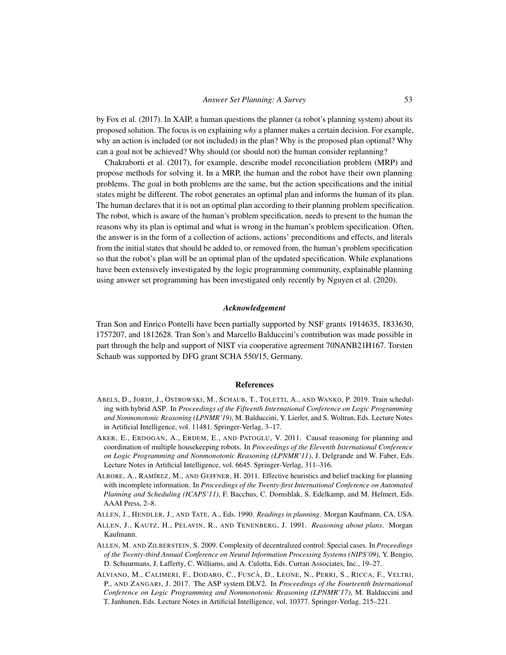by Fox et al. (2017). In XAIP, a human questions the planner (a robot's planning system) about its proposed solution. The focus is on explaining *why* a planner makes a certain decision. For example, why an action is included (or not included) in the plan? Why is the proposed plan optimal? Why can a goal not be achieved? Why should (or should not) the human consider replanning?

Chakraborti et al. (2017), for example, describe model reconciliation problem (MRP) and propose methods for solving it. In a MRP, the human and the robot have their own planning problems. The goal in both problems are the same, but the action specifications and the initial states might be different. The robot generates an optimal plan and informs the human of its plan. The human declares that it is not an optimal plan according to their planning problem specification. The robot, which is aware of the human's problem specification, needs to present to the human the reasons why its plan is optimal and what is wrong in the human's problem specification. Often, the answer is in the form of a collection of actions, actions' preconditions and effects, and literals from the initial states that should be added to, or removed from, the human's problem specification so that the robot's plan will be an optimal plan of the updated specification. While explanations have been extensively investigated by the logic programming community, explainable planning using answer set programming has been investigated only recently by Nguyen et al. (2020).

# *Acknowledgement*

Tran Son and Enrico Pontelli have been partially supported by NSF grants 1914635, 1833630, 1757207, and 1812628. Tran Son's and Marcello Balduccini's contribution was made possible in part through the help and support of NIST via cooperative agreement 70NANB21H167. Torsten Schaub was supported by DFG grant SCHA 550/15, Germany.

#### References

- ABELS, D., JORDI, J., OSTROWSKI, M., SCHAUB, T., TOLETTI, A., AND WANKO, P. 2019. Train scheduling with hybrid ASP. In *Proceedings of the Fifteenth International Conference on Logic Programming and Nonmonotonic Reasoning (LPNMR'19)*, M. Balduccini, Y. Lierler, and S. Woltran, Eds. Lecture Notes in Artificial Intelligence, vol. 11481. Springer-Verlag, 3–17.
- AKER, E., ERDOGAN, A., ERDEM, E., AND PATOGLU, V. 2011. Causal reasoning for planning and coordination of multiple housekeeping robots. In *Proceedings of the Eleventh International Conference on Logic Programming and Nonmonotonic Reasoning (LPNMR'11)*, J. Delgrande and W. Faber, Eds. Lecture Notes in Artificial Intelligence, vol. 6645. Springer-Verlag, 311–316.
- ALBORE, A., RAMÍREZ, M., AND GEFFNER, H. 2011. Effective heuristics and belief tracking for planning with incomplete information. In *Proceedings of the Twenty-first International Conference on Automated Planning and Scheduling (ICAPS'11)*, F. Bacchus, C. Domshlak, S. Edelkamp, and M. Helmert, Eds. AAAI Press, 2–8.
- ALLEN, J., HENDLER, J., AND TATE, A., Eds. 1990. *Readings in planning*. Morgan Kaufmann, CA, USA.
- ALLEN, J., KAUTZ, H., PELAVIN, R., AND TENENBERG, J. 1991. *Reasoning about plans*. Morgan Kaufmann.
- ALLEN, M. AND ZILBERSTEIN, S. 2009. Complexity of decentralized control: Special cases. In *Proceedings of the Twenty-third Annual Conference on Neural Information Processing Systems (NIPS'09)*, Y. Bengio, D. Schuurmans, J. Lafferty, C. Williams, and A. Culotta, Eds. Curran Associates, Inc., 19–27.
- ALVIANO, M., CALIMERI, F., DODARO, C., FUSCÀ, D., LEONE, N., PERRI, S., RICCA, F., VELTRI, P., AND ZANGARI, J. 2017. The ASP system DLV2. In *Proceedings of the Fourteenth International Conference on Logic Programming and Nonmonotonic Reasoning (LPNMR'17)*, M. Balduccini and T. Janhunen, Eds. Lecture Notes in Artificial Intelligence, vol. 10377. Springer-Verlag, 215–221.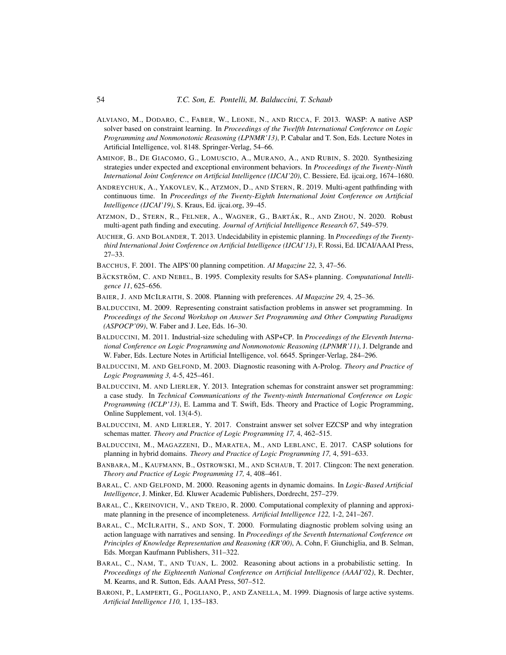- ALVIANO, M., DODARO, C., FABER, W., LEONE, N., AND RICCA, F. 2013. WASP: A native ASP solver based on constraint learning. In *Proceedings of the Twelfth International Conference on Logic Programming and Nonmonotonic Reasoning (LPNMR'13)*, P. Cabalar and T. Son, Eds. Lecture Notes in Artificial Intelligence, vol. 8148. Springer-Verlag, 54–66.
- AMINOF, B., DE GIACOMO, G., LOMUSCIO, A., MURANO, A., AND RUBIN, S. 2020. Synthesizing strategies under expected and exceptional environment behaviors. In *Proceedings of the Twenty-Ninth International Joint Conference on Artificial Intelligence (IJCAI'20)*, C. Bessiere, Ed. ijcai.org, 1674–1680.
- ANDREYCHUK, A., YAKOVLEV, K., ATZMON, D., AND STERN, R. 2019. Multi-agent pathfinding with continuous time. In *Proceedings of the Twenty-Eighth International Joint Conference on Artificial Intelligence (IJCAI'19)*, S. Kraus, Ed. ijcai.org, 39–45.
- ATZMON, D., STERN, R., FELNER, A., WAGNER, G., BARTÁK, R., AND ZHOU, N. 2020. Robust multi-agent path finding and executing. *Journal of Artificial Intelligence Research 67*, 549–579.
- AUCHER, G. AND BOLANDER, T. 2013. Undecidability in epistemic planning. In *Proceedings of the Twentythird International Joint Conference on Artificial Intelligence (IJCAI'13)*, F. Rossi, Ed. IJCAI/AAAI Press, 27–33.
- BACCHUS, F. 2001. The AIPS'00 planning competition. *AI Magazine 22,* 3, 47–56.
- BÄCKSTRÖM, C. AND NEBEL, B. 1995. Complexity results for SAS+ planning. *Computational Intelligence 11*, 625–656.
- BAIER, J. AND MCILRAITH, S. 2008. Planning with preferences. *AI Magazine 29,* 4, 25–36.
- BALDUCCINI, M. 2009. Representing constraint satisfaction problems in answer set programming. In *Proceedings of the Second Workshop on Answer Set Programming and Other Computing Paradigms (ASPOCP'09)*, W. Faber and J. Lee, Eds. 16–30.
- BALDUCCINI, M. 2011. Industrial-size scheduling with ASP+CP. In *Proceedings of the Eleventh International Conference on Logic Programming and Nonmonotonic Reasoning (LPNMR'11)*, J. Delgrande and W. Faber, Eds. Lecture Notes in Artificial Intelligence, vol. 6645. Springer-Verlag, 284–296.
- BALDUCCINI, M. AND GELFOND, M. 2003. Diagnostic reasoning with A-Prolog. *Theory and Practice of Logic Programming 3,* 4-5, 425–461.
- BALDUCCINI, M. AND LIERLER, Y. 2013. Integration schemas for constraint answer set programming: a case study. In *Technical Communications of the Twenty-ninth International Conference on Logic Programming (ICLP'13)*, E. Lamma and T. Swift, Eds. Theory and Practice of Logic Programming, Online Supplement, vol. 13(4-5).
- BALDUCCINI, M. AND LIERLER, Y. 2017. Constraint answer set solver EZCSP and why integration schemas matter. *Theory and Practice of Logic Programming 17,* 4, 462–515.
- BALDUCCINI, M., MAGAZZENI, D., MARATEA, M., AND LEBLANC, E. 2017. CASP solutions for planning in hybrid domains. *Theory and Practice of Logic Programming 17,* 4, 591–633.
- BANBARA, M., KAUFMANN, B., OSTROWSKI, M., AND SCHAUB, T. 2017. Clingcon: The next generation. *Theory and Practice of Logic Programming 17,* 4, 408–461.
- BARAL, C. AND GELFOND, M. 2000. Reasoning agents in dynamic domains. In *Logic-Based Artificial Intelligence*, J. Minker, Ed. Kluwer Academic Publishers, Dordrecht, 257–279.
- BARAL, C., KREINOVICH, V., AND TREJO, R. 2000. Computational complexity of planning and approximate planning in the presence of incompleteness. *Artificial Intelligence 122,* 1-2, 241–267.
- BARAL, C., MCILRAITH, S., AND SON, T. 2000. Formulating diagnostic problem solving using an action language with narratives and sensing. In *Proceedings of the Seventh International Conference on Principles of Knowledge Representation and Reasoning (KR'00)*, A. Cohn, F. Giunchiglia, and B. Selman, Eds. Morgan Kaufmann Publishers, 311–322.
- BARAL, C., NAM, T., AND TUAN, L. 2002. Reasoning about actions in a probabilistic setting. In *Proceedings of the Eighteenth National Conference on Artificial Intelligence (AAAI'02)*, R. Dechter, M. Kearns, and R. Sutton, Eds. AAAI Press, 507–512.
- BARONI, P., LAMPERTI, G., POGLIANO, P., AND ZANELLA, M. 1999. Diagnosis of large active systems. *Artificial Intelligence 110,* 1, 135–183.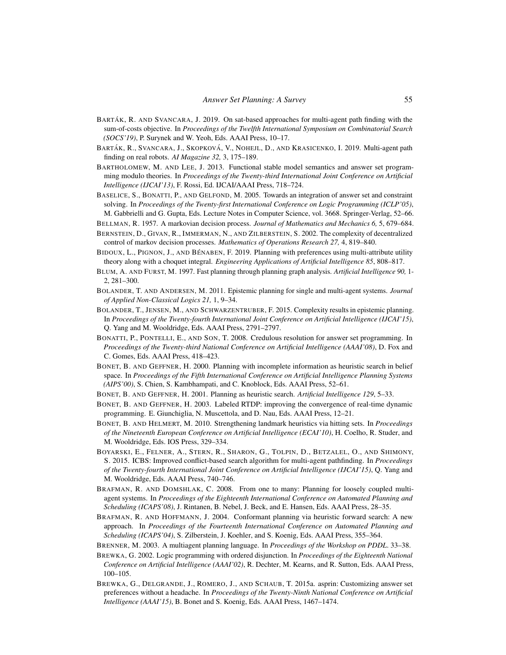- BARTÁK, R. AND SVANCARA, J. 2019. On sat-based approaches for multi-agent path finding with the sum-of-costs objective. In *Proceedings of the Twelfth International Symposium on Combinatorial Search (SOCS'19)*, P. Surynek and W. Yeoh, Eds. AAAI Press, 10–17.
- BARTÁK, R., SVANCARA, J., SKOPKOVÁ, V., NOHEJL, D., AND KRASICENKO, I. 2019. Multi-agent path finding on real robots. *AI Magazine 32,* 3, 175–189.
- BARTHOLOMEW, M. AND LEE, J. 2013. Functional stable model semantics and answer set programming modulo theories. In *Proceedings of the Twenty-third International Joint Conference on Artificial Intelligence (IJCAI'13)*, F. Rossi, Ed. IJCAI/AAAI Press, 718–724.
- BASELICE, S., BONATTI, P., AND GELFOND, M. 2005. Towards an integration of answer set and constraint solving. In *Proceedings of the Twenty-first International Conference on Logic Programming (ICLP'05)*, M. Gabbrielli and G. Gupta, Eds. Lecture Notes in Computer Science, vol. 3668. Springer-Verlag, 52–66.
- BELLMAN, R. 1957. A markovian decision process. *Journal of Mathematics and Mechanics 6,* 5, 679–684.
- BERNSTEIN, D., GIVAN, R., IMMERMAN, N., AND ZILBERSTEIN, S. 2002. The complexity of decentralized control of markov decision processes. *Mathematics of Operations Research 27,* 4, 819–840.
- BIDOUX, L., PIGNON, J., AND BÉNABEN, F. 2019. Planning with preferences using multi-attribute utility theory along with a choquet integral. *Engineering Applications of Artificial Intelligence 85*, 808–817.
- BLUM, A. AND FURST, M. 1997. Fast planning through planning graph analysis. *Artificial Intelligence 90,* 1- 2, 281–300.
- BOLANDER, T. AND ANDERSEN, M. 2011. Epistemic planning for single and multi-agent systems. *Journal of Applied Non-Classical Logics 21,* 1, 9–34.
- BOLANDER, T., JENSEN, M., AND SCHWARZENTRUBER, F. 2015. Complexity results in epistemic planning. In *Proceedings of the Twenty-fourth International Joint Conference on Artificial Intelligence (IJCAI'15)*, Q. Yang and M. Wooldridge, Eds. AAAI Press, 2791–2797.
- BONATTI, P., PONTELLI, E., AND SON, T. 2008. Credulous resolution for answer set programming. In *Proceedings of the Twenty-third National Conference on Artificial Intelligence (AAAI'08)*, D. Fox and C. Gomes, Eds. AAAI Press, 418–423.
- BONET, B. AND GEFFNER, H. 2000. Planning with incomplete information as heuristic search in belief space. In *Proceedings of the Fifth International Conference on Artificial Intelligence Planning Systems (AIPS'00)*, S. Chien, S. Kambhampati, and C. Knoblock, Eds. AAAI Press, 52–61.
- BONET, B. AND GEFFNER, H. 2001. Planning as heuristic search. *Artificial Intelligence 129*, 5–33.
- BONET, B. AND GEFFNER, H. 2003. Labeled RTDP: improving the convergence of real-time dynamic programming. E. Giunchiglia, N. Muscettola, and D. Nau, Eds. AAAI Press, 12–21.
- BONET, B. AND HELMERT, M. 2010. Strengthening landmark heuristics via hitting sets. In *Proceedings of the Nineteenth European Conference on Artificial Intelligence (ECAI'10)*, H. Coelho, R. Studer, and M. Wooldridge, Eds. IOS Press, 329–334.
- BOYARSKI, E., FELNER, A., STERN, R., SHARON, G., TOLPIN, D., BETZALEL, O., AND SHIMONY, S. 2015. ICBS: Improved conflict-based search algorithm for multi-agent pathfinding. In *Proceedings of the Twenty-fourth International Joint Conference on Artificial Intelligence (IJCAI'15)*, Q. Yang and M. Wooldridge, Eds. AAAI Press, 740–746.
- BRAFMAN, R. AND DOMSHLAK, C. 2008. From one to many: Planning for loosely coupled multiagent systems. In *Proceedings of the Eighteenth International Conference on Automated Planning and Scheduling (ICAPS'08)*, J. Rintanen, B. Nebel, J. Beck, and E. Hansen, Eds. AAAI Press, 28–35.
- BRAFMAN, R. AND HOFFMANN, J. 2004. Conformant planning via heuristic forward search: A new approach. In *Proceedings of the Fourteenth International Conference on Automated Planning and Scheduling (ICAPS'04)*, S. Zilberstein, J. Koehler, and S. Koenig, Eds. AAAI Press, 355–364.
- BRENNER, M. 2003. A multiagent planning language. In *Proceedings of the Workshop on PDDL*. 33–38.
- BREWKA, G. 2002. Logic programming with ordered disjunction. In *Proceedings of the Eighteenth National Conference on Artificial Intelligence (AAAI'02)*, R. Dechter, M. Kearns, and R. Sutton, Eds. AAAI Press, 100–105.
- BREWKA, G., DELGRANDE, J., ROMERO, J., AND SCHAUB, T. 2015a. asprin: Customizing answer set preferences without a headache. In *Proceedings of the Twenty-Ninth National Conference on Artificial Intelligence (AAAI'15)*, B. Bonet and S. Koenig, Eds. AAAI Press, 1467–1474.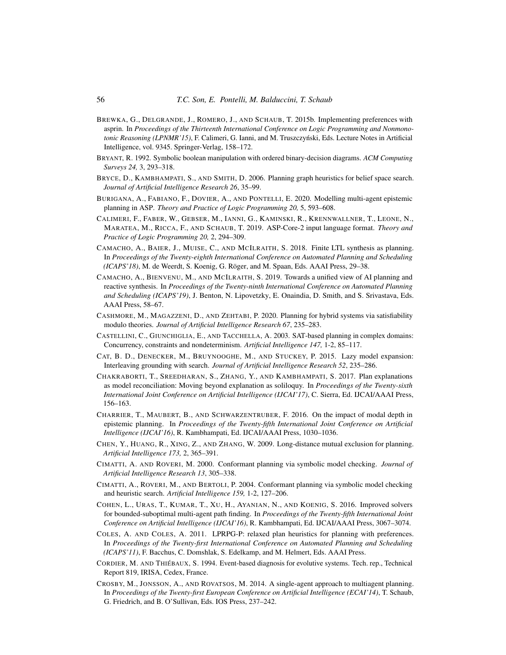- BREWKA, G., DELGRANDE, J., ROMERO, J., AND SCHAUB, T. 2015b. Implementing preferences with asprin. In *Proceedings of the Thirteenth International Conference on Logic Programming and Nonmonotonic Reasoning (LPNMR'15)*, F. Calimeri, G. Ianni, and M. Truszczyński, Eds. Lecture Notes in Artificial Intelligence, vol. 9345. Springer-Verlag, 158–172.
- BRYANT, R. 1992. Symbolic boolean manipulation with ordered binary-decision diagrams. *ACM Computing Surveys 24,* 3, 293–318.
- BRYCE, D., KAMBHAMPATI, S., AND SMITH, D. 2006. Planning graph heuristics for belief space search. *Journal of Artificial Intelligence Research 26*, 35–99.
- BURIGANA, A., FABIANO, F., DOVIER, A., AND PONTELLI, E. 2020. Modelling multi-agent epistemic planning in ASP. *Theory and Practice of Logic Programming 20,* 5, 593–608.
- CALIMERI, F., FABER, W., GEBSER, M., IANNI, G., KAMINSKI, R., KRENNWALLNER, T., LEONE, N., MARATEA, M., RICCA, F., AND SCHAUB, T. 2019. ASP-Core-2 input language format. *Theory and Practice of Logic Programming 20,* 2, 294–309.
- CAMACHO, A., BAIER, J., MUISE, C., AND MCILRAITH, S. 2018. Finite LTL synthesis as planning. In *Proceedings of the Twenty-eighth International Conference on Automated Planning and Scheduling (ICAPS'18)*, M. de Weerdt, S. Koenig, G. Roger, and M. Spaan, Eds. AAAI Press, 29–38. ¨
- CAMACHO, A., BIENVENU, M., AND MCILRAITH, S. 2019. Towards a unified view of AI planning and reactive synthesis. In *Proceedings of the Twenty-ninth International Conference on Automated Planning and Scheduling (ICAPS'19)*, J. Benton, N. Lipovetzky, E. Onaindia, D. Smith, and S. Srivastava, Eds. AAAI Press, 58–67.
- CASHMORE, M., MAGAZZENI, D., AND ZEHTABI, P. 2020. Planning for hybrid systems via satisfiability modulo theories. *Journal of Artificial Intelligence Research 67*, 235–283.
- CASTELLINI, C., GIUNCHIGLIA, E., AND TACCHELLA, A. 2003. SAT-based planning in complex domains: Concurrency, constraints and nondeterminism. *Artificial Intelligence 147,* 1-2, 85–117.
- CAT, B. D., DENECKER, M., BRUYNOOGHE, M., AND STUCKEY, P. 2015. Lazy model expansion: Interleaving grounding with search. *Journal of Artificial Intelligence Research 52*, 235–286.
- CHAKRABORTI, T., SREEDHARAN, S., ZHANG, Y., AND KAMBHAMPATI, S. 2017. Plan explanations as model reconciliation: Moving beyond explanation as soliloquy. In *Proceedings of the Twenty-sixth International Joint Conference on Artificial Intelligence (IJCAI'17)*, C. Sierra, Ed. IJCAI/AAAI Press, 156–163.
- CHARRIER, T., MAUBERT, B., AND SCHWARZENTRUBER, F. 2016. On the impact of modal depth in epistemic planning. In *Proceedings of the Twenty-fifth International Joint Conference on Artificial Intelligence (IJCAI'16)*, R. Kambhampati, Ed. IJCAI/AAAI Press, 1030–1036.
- CHEN, Y., HUANG, R., XING, Z., AND ZHANG, W. 2009. Long-distance mutual exclusion for planning. *Artificial Intelligence 173,* 2, 365–391.
- CIMATTI, A. AND ROVERI, M. 2000. Conformant planning via symbolic model checking. *Journal of Artificial Intelligence Research 13*, 305–338.
- CIMATTI, A., ROVERI, M., AND BERTOLI, P. 2004. Conformant planning via symbolic model checking and heuristic search. *Artificial Intelligence 159,* 1-2, 127–206.
- COHEN, L., URAS, T., KUMAR, T., XU, H., AYANIAN, N., AND KOENIG, S. 2016. Improved solvers for bounded-suboptimal multi-agent path finding. In *Proceedings of the Twenty-fifth International Joint Conference on Artificial Intelligence (IJCAI'16)*, R. Kambhampati, Ed. IJCAI/AAAI Press, 3067–3074.
- COLES, A. AND COLES, A. 2011. LPRPG-P: relaxed plan heuristics for planning with preferences. In *Proceedings of the Twenty-first International Conference on Automated Planning and Scheduling (ICAPS'11)*, F. Bacchus, C. Domshlak, S. Edelkamp, and M. Helmert, Eds. AAAI Press.
- CORDIER, M. AND THIÉBAUX, S. 1994. Event-based diagnosis for evolutive systems. Tech. rep., Technical Report 819, IRISA, Cedex, France.
- CROSBY, M., JONSSON, A., AND ROVATSOS, M. 2014. A single-agent approach to multiagent planning. In *Proceedings of the Twenty-first European Conference on Artificial Intelligence (ECAI'14)*, T. Schaub, G. Friedrich, and B. O'Sullivan, Eds. IOS Press, 237–242.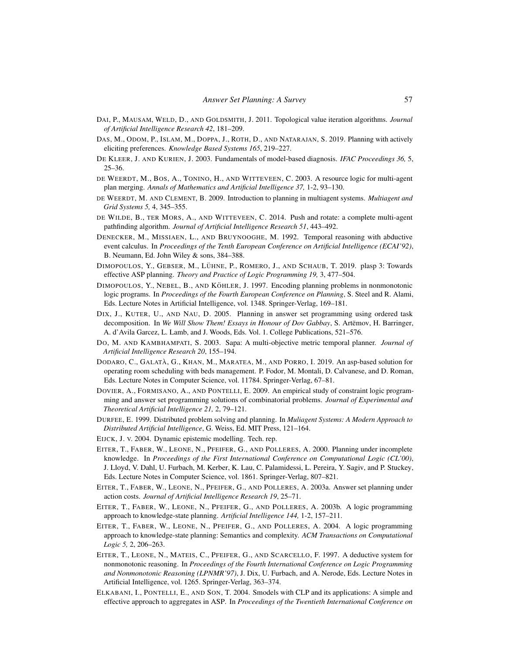- DAI, P., MAUSAM, WELD, D., AND GOLDSMITH, J. 2011. Topological value iteration algorithms. *Journal of Artificial Intelligence Research 42*, 181–209.
- DAS, M., ODOM, P., ISLAM, M., DOPPA, J., ROTH, D., AND NATARAJAN, S. 2019. Planning with actively eliciting preferences. *Knowledge Based Systems 165*, 219–227.
- DE KLEER, J. AND KURIEN, J. 2003. Fundamentals of model-based diagnosis. *IFAC Proceedings 36,* 5, 25–36.
- DE WEERDT, M., BOS, A., TONINO, H., AND WITTEVEEN, C. 2003. A resource logic for multi-agent plan merging. *Annals of Mathematics and Artificial Intelligence 37,* 1-2, 93–130.
- DE WEERDT, M. AND CLEMENT, B. 2009. Introduction to planning in multiagent systems. *Multiagent and Grid Systems 5,* 4, 345–355.
- DE WILDE, B., TER MORS, A., AND WITTEVEEN, C. 2014. Push and rotate: a complete multi-agent pathfinding algorithm. *Journal of Artificial Intelligence Research 51*, 443–492.
- DENECKER, M., MISSIAEN, L., AND BRUYNOOGHE, M. 1992. Temporal reasoning with abductive event calculus. In *Proceedings of the Tenth European Conference on Artificial Intelligence (ECAI'92)*, B. Neumann, Ed. John Wiley & sons, 384–388.
- DIMOPOULOS, Y., GEBSER, M., LÜHNE, P., ROMERO, J., AND SCHAUB, T. 2019. plasp 3: Towards effective ASP planning. *Theory and Practice of Logic Programming 19,* 3, 477–504.
- DIMOPOULOS, Y., NEBEL, B., AND KÖHLER, J. 1997. Encoding planning problems in nonmonotonic logic programs. In *Proceedings of the Fourth European Conference on Planning*, S. Steel and R. Alami, Eds. Lecture Notes in Artificial Intelligence, vol. 1348. Springer-Verlag, 169–181.
- DIX, J., KUTER, U., AND NAU, D. 2005. Planning in answer set programming using ordered task decomposition. In *We Will Show Them! Essays in Honour of Dov Gabbay*, S. Artëmov, H. Barringer, A. d'Avila Garcez, L. Lamb, and J. Woods, Eds. Vol. 1. College Publications, 521–576.
- DO, M. AND KAMBHAMPATI, S. 2003. Sapa: A multi-objective metric temporal planner. *Journal of Artificial Intelligence Research 20*, 155–194.
- DODARO, C., GALATÀ, G., KHAN, M., MARATEA, M., AND PORRO, I. 2019. An asp-based solution for operating room scheduling with beds management. P. Fodor, M. Montali, D. Calvanese, and D. Roman, Eds. Lecture Notes in Computer Science, vol. 11784. Springer-Verlag, 67–81.
- DOVIER, A., FORMISANO, A., AND PONTELLI, E. 2009. An empirical study of constraint logic programming and answer set programming solutions of combinatorial problems. *Journal of Experimental and Theoretical Artificial Intelligence 21,* 2, 79–121.
- DURFEE, E. 1999. Distributed problem solving and planning. In *Muliagent Systems: A Modern Approach to Distributed Artificial Intelligence*, G. Weiss, Ed. MIT Press, 121–164.
- EIJCK, J. V. 2004. Dynamic epistemic modelling. Tech. rep.
- EITER, T., FABER, W., LEONE, N., PFEIFER, G., AND POLLERES, A. 2000. Planning under incomplete knowledge. In *Proceedings of the First International Conference on Computational Logic (CL'00)*, J. Lloyd, V. Dahl, U. Furbach, M. Kerber, K. Lau, C. Palamidessi, L. Pereira, Y. Sagiv, and P. Stuckey, Eds. Lecture Notes in Computer Science, vol. 1861. Springer-Verlag, 807–821.
- EITER, T., FABER, W., LEONE, N., PFEIFER, G., AND POLLERES, A. 2003a. Answer set planning under action costs. *Journal of Artificial Intelligence Research 19*, 25–71.
- EITER, T., FABER, W., LEONE, N., PFEIFER, G., AND POLLERES, A. 2003b. A logic programming approach to knowledge-state planning. *Artificial Intelligence 144,* 1-2, 157–211.
- EITER, T., FABER, W., LEONE, N., PFEIFER, G., AND POLLERES, A. 2004. A logic programming approach to knowledge-state planning: Semantics and complexity. *ACM Transactions on Computational Logic 5,* 2, 206–263.
- EITER, T., LEONE, N., MATEIS, C., PFEIFER, G., AND SCARCELLO, F. 1997. A deductive system for nonmonotonic reasoning. In *Proceedings of the Fourth International Conference on Logic Programming and Nonmonotonic Reasoning (LPNMR'97)*, J. Dix, U. Furbach, and A. Nerode, Eds. Lecture Notes in Artificial Intelligence, vol. 1265. Springer-Verlag, 363–374.
- ELKABANI, I., PONTELLI, E., AND SON, T. 2004. Smodels with CLP and its applications: A simple and effective approach to aggregates in ASP. In *Proceedings of the Twentieth International Conference on*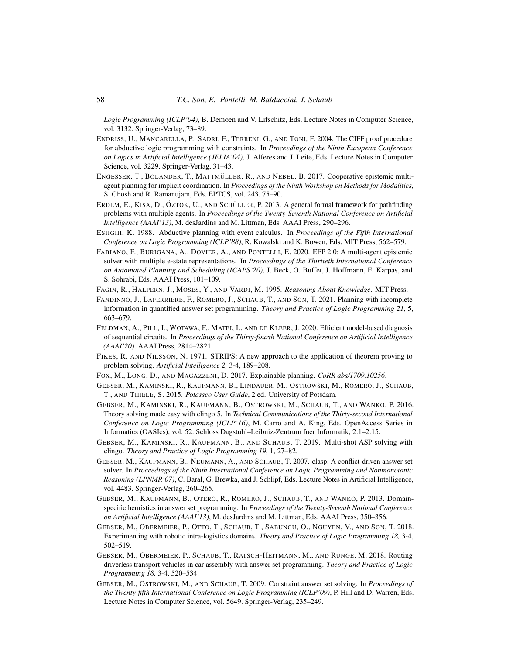*Logic Programming (ICLP'04)*, B. Demoen and V. Lifschitz, Eds. Lecture Notes in Computer Science, vol. 3132. Springer-Verlag, 73–89.

- ENDRISS, U., MANCARELLA, P., SADRI, F., TERRENI, G., AND TONI, F. 2004. The CIFF proof procedure for abductive logic programming with constraints. In *Proceedings of the Ninth European Conference on Logics in Artificial Intelligence (JELIA'04)*, J. Alferes and J. Leite, Eds. Lecture Notes in Computer Science, vol. 3229. Springer-Verlag, 31–43.
- ENGESSER, T., BOLANDER, T., MATTMÜLLER, R., AND NEBEL, B. 2017. Cooperative epistemic multiagent planning for implicit coordination. In *Proceedings of the Ninth Workshop on Methods for Modalities*, S. Ghosh and R. Ramanujam, Eds. EPTCS, vol. 243. 75–90.
- ERDEM, E., KISA, D., ÖZTOK, U., AND SCHÜLLER, P. 2013. A general formal framework for pathfinding problems with multiple agents. In *Proceedings of the Twenty-Seventh National Conference on Artificial Intelligence (AAAI'13)*, M. desJardins and M. Littman, Eds. AAAI Press, 290–296.
- ESHGHI, K. 1988. Abductive planning with event calculus. In *Proceedings of the Fifth International Conference on Logic Programming (ICLP'88)*, R. Kowalski and K. Bowen, Eds. MIT Press, 562–579.
- FABIANO, F., BURIGANA, A., DOVIER, A., AND PONTELLI, E. 2020. EFP 2.0: A multi-agent epistemic solver with multiple e-state representations. In *Proceedings of the Thirtieth International Conference on Automated Planning and Scheduling (ICAPS'20)*, J. Beck, O. Buffet, J. Hoffmann, E. Karpas, and S. Sohrabi, Eds. AAAI Press, 101–109.
- FAGIN, R., HALPERN, J., MOSES, Y., AND VARDI, M. 1995. *Reasoning About Knowledge*. MIT Press.
- FANDINNO, J., LAFERRIERE, F., ROMERO, J., SCHAUB, T., AND SON, T. 2021. Planning with incomplete information in quantified answer set programming. *Theory and Practice of Logic Programming 21,* 5, 663–679.
- FELDMAN, A., PILL, I., WOTAWA, F., MATEI, I., AND DE KLEER, J. 2020. Efficient model-based diagnosis of sequential circuits. In *Proceedings of the Thirty-fourth National Conference on Artificial Intelligence (AAAI'20)*. AAAI Press, 2814–2821.
- FIKES, R. AND NILSSON, N. 1971. STRIPS: A new approach to the application of theorem proving to problem solving. *Artificial Intelligence 2,* 3-4, 189–208.
- FOX, M., LONG, D., AND MAGAZZENI, D. 2017. Explainable planning. *CoRR abs/1709.10256*.
- GEBSER, M., KAMINSKI, R., KAUFMANN, B., LINDAUER, M., OSTROWSKI, M., ROMERO, J., SCHAUB, T., AND THIELE, S. 2015. *Potassco User Guide*, 2 ed. University of Potsdam.
- GEBSER, M., KAMINSKI, R., KAUFMANN, B., OSTROWSKI, M., SCHAUB, T., AND WANKO, P. 2016. Theory solving made easy with clingo 5. In *Technical Communications of the Thirty-second International Conference on Logic Programming (ICLP'16)*, M. Carro and A. King, Eds. OpenAccess Series in Informatics (OASIcs), vol. 52. Schloss Dagstuhl–Leibniz-Zentrum fuer Informatik, 2:1–2:15.
- GEBSER, M., KAMINSKI, R., KAUFMANN, B., AND SCHAUB, T. 2019. Multi-shot ASP solving with clingo. *Theory and Practice of Logic Programming 19,* 1, 27–82.
- GEBSER, M., KAUFMANN, B., NEUMANN, A., AND SCHAUB, T. 2007. clasp: A conflict-driven answer set solver. In *Proceedings of the Ninth International Conference on Logic Programming and Nonmonotonic Reasoning (LPNMR'07)*, C. Baral, G. Brewka, and J. Schlipf, Eds. Lecture Notes in Artificial Intelligence, vol. 4483. Springer-Verlag, 260–265.
- GEBSER, M., KAUFMANN, B., OTERO, R., ROMERO, J., SCHAUB, T., AND WANKO, P. 2013. Domainspecific heuristics in answer set programming. In *Proceedings of the Twenty-Seventh National Conference on Artificial Intelligence (AAAI'13)*, M. desJardins and M. Littman, Eds. AAAI Press, 350–356.
- GEBSER, M., OBERMEIER, P., OTTO, T., SCHAUB, T., SABUNCU, O., NGUYEN, V., AND SON, T. 2018. Experimenting with robotic intra-logistics domains. *Theory and Practice of Logic Programming 18,* 3-4, 502–519.
- GEBSER, M., OBERMEIER, P., SCHAUB, T., RATSCH-HEITMANN, M., AND RUNGE, M. 2018. Routing driverless transport vehicles in car assembly with answer set programming. *Theory and Practice of Logic Programming 18,* 3-4, 520–534.
- GEBSER, M., OSTROWSKI, M., AND SCHAUB, T. 2009. Constraint answer set solving. In *Proceedings of the Twenty-fifth International Conference on Logic Programming (ICLP'09)*, P. Hill and D. Warren, Eds. Lecture Notes in Computer Science, vol. 5649. Springer-Verlag, 235–249.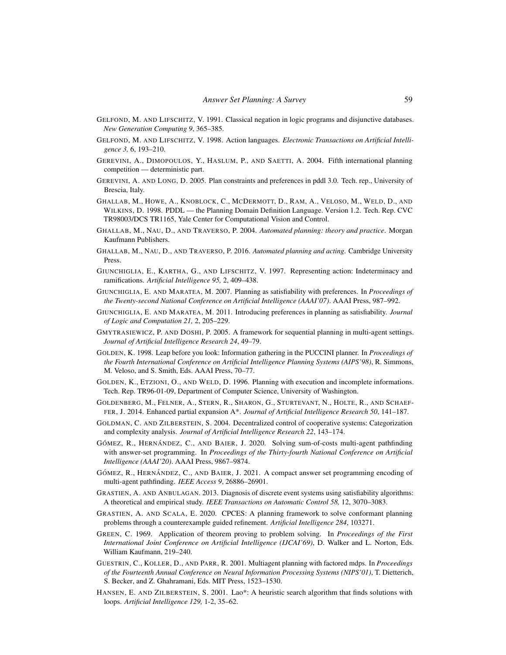- GELFOND, M. AND LIFSCHITZ, V. 1991. Classical negation in logic programs and disjunctive databases. *New Generation Computing 9*, 365–385.
- GELFOND, M. AND LIFSCHITZ, V. 1998. Action languages. *Electronic Transactions on Artificial Intelligence 3,* 6, 193–210.
- GEREVINI, A., DIMOPOULOS, Y., HASLUM, P., AND SAETTI, A. 2004. Fifth international planning competition — deterministic part.
- GEREVINI, A. AND LONG, D. 2005. Plan constraints and preferences in pddl 3.0. Tech. rep., University of Brescia, Italy.
- GHALLAB, M., HOWE, A., KNOBLOCK, C., MCDERMOTT, D., RAM, A., VELOSO, M., WELD, D., AND WILKINS, D. 1998. PDDL — the Planning Domain Definition Language. Version 1.2. Tech. Rep. CVC TR98003/DCS TR1165, Yale Center for Computational Vision and Control.
- GHALLAB, M., NAU, D., AND TRAVERSO, P. 2004. *Automated planning: theory and practice*. Morgan Kaufmann Publishers.
- GHALLAB, M., NAU, D., AND TRAVERSO, P. 2016. *Automated planning and acting*. Cambridge University Press.
- GIUNCHIGLIA, E., KARTHA, G., AND LIFSCHITZ, V. 1997. Representing action: Indeterminacy and ramifications. *Artificial Intelligence 95,* 2, 409–438.
- GIUNCHIGLIA, E. AND MARATEA, M. 2007. Planning as satisfiability with preferences. In *Proceedings of the Twenty-second National Conference on Artificial Intelligence (AAAI'07)*. AAAI Press, 987–992.
- GIUNCHIGLIA, E. AND MARATEA, M. 2011. Introducing preferences in planning as satisfiability. *Journal of Logic and Computation 21,* 2, 205–229.
- GMYTRASIEWICZ, P. AND DOSHI, P. 2005. A framework for sequential planning in multi-agent settings. *Journal of Artificial Intelligence Research 24*, 49–79.
- GOLDEN, K. 1998. Leap before you look: Information gathering in the PUCCINI planner. In *Proceedings of the Fourth International Conference on Artificial Intelligence Planning Systems (AIPS'98)*, R. Simmons, M. Veloso, and S. Smith, Eds. AAAI Press, 70–77.
- GOLDEN, K., ETZIONI, O., AND WELD, D. 1996. Planning with execution and incomplete informations. Tech. Rep. TR96-01-09, Department of Computer Science, University of Washington.
- GOLDENBERG, M., FELNER, A., STERN, R., SHARON, G., STURTEVANT, N., HOLTE, R., AND SCHAEF-FER, J. 2014. Enhanced partial expansion A\*. *Journal of Artificial Intelligence Research 50*, 141–187.
- GOLDMAN, C. AND ZILBERSTEIN, S. 2004. Decentralized control of cooperative systems: Categorization and complexity analysis. *Journal of Artificial Intelligence Research 22*, 143–174.
- GÓMEZ, R., HERNÁNDEZ, C., AND BAIER, J. 2020. Solving sum-of-costs multi-agent pathfinding with answer-set programming. In *Proceedings of the Thirty-fourth National Conference on Artificial Intelligence (AAAI'20)*. AAAI Press, 9867–9874.
- GÓMEZ, R., HERNÁNDEZ, C., AND BAIER, J. 2021. A compact answer set programming encoding of multi-agent pathfinding. *IEEE Access 9*, 26886–26901.
- GRASTIEN, A. AND ANBULAGAN. 2013. Diagnosis of discrete event systems using satisfiability algorithms: A theoretical and empirical study. *IEEE Transactions on Automatic Control 58,* 12, 3070–3083.
- GRASTIEN, A. AND SCALA, E. 2020. CPCES: A planning framework to solve conformant planning problems through a counterexample guided refinement. *Artificial Intelligence 284*, 103271.
- GREEN, C. 1969. Application of theorem proving to problem solving. In *Proceedings of the First International Joint Conference on Artificial Intelligence (IJCAI'69)*, D. Walker and L. Norton, Eds. William Kaufmann, 219–240.
- GUESTRIN, C., KOLLER, D., AND PARR, R. 2001. Multiagent planning with factored mdps. In *Proceedings of the Fourteenth Annual Conference on Neural Information Processing Systems (NIPS'01)*, T. Dietterich, S. Becker, and Z. Ghahramani, Eds. MIT Press, 1523–1530.
- HANSEN, E. AND ZILBERSTEIN, S. 2001. Lao\*: A heuristic search algorithm that finds solutions with loops. *Artificial Intelligence 129,* 1-2, 35–62.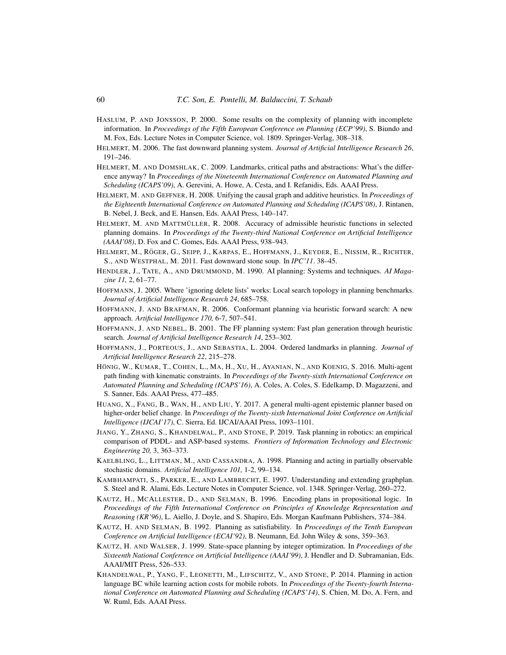- HASLUM, P. AND JONSSON, P. 2000. Some results on the complexity of planning with incomplete information. In *Proceedings of the Fifth European Conference on Planning (ECP'99)*, S. Biundo and M. Fox, Eds. Lecture Notes in Computer Science, vol. 1809. Springer-Verlag, 308–318.
- HELMERT, M. 2006. The fast downward planning system. *Journal of Artificial Intelligence Research 26*, 191–246.
- HELMERT, M. AND DOMSHLAK, C. 2009. Landmarks, critical paths and abstractions: What's the difference anyway? In *Proceedings of the Nineteenth International Conference on Automated Planning and Scheduling (ICAPS'09)*, A. Gerevini, A. Howe, A. Cesta, and I. Refanidis, Eds. AAAI Press.
- HELMERT, M. AND GEFFNER, H. 2008. Unifying the causal graph and additive heuristics. In *Proceedings of the Eighteenth International Conference on Automated Planning and Scheduling (ICAPS'08)*, J. Rintanen, B. Nebel, J. Beck, and E. Hansen, Eds. AAAI Press, 140–147.
- HELMERT, M. AND MATTMÜLLER, R. 2008. Accuracy of admissible heuristic functions in selected planning domains. In *Proceedings of the Twenty-third National Conference on Artificial Intelligence (AAAI'08)*, D. Fox and C. Gomes, Eds. AAAI Press, 938–943.
- HELMERT, M., RÖGER, G., SEIPP, J., KARPAS, E., HOFFMANN, J., KEYDER, E., NISSIM, R., RICHTER, S., AND WESTPHAL, M. 2011. Fast downward stone soup. In *IPC'11*. 38–45.
- HENDLER, J., TATE, A., AND DRUMMOND, M. 1990. AI planning: Systems and techniques. *AI Magazine 11,* 2, 61–77.
- HOFFMANN, J. 2005. Where 'ignoring delete lists' works: Local search topology in planning benchmarks. *Journal of Artificial Intelligence Research 24*, 685–758.
- HOFFMANN, J. AND BRAFMAN, R. 2006. Conformant planning via heuristic forward search: A new approach. *Artificial Intelligence 170,* 6-7, 507–541.
- HOFFMANN, J. AND NEBEL, B. 2001. The FF planning system: Fast plan generation through heuristic search. *Journal of Artificial Intelligence Research 14*, 253–302.
- HOFFMANN, J., PORTEOUS, J., AND SEBASTIA, L. 2004. Ordered landmarks in planning. *Journal of Artificial Intelligence Research 22*, 215–278.
- HÖNIG, W., KUMAR, T., COHEN, L., MA, H., XU, H., AYANIAN, N., AND KOENIG, S. 2016. Multi-agent path finding with kinematic constraints. In *Proceedings of the Twenty-sixth International Conference on Automated Planning and Scheduling (ICAPS'16)*, A. Coles, A. Coles, S. Edelkamp, D. Magazzeni, and S. Sanner, Eds. AAAI Press, 477–485.
- HUANG, X., FANG, B., WAN, H., AND LIU, Y. 2017. A general multi-agent epistemic planner based on higher-order belief change. In *Proceedings of the Twenty-sixth International Joint Conference on Artificial Intelligence (IJCAI'17)*, C. Sierra, Ed. IJCAI/AAAI Press, 1093–1101.
- JIANG, Y., ZHANG, S., KHANDELWAL, P., AND STONE, P. 2019. Task planning in robotics: an empirical comparison of PDDL- and ASP-based systems. *Frontiers of Information Technology and Electronic Engineering 20,* 3, 363–373.
- KAELBLING, L., LITTMAN, M., AND CASSANDRA, A. 1998. Planning and acting in partially observable stochastic domains. *Artificial Intelligence 101,* 1-2, 99–134.
- KAMBHAMPATI, S., PARKER, E., AND LAMBRECHT, E. 1997. Understanding and extending graphplan. S. Steel and R. Alami, Eds. Lecture Notes in Computer Science, vol. 1348. Springer-Verlag, 260–272.
- KAUTZ, H., MCALLESTER, D., AND SELMAN, B. 1996. Encoding plans in propositional logic. In *Proceedings of the Fifth International Conference on Principles of Knowledge Representation and Reasoning (KR'96)*, L. Aiello, J. Doyle, and S. Shapiro, Eds. Morgan Kaufmann Publishers, 374–384.
- KAUTZ, H. AND SELMAN, B. 1992. Planning as satisfiability. In *Proceedings of the Tenth European Conference on Artificial Intelligence (ECAI'92)*, B. Neumann, Ed. John Wiley & sons, 359–363.
- KAUTZ, H. AND WALSER, J. 1999. State-space planning by integer optimization. In *Proceedings of the Sixteenth National Conference on Artificial Intelligence (AAAI'99)*, J. Hendler and D. Subramanian, Eds. AAAI/MIT Press, 526–533.
- KHANDELWAL, P., YANG, F., LEONETTI, M., LIFSCHITZ, V., AND STONE, P. 2014. Planning in action language BC while learning action costs for mobile robots. In *Proceedings of the Twenty-fourth International Conference on Automated Planning and Scheduling (ICAPS'14)*, S. Chien, M. Do, A. Fern, and W. Ruml, Eds. AAAI Press.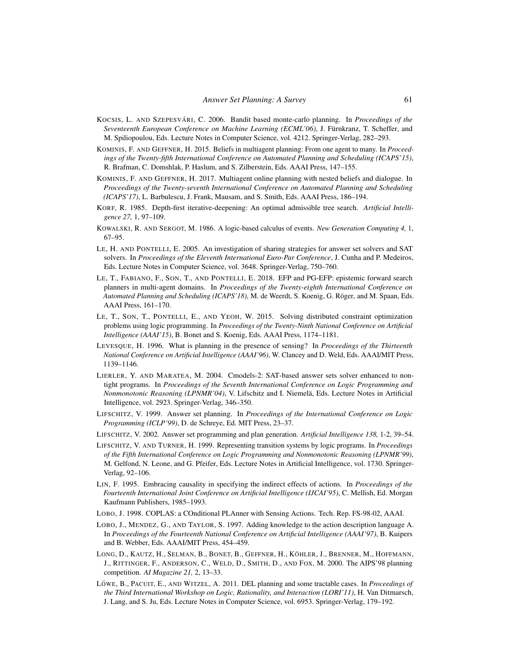- KOCSIS, L. AND SZEPESVÁRI, C. 2006. Bandit based monte-carlo planning. In *Proceedings of the Seventeenth European Conference on Machine Learning (ECML'06)*, J. Furnkranz, T. Scheffer, and ¨ M. Spiliopoulou, Eds. Lecture Notes in Computer Science, vol. 4212. Springer-Verlag, 282–293.
- KOMINIS, F. AND GEFFNER, H. 2015. Beliefs in multiagent planning: From one agent to many. In *Proceedings of the Twenty-fifth International Conference on Automated Planning and Scheduling (ICAPS'15)*, R. Brafman, C. Domshlak, P. Haslum, and S. Zilberstein, Eds. AAAI Press, 147–155.
- KOMINIS, F. AND GEFFNER, H. 2017. Multiagent online planning with nested beliefs and dialogue. In *Proceedings of the Twenty-seventh International Conference on Automated Planning and Scheduling (ICAPS'17)*, L. Barbulescu, J. Frank, Mausam, and S. Smith, Eds. AAAI Press, 186–194.
- KORF, R. 1985. Depth-first iterative-deepening: An optimal admissible tree search. *Artificial Intelligence 27,* 1, 97–109.
- KOWALSKI, R. AND SERGOT, M. 1986. A logic-based calculus of events. *New Generation Computing 4,* 1, 67–95.
- LE, H. AND PONTELLI, E. 2005. An investigation of sharing strategies for answer set solvers and SAT solvers. In *Proceedings of the Eleventh International Euro-Par Conference*, J. Cunha and P. Medeiros, Eds. Lecture Notes in Computer Science, vol. 3648. Springer-Verlag, 750–760.
- LE, T., FABIANO, F., SON, T., AND PONTELLI, E. 2018. EFP and PG-EFP: epistemic forward search planners in multi-agent domains. In *Proceedings of the Twenty-eighth International Conference on Automated Planning and Scheduling (ICAPS'18)*, M. de Weerdt, S. Koenig, G. Roger, and M. Spaan, Eds. ¨ AAAI Press, 161–170.
- LE, T., SON, T., PONTELLI, E., AND YEOH, W. 2015. Solving distributed constraint optimization problems using logic programming. In *Proceedings of the Twenty-Ninth National Conference on Artificial Intelligence (AAAI'15)*, B. Bonet and S. Koenig, Eds. AAAI Press, 1174–1181.
- LEVESQUE, H. 1996. What is planning in the presence of sensing? In *Proceedings of the Thirteenth National Conference on Artificial Intelligence (AAAI'96)*, W. Clancey and D. Weld, Eds. AAAI/MIT Press, 1139–1146.
- LIERLER, Y. AND MARATEA, M. 2004. Cmodels-2: SAT-based answer sets solver enhanced to nontight programs. In *Proceedings of the Seventh International Conference on Logic Programming and Nonmonotonic Reasoning (LPNMR'04)*, V. Lifschitz and I. Niemelä, Eds. Lecture Notes in Artificial Intelligence, vol. 2923. Springer-Verlag, 346–350.
- LIFSCHITZ, V. 1999. Answer set planning. In *Proceedings of the International Conference on Logic Programming (ICLP'99)*, D. de Schreye, Ed. MIT Press, 23–37.
- LIFSCHITZ, V. 2002. Answer set programming and plan generation. *Artificial Intelligence 138,* 1-2, 39–54.
- LIFSCHITZ, V. AND TURNER, H. 1999. Representing transition systems by logic programs. In *Proceedings of the Fifth International Conference on Logic Programming and Nonmonotonic Reasoning (LPNMR'99)*, M. Gelfond, N. Leone, and G. Pfeifer, Eds. Lecture Notes in Artificial Intelligence, vol. 1730. Springer-Verlag, 92–106.
- LIN, F. 1995. Embracing causality in specifying the indirect effects of actions. In *Proceedings of the Fourteenth International Joint Conference on Artificial Intelligence (IJCAI'95)*, C. Mellish, Ed. Morgan Kaufmann Publishers, 1985–1993.
- LOBO, J. 1998. COPLAS: a COnditional PLAnner with Sensing Actions. Tech. Rep. FS-98-02, AAAI.
- LOBO, J., MENDEZ, G., AND TAYLOR, S. 1997. Adding knowledge to the action description language A. In *Proceedings of the Fourteenth National Conference on Artificial Intelligence (AAAI'97)*, B. Kuipers and B. Webber, Eds. AAAI/MIT Press, 454–459.
- LONG, D., KAUTZ, H., SELMAN, B., BONET, B., GEFFNER, H., KÖHLER, J., BRENNER, M., HOFFMANN, J., RITTINGER, F., ANDERSON, C., WELD, D., SMITH, D., AND FOX, M. 2000. The AIPS'98 planning competition. *AI Magazine 21,* 2, 13–33.
- LÖWE, B., PACUIT, E., AND WITZEL, A. 2011. DEL planning and some tractable cases. In *Proceedings of the Third International Workshop on Logic, Rationality, and Interaction (LORI'11)*, H. Van Ditmarsch, J. Lang, and S. Ju, Eds. Lecture Notes in Computer Science, vol. 6953. Springer-Verlag, 179–192.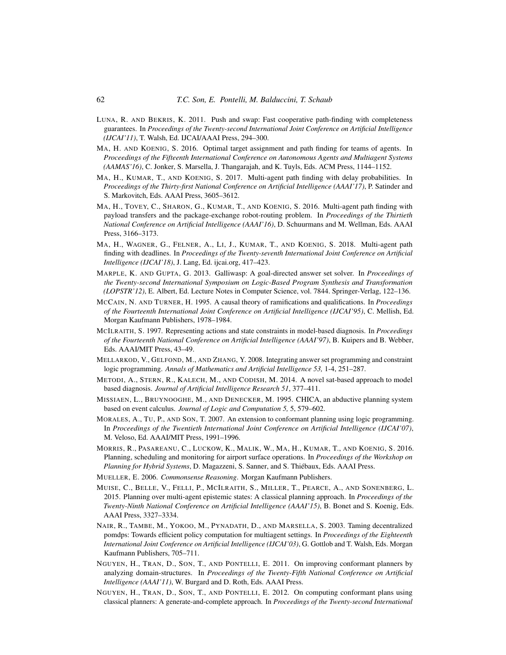- LUNA, R. AND BEKRIS, K. 2011. Push and swap: Fast cooperative path-finding with completeness guarantees. In *Proceedings of the Twenty-second International Joint Conference on Artificial Intelligence (IJCAI'11)*, T. Walsh, Ed. IJCAI/AAAI Press, 294–300.
- MA, H. AND KOENIG, S. 2016. Optimal target assignment and path finding for teams of agents. In *Proceedings of the Fifteenth International Conference on Autonomous Agents and Multiagent Systems (AAMAS'16)*, C. Jonker, S. Marsella, J. Thangarajah, and K. Tuyls, Eds. ACM Press, 1144–1152.
- MA, H., KUMAR, T., AND KOENIG, S. 2017. Multi-agent path finding with delay probabilities. In *Proceedings of the Thirty-first National Conference on Artificial Intelligence (AAAI'17)*, P. Satinder and S. Markovitch, Eds. AAAI Press, 3605–3612.
- MA, H., TOVEY, C., SHARON, G., KUMAR, T., AND KOENIG, S. 2016. Multi-agent path finding with payload transfers and the package-exchange robot-routing problem. In *Proceedings of the Thirtieth National Conference on Artificial Intelligence (AAAI'16)*, D. Schuurmans and M. Wellman, Eds. AAAI Press, 3166–3173.
- MA, H., WAGNER, G., FELNER, A., LI, J., KUMAR, T., AND KOENIG, S. 2018. Multi-agent path finding with deadlines. In *Proceedings of the Twenty-seventh International Joint Conference on Artificial Intelligence (IJCAI'18)*, J. Lang, Ed. ijcai.org, 417–423.
- MARPLE, K. AND GUPTA, G. 2013. Galliwasp: A goal-directed answer set solver. In *Proceedings of the Twenty-second International Symposium on Logic-Based Program Synthesis and Transformation (LOPSTR'12)*, E. Albert, Ed. Lecture Notes in Computer Science, vol. 7844. Springer-Verlag, 122–136.
- MCCAIN, N. AND TURNER, H. 1995. A causal theory of ramifications and qualifications. In *Proceedings of the Fourteenth International Joint Conference on Artificial Intelligence (IJCAI'95)*, C. Mellish, Ed. Morgan Kaufmann Publishers, 1978–1984.
- MCILRAITH, S. 1997. Representing actions and state constraints in model-based diagnosis. In *Proceedings of the Fourteenth National Conference on Artificial Intelligence (AAAI'97)*, B. Kuipers and B. Webber, Eds. AAAI/MIT Press, 43–49.
- MELLARKOD, V., GELFOND, M., AND ZHANG, Y. 2008. Integrating answer set programming and constraint logic programming. *Annals of Mathematics and Artificial Intelligence 53,* 1-4, 251–287.
- METODI, A., STERN, R., KALECH, M., AND CODISH, M. 2014. A novel sat-based approach to model based diagnosis. *Journal of Artificial Intelligence Research 51*, 377–411.
- MISSIAEN, L., BRUYNOOGHE, M., AND DENECKER, M. 1995. CHICA, an abductive planning system based on event calculus. *Journal of Logic and Computation 5,* 5, 579–602.
- MORALES, A., TU, P., AND SON, T. 2007. An extension to conformant planning using logic programming. In *Proceedings of the Twentieth International Joint Conference on Artificial Intelligence (IJCAI'07)*, M. Veloso, Ed. AAAI/MIT Press, 1991–1996.
- MORRIS, R., PASAREANU, C., LUCKOW, K., MALIK, W., MA, H., KUMAR, T., AND KOENIG, S. 2016. Planning, scheduling and monitoring for airport surface operations. In *Proceedings of the Workshop on Planning for Hybrid Systems*, D. Magazzeni, S. Sanner, and S. Thiebaux, Eds. AAAI Press. ´
- MUELLER, E. 2006. *Commonsense Reasoning*. Morgan Kaufmann Publishers.
- MUISE, C., BELLE, V., FELLI, P., MCILRAITH, S., MILLER, T., PEARCE, A., AND SONENBERG, L. 2015. Planning over multi-agent epistemic states: A classical planning approach. In *Proceedings of the Twenty-Ninth National Conference on Artificial Intelligence (AAAI'15)*, B. Bonet and S. Koenig, Eds. AAAI Press, 3327–3334.
- NAIR, R., TAMBE, M., YOKOO, M., PYNADATH, D., AND MARSELLA, S. 2003. Taming decentralized pomdps: Towards efficient policy computation for multiagent settings. In *Proceedings of the Eighteenth International Joint Conference on Artificial Intelligence (IJCAI'03)*, G. Gottlob and T. Walsh, Eds. Morgan Kaufmann Publishers, 705–711.
- NGUYEN, H., TRAN, D., SON, T., AND PONTELLI, E. 2011. On improving conformant planners by analyzing domain-structures. In *Proceedings of the Twenty-Fifth National Conference on Artificial Intelligence (AAAI'11)*, W. Burgard and D. Roth, Eds. AAAI Press.
- NGUYEN, H., TRAN, D., SON, T., AND PONTELLI, E. 2012. On computing conformant plans using classical planners: A generate-and-complete approach. In *Proceedings of the Twenty-second International*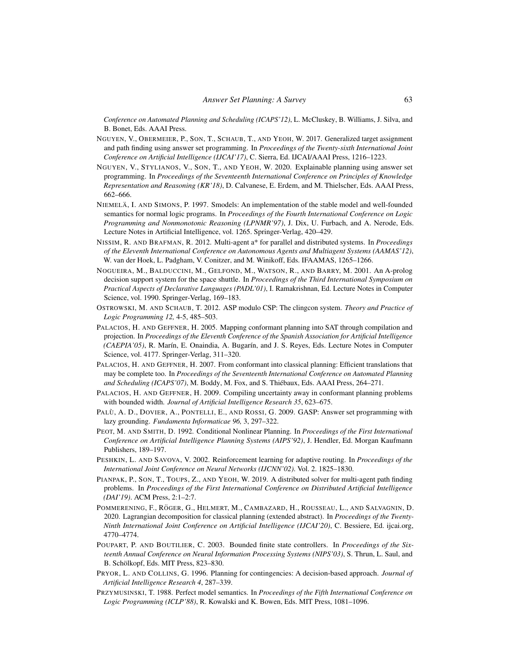*Conference on Automated Planning and Scheduling (ICAPS'12)*, L. McCluskey, B. Williams, J. Silva, and B. Bonet, Eds. AAAI Press.

- NGUYEN, V., OBERMEIER, P., SON, T., SCHAUB, T., AND YEOH, W. 2017. Generalized target assignment and path finding using answer set programming. In *Proceedings of the Twenty-sixth International Joint Conference on Artificial Intelligence (IJCAI'17)*, C. Sierra, Ed. IJCAI/AAAI Press, 1216–1223.
- NGUYEN, V., STYLIANOS, V., SON, T., AND YEOH, W. 2020. Explainable planning using answer set programming. In *Proceedings of the Seventeenth International Conference on Principles of Knowledge Representation and Reasoning (KR'18)*, D. Calvanese, E. Erdem, and M. Thielscher, Eds. AAAI Press, 662–666.
- NIEMELÄ, I. AND SIMONS, P. 1997. Smodels: An implementation of the stable model and well-founded semantics for normal logic programs. In *Proceedings of the Fourth International Conference on Logic Programming and Nonmonotonic Reasoning (LPNMR'97)*, J. Dix, U. Furbach, and A. Nerode, Eds. Lecture Notes in Artificial Intelligence, vol. 1265. Springer-Verlag, 420–429.
- NISSIM, R. AND BRAFMAN, R. 2012. Multi-agent a\* for parallel and distributed systems. In *Proceedings of the Eleventh International Conference on Autonomous Agents and Multiagent Systems (AAMAS'12)*, W. van der Hoek, L. Padgham, V. Conitzer, and M. Winikoff, Eds. IFAAMAS, 1265–1266.
- NOGUEIRA, M., BALDUCCINI, M., GELFOND, M., WATSON, R., AND BARRY, M. 2001. An A-prolog decision support system for the space shuttle. In *Proceedings of the Third International Symposium on Practical Aspects of Declarative Languages (PADL'01)*, I. Ramakrishnan, Ed. Lecture Notes in Computer Science, vol. 1990. Springer-Verlag, 169–183.
- OSTROWSKI, M. AND SCHAUB, T. 2012. ASP modulo CSP: The clingcon system. *Theory and Practice of Logic Programming 12,* 4-5, 485–503.
- PALACIOS, H. AND GEFFNER, H. 2005. Mapping conformant planning into SAT through compilation and projection. In *Proceedings of the Eleventh Conference of the Spanish Association for Artificial Intelligence* (CAEPIA'05), R. Marín, E. Onaindia, A. Bugarín, and J. S. Reyes, Eds. Lecture Notes in Computer Science, vol. 4177. Springer-Verlag, 311–320.
- PALACIOS, H. AND GEFFNER, H. 2007. From conformant into classical planning: Efficient translations that may be complete too. In *Proceedings of the Seventeenth International Conference on Automated Planning and Scheduling (ICAPS'07)*, M. Boddy, M. Fox, and S. Thiebaux, Eds. AAAI Press, 264–271. ´
- PALACIOS, H. AND GEFFNER, H. 2009. Compiling uncertainty away in conformant planning problems with bounded width. *Journal of Artificial Intelligence Research 35*, 623–675.
- PALÙ, A. D., DOVIER, A., PONTELLI, E., AND ROSSI, G. 2009. GASP: Answer set programming with lazy grounding. *Fundamenta Informaticae 96,* 3, 297–322.
- PEOT, M. AND SMITH, D. 1992. Conditional Nonlinear Planning. In *Proceedings of the First International Conference on Artificial Intelligence Planning Systems (AIPS'92)*, J. Hendler, Ed. Morgan Kaufmann Publishers, 189–197.
- PESHKIN, L. AND SAVOVA, V. 2002. Reinforcement learning for adaptive routing. In *Proceedings of the International Joint Conference on Neural Networks (IJCNN'02)*. Vol. 2. 1825–1830.
- PIANPAK, P., SON, T., TOUPS, Z., AND YEOH, W. 2019. A distributed solver for multi-agent path finding problems. In *Proceedings of the First International Conference on Distributed Artificial Intelligence (DAI'19)*. ACM Press, 2:1–2:7.
- POMMERENING, F., RÖGER, G., HELMERT, M., CAMBAZARD, H., ROUSSEAU, L., AND SALVAGNIN, D. 2020. Lagrangian decomposition for classical planning (extended abstract). In *Proceedings of the Twenty-Ninth International Joint Conference on Artificial Intelligence (IJCAI'20)*, C. Bessiere, Ed. ijcai.org, 4770–4774.
- POUPART, P. AND BOUTILIER, C. 2003. Bounded finite state controllers. In *Proceedings of the Sixteenth Annual Conference on Neural Information Processing Systems (NIPS'03)*, S. Thrun, L. Saul, and B. Schölkopf, Eds. MIT Press, 823-830.
- PRYOR, L. AND COLLINS, G. 1996. Planning for contingencies: A decision-based approach. *Journal of Artificial Intelligence Research 4*, 287–339.
- PRZYMUSINSKI, T. 1988. Perfect model semantics. In *Proceedings of the Fifth International Conference on Logic Programming (ICLP'88)*, R. Kowalski and K. Bowen, Eds. MIT Press, 1081–1096.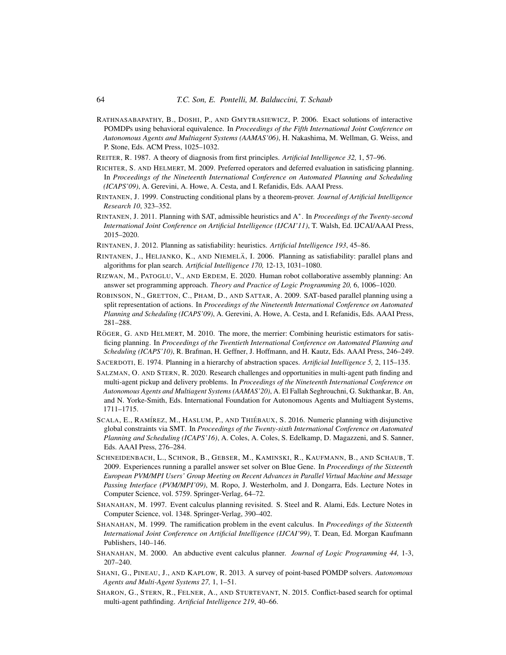- RATHNASABAPATHY, B., DOSHI, P., AND GMYTRASIEWICZ, P. 2006. Exact solutions of interactive POMDPs using behavioral equivalence. In *Proceedings of the Fifth International Joint Conference on Autonomous Agents and Multiagent Systems (AAMAS'06)*, H. Nakashima, M. Wellman, G. Weiss, and P. Stone, Eds. ACM Press, 1025–1032.
- REITER, R. 1987. A theory of diagnosis from first principles. *Artificial Intelligence 32,* 1, 57–96.
- RICHTER, S. AND HELMERT, M. 2009. Preferred operators and deferred evaluation in satisficing planning. In *Proceedings of the Nineteenth International Conference on Automated Planning and Scheduling (ICAPS'09)*, A. Gerevini, A. Howe, A. Cesta, and I. Refanidis, Eds. AAAI Press.
- RINTANEN, J. 1999. Constructing conditional plans by a theorem-prover. *Journal of Artificial Intelligence Research 10*, 323–352.
- RINTANEN, J. 2011. Planning with SAT, admissible heuristics and A<sup>∗</sup> . In *Proceedings of the Twenty-second International Joint Conference on Artificial Intelligence (IJCAI'11)*, T. Walsh, Ed. IJCAI/AAAI Press, 2015–2020.
- RINTANEN, J. 2012. Planning as satisfiability: heuristics. *Artificial Intelligence 193*, 45–86.
- RINTANEN, J., HELJANKO, K., AND NIEMELÄ, I. 2006. Planning as satisfiability: parallel plans and algorithms for plan search. *Artificial Intelligence 170,* 12-13, 1031–1080.
- RIZWAN, M., PATOGLU, V., AND ERDEM, E. 2020. Human robot collaborative assembly planning: An answer set programming approach. *Theory and Practice of Logic Programming 20,* 6, 1006–1020.
- ROBINSON, N., GRETTON, C., PHAM, D., AND SATTAR, A. 2009. SAT-based parallel planning using a split representation of actions. In *Proceedings of the Nineteenth International Conference on Automated Planning and Scheduling (ICAPS'09)*, A. Gerevini, A. Howe, A. Cesta, and I. Refanidis, Eds. AAAI Press, 281–288.
- RÖGER, G. AND HELMERT, M. 2010. The more, the merrier: Combining heuristic estimators for satisficing planning. In *Proceedings of the Twentieth International Conference on Automated Planning and Scheduling (ICAPS'10)*, R. Brafman, H. Geffner, J. Hoffmann, and H. Kautz, Eds. AAAI Press, 246–249.
- SACERDOTI, E. 1974. Planning in a hierarchy of abstraction spaces. *Artificial Intelligence 5,* 2, 115–135.
- SALZMAN, O. AND STERN, R. 2020. Research challenges and opportunities in multi-agent path finding and multi-agent pickup and delivery problems. In *Proceedings of the Nineteenth International Conference on Autonomous Agents and Multiagent Systems (AAMAS'20)*, A. El Fallah Seghrouchni, G. Sukthankar, B. An, and N. Yorke-Smith, Eds. International Foundation for Autonomous Agents and Multiagent Systems, 1711–1715.
- SCALA, E., RAMÍREZ, M., HASLUM, P., AND THIÉBAUX, S. 2016. Numeric planning with disjunctive global constraints via SMT. In *Proceedings of the Twenty-sixth International Conference on Automated Planning and Scheduling (ICAPS'16)*, A. Coles, A. Coles, S. Edelkamp, D. Magazzeni, and S. Sanner, Eds. AAAI Press, 276–284.
- SCHNEIDENBACH, L., SCHNOR, B., GEBSER, M., KAMINSKI, R., KAUFMANN, B., AND SCHAUB, T. 2009. Experiences running a parallel answer set solver on Blue Gene. In *Proceedings of the Sixteenth European PVM/MPI Users' Group Meeting on Recent Advances in Parallel Virtual Machine and Message Passing Interface (PVM/MPI'09)*, M. Ropo, J. Westerholm, and J. Dongarra, Eds. Lecture Notes in Computer Science, vol. 5759. Springer-Verlag, 64–72.
- SHANAHAN, M. 1997. Event calculus planning revisited. S. Steel and R. Alami, Eds. Lecture Notes in Computer Science, vol. 1348. Springer-Verlag, 390–402.
- SHANAHAN, M. 1999. The ramification problem in the event calculus. In *Proceedings of the Sixteenth International Joint Conference on Artificial Intelligence (IJCAI'99)*, T. Dean, Ed. Morgan Kaufmann Publishers, 140–146.
- SHANAHAN, M. 2000. An abductive event calculus planner. *Journal of Logic Programming 44,* 1-3, 207–240.
- SHANI, G., PINEAU, J., AND KAPLOW, R. 2013. A survey of point-based POMDP solvers. *Autonomous Agents and Multi-Agent Systems 27,* 1, 1–51.
- SHARON, G., STERN, R., FELNER, A., AND STURTEVANT, N. 2015. Conflict-based search for optimal multi-agent pathfinding. *Artificial Intelligence 219*, 40–66.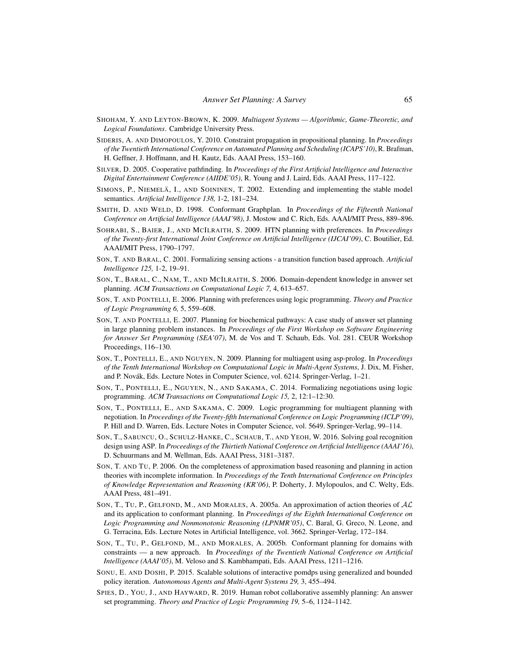- SHOHAM, Y. AND LEYTON-BROWN, K. 2009. *Multiagent Systems Algorithmic, Game-Theoretic, and Logical Foundations*. Cambridge University Press.
- SIDERIS, A. AND DIMOPOULOS, Y. 2010. Constraint propagation in propositional planning. In *Proceedings of the Twentieth International Conference on Automated Planning and Scheduling (ICAPS'10)*, R. Brafman, H. Geffner, J. Hoffmann, and H. Kautz, Eds. AAAI Press, 153–160.
- SILVER, D. 2005. Cooperative pathfinding. In *Proceedings of the First Artificial Intelligence and Interactive Digital Entertainment Conference (AIIDE'05)*, R. Young and J. Laird, Eds. AAAI Press, 117–122.
- SIMONS, P., NIEMELÄ, I., AND SOININEN, T. 2002. Extending and implementing the stable model semantics. *Artificial Intelligence 138,* 1-2, 181–234.
- SMITH, D. AND WELD, D. 1998. Conformant Graphplan. In *Proceedings of the Fifteenth National Conference on Artificial Intelligence (AAAI'98)*, J. Mostow and C. Rich, Eds. AAAI/MIT Press, 889–896.
- SOHRABI, S., BAIER, J., AND MCILRAITH, S. 2009. HTN planning with preferences. In *Proceedings of the Twenty-first International Joint Conference on Artificial Intelligence (IJCAI'09)*, C. Boutilier, Ed. AAAI/MIT Press, 1790–1797.
- SON, T. AND BARAL, C. 2001. Formalizing sensing actions a transition function based approach. *Artificial Intelligence 125,* 1-2, 19–91.
- SON, T., BARAL, C., NAM, T., AND MCILRAITH, S. 2006. Domain-dependent knowledge in answer set planning. *ACM Transactions on Computational Logic 7,* 4, 613–657.
- SON, T. AND PONTELLI, E. 2006. Planning with preferences using logic programming. *Theory and Practice of Logic Programming 6,* 5, 559–608.
- SON, T. AND PONTELLI, E. 2007. Planning for biochemical pathways: A case study of answer set planning in large planning problem instances. In *Proceedings of the First Workshop on Software Engineering for Answer Set Programming (SEA'07)*, M. de Vos and T. Schaub, Eds. Vol. 281. CEUR Workshop Proceedings, 116–130.
- SON, T., PONTELLI, E., AND NGUYEN, N. 2009. Planning for multiagent using asp-prolog. In *Proceedings of the Tenth International Workshop on Computational Logic in Multi-Agent Systems*, J. Dix, M. Fisher, and P. Novák, Eds. Lecture Notes in Computer Science, vol. 6214. Springer-Verlag, 1–21.
- SON, T., PONTELLI, E., NGUYEN, N., AND SAKAMA, C. 2014. Formalizing negotiations using logic programming. *ACM Transactions on Computational Logic 15,* 2, 12:1–12:30.
- SON, T., PONTELLI, E., AND SAKAMA, C. 2009. Logic programming for multiagent planning with negotiation. In *Proceedings of the Twenty-fifth International Conference on Logic Programming (ICLP'09)*, P. Hill and D. Warren, Eds. Lecture Notes in Computer Science, vol. 5649. Springer-Verlag, 99–114.
- SON, T., SABUNCU, O., SCHULZ-HANKE, C., SCHAUB, T., AND YEOH, W. 2016. Solving goal recognition design using ASP. In *Proceedings of the Thirtieth National Conference on Artificial Intelligence (AAAI'16)*, D. Schuurmans and M. Wellman, Eds. AAAI Press, 3181–3187.
- SON, T. AND TU, P. 2006. On the completeness of approximation based reasoning and planning in action theories with incomplete information. In *Proceedings of the Tenth International Conference on Principles of Knowledge Representation and Reasoning (KR'06)*, P. Doherty, J. Mylopoulos, and C. Welty, Eds. AAAI Press, 481–491.
- SON, T., TU, P., GELFOND, M., AND MORALES, A. 2005a. An approximation of action theories of  $AC$ and its application to conformant planning. In *Proceedings of the Eighth International Conference on Logic Programming and Nonmonotonic Reasoning (LPNMR'05)*, C. Baral, G. Greco, N. Leone, and G. Terracina, Eds. Lecture Notes in Artificial Intelligence, vol. 3662. Springer-Verlag, 172–184.
- SON, T., TU, P., GELFOND, M., AND MORALES, A. 2005b. Conformant planning for domains with constraints — a new approach. In *Proceedings of the Twentieth National Conference on Artificial Intelligence (AAAI'05)*, M. Veloso and S. Kambhampati, Eds. AAAI Press, 1211–1216.
- SONU, E. AND DOSHI, P. 2015. Scalable solutions of interactive pomdps using generalized and bounded policy iteration. *Autonomous Agents and Multi-Agent Systems 29,* 3, 455–494.
- SPIES, D., YOU, J., AND HAYWARD, R. 2019. Human robot collaborative assembly planning: An answer set programming. *Theory and Practice of Logic Programming 19,* 5–6, 1124–1142.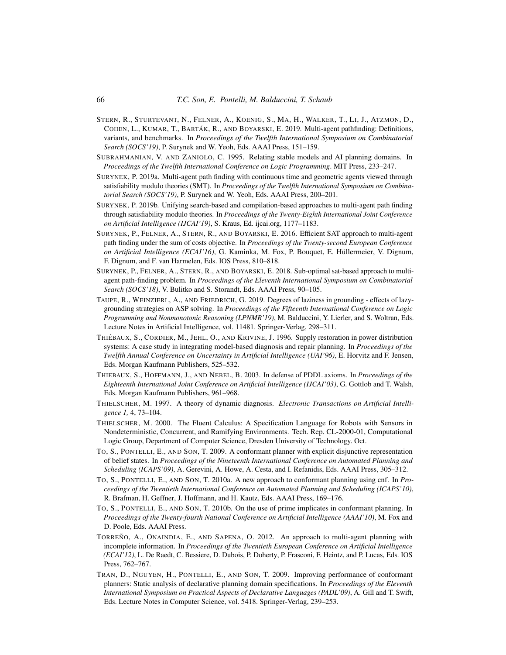- STERN, R., STURTEVANT, N., FELNER, A., KOENIG, S., MA, H., WALKER, T., LI, J., ATZMON, D., COHEN, L., KUMAR, T., BARTÁK, R., AND BOYARSKI, E. 2019. Multi-agent pathfinding: Definitions, variants, and benchmarks. In *Proceedings of the Twelfth International Symposium on Combinatorial Search (SOCS'19)*, P. Surynek and W. Yeoh, Eds. AAAI Press, 151–159.
- SUBRAHMANIAN, V. AND ZANIOLO, C. 1995. Relating stable models and AI planning domains. In *Proceedings of the Twelfth International Conference on Logic Programming*. MIT Press, 233–247.
- SURYNEK, P. 2019a. Multi-agent path finding with continuous time and geometric agents viewed through satisfiability modulo theories (SMT). In *Proceedings of the Twelfth International Symposium on Combinatorial Search (SOCS'19)*, P. Surynek and W. Yeoh, Eds. AAAI Press, 200–201.
- SURYNEK, P. 2019b. Unifying search-based and compilation-based approaches to multi-agent path finding through satisfiability modulo theories. In *Proceedings of the Twenty-Eighth International Joint Conference on Artificial Intelligence (IJCAI'19)*, S. Kraus, Ed. ijcai.org, 1177–1183.
- SURYNEK, P., FELNER, A., STERN, R., AND BOYARSKI, E. 2016. Efficient SAT approach to multi-agent path finding under the sum of costs objective. In *Proceedings of the Twenty-second European Conference on Artificial Intelligence (ECAI'16)*, G. Kaminka, M. Fox, P. Bouquet, E. Hullermeier, V. Dignum, ¨ F. Dignum, and F. van Harmelen, Eds. IOS Press, 810–818.
- SURYNEK, P., FELNER, A., STERN, R., AND BOYARSKI, E. 2018. Sub-optimal sat-based approach to multiagent path-finding problem. In *Proceedings of the Eleventh International Symposium on Combinatorial Search (SOCS'18)*, V. Bulitko and S. Storandt, Eds. AAAI Press, 90–105.
- TAUPE, R., WEINZIERL, A., AND FRIEDRICH, G. 2019. Degrees of laziness in grounding effects of lazygrounding strategies on ASP solving. In *Proceedings of the Fifteenth International Conference on Logic Programming and Nonmonotonic Reasoning (LPNMR'19)*, M. Balduccini, Y. Lierler, and S. Woltran, Eds. Lecture Notes in Artificial Intelligence, vol. 11481. Springer-Verlag, 298–311.
- THIÉBAUX, S., CORDIER, M., JEHL, O., AND KRIVINE, J. 1996. Supply restoration in power distribution systems: A case study in integrating model-based diagnosis and repair planning. In *Proceedings of the Twelfth Annual Conference on Uncertainty in Artificial Intelligence (UAI'96)*, E. Horvitz and F. Jensen, Eds. Morgan Kaufmann Publishers, 525–532.
- THIEBAUX, S., HOFFMANN, J., AND NEBEL, B. 2003. In defense of PDDL axioms. In *Proceedings of the Eighteenth International Joint Conference on Artificial Intelligence (IJCAI'03)*, G. Gottlob and T. Walsh, Eds. Morgan Kaufmann Publishers, 961–968.
- THIELSCHER, M. 1997. A theory of dynamic diagnosis. *Electronic Transactions on Artificial Intelligence 1,* 4, 73–104.
- THIELSCHER, M. 2000. The Fluent Calculus: A Specification Language for Robots with Sensors in Nondeterministic, Concurrent, and Ramifying Environments. Tech. Rep. CL-2000-01, Computational Logic Group, Department of Computer Science, Dresden University of Technology. Oct.
- TO, S., PONTELLI, E., AND SON, T. 2009. A conformant planner with explicit disjunctive representation of belief states. In *Proceedings of the Nineteenth International Conference on Automated Planning and Scheduling (ICAPS'09)*, A. Gerevini, A. Howe, A. Cesta, and I. Refanidis, Eds. AAAI Press, 305–312.
- TO, S., PONTELLI, E., AND SON, T. 2010a. A new approach to conformant planning using cnf. In *Proceedings of the Twentieth International Conference on Automated Planning and Scheduling (ICAPS'10)*, R. Brafman, H. Geffner, J. Hoffmann, and H. Kautz, Eds. AAAI Press, 169–176.
- TO, S., PONTELLI, E., AND SON, T. 2010b. On the use of prime implicates in conformant planning. In *Proceedings of the Twenty-fourth National Conference on Artificial Intelligence (AAAI'10)*, M. Fox and D. Poole, Eds. AAAI Press.
- TORREÑO, A., ONAINDIA, E., AND SAPENA, O. 2012. An approach to multi-agent planning with incomplete information. In *Proceedings of the Twentieth European Conference on Artificial Intelligence (ECAI'12)*, L. De Raedt, C. Bessiere, D. Dubois, P. Doherty, P. Frasconi, F. Heintz, and P. Lucas, Eds. IOS Press, 762–767.
- TRAN, D., NGUYEN, H., PONTELLI, E., AND SON, T. 2009. Improving performance of conformant planners: Static analysis of declarative planning domain specifications. In *Proceedings of the Eleventh International Symposium on Practical Aspects of Declarative Languages (PADL'09)*, A. Gill and T. Swift, Eds. Lecture Notes in Computer Science, vol. 5418. Springer-Verlag, 239–253.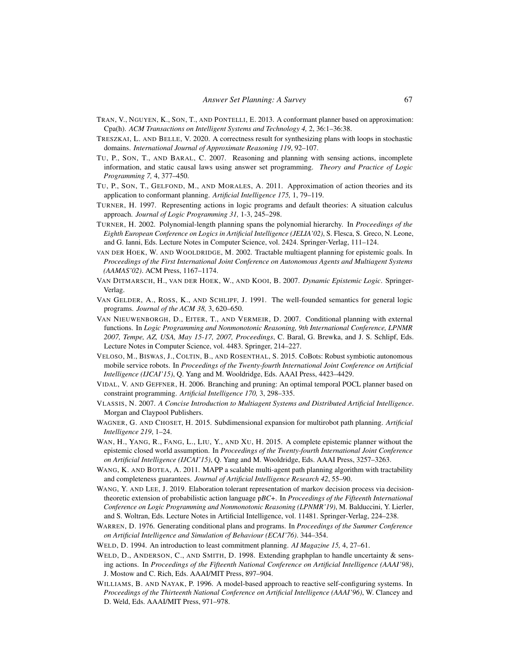- TRAN, V., NGUYEN, K., SON, T., AND PONTELLI, E. 2013. A conformant planner based on approximation: Cpa(h). *ACM Transactions on Intelligent Systems and Technology 4,* 2, 36:1–36:38.
- TRESZKAI, L. AND BELLE, V. 2020. A correctness result for synthesizing plans with loops in stochastic domains. *International Journal of Approximate Reasoning 119*, 92–107.
- TU, P., SON, T., AND BARAL, C. 2007. Reasoning and planning with sensing actions, incomplete information, and static causal laws using answer set programming. *Theory and Practice of Logic Programming 7,* 4, 377–450.
- TU, P., SON, T., GELFOND, M., AND MORALES, A. 2011. Approximation of action theories and its application to conformant planning. *Artificial Intelligence 175,* 1, 79–119.
- TURNER, H. 1997. Representing actions in logic programs and default theories: A situation calculus approach. *Journal of Logic Programming 31,* 1-3, 245–298.
- TURNER, H. 2002. Polynomial-length planning spans the polynomial hierarchy. In *Proceedings of the Eighth European Conference on Logics in Artificial Intelligence (JELIA'02)*, S. Flesca, S. Greco, N. Leone, and G. Ianni, Eds. Lecture Notes in Computer Science, vol. 2424. Springer-Verlag, 111–124.
- VAN DER HOEK, W. AND WOOLDRIDGE, M. 2002. Tractable multiagent planning for epistemic goals. In *Proceedings of the First International Joint Conference on Autonomous Agents and Multiagent Systems (AAMAS'02)*. ACM Press, 1167–1174.
- VAN DITMARSCH, H., VAN DER HOEK, W., AND KOOI, B. 2007. *Dynamic Epistemic Logic*. Springer-Verlag.
- VAN GELDER, A., ROSS, K., AND SCHLIPF, J. 1991. The well-founded semantics for general logic programs. *Journal of the ACM 38,* 3, 620–650.
- VAN NIEUWENBORGH, D., EITER, T., AND VERMEIR, D. 2007. Conditional planning with external functions. In *Logic Programming and Nonmonotonic Reasoning, 9th International Conference, LPNMR 2007, Tempe, AZ, USA, May 15-17, 2007, Proceedings*, C. Baral, G. Brewka, and J. S. Schlipf, Eds. Lecture Notes in Computer Science, vol. 4483. Springer, 214–227.
- VELOSO, M., BISWAS, J., COLTIN, B., AND ROSENTHAL, S. 2015. CoBots: Robust symbiotic autonomous mobile service robots. In *Proceedings of the Twenty-fourth International Joint Conference on Artificial Intelligence (IJCAI'15)*, Q. Yang and M. Wooldridge, Eds. AAAI Press, 4423–4429.
- VIDAL, V. AND GEFFNER, H. 2006. Branching and pruning: An optimal temporal POCL planner based on constraint programming. *Artificial Intelligence 170,* 3, 298–335.
- VLASSIS, N. 2007. *A Concise Introduction to Multiagent Systems and Distributed Artificial Intelligence*. Morgan and Claypool Publishers.
- WAGNER, G. AND CHOSET, H. 2015. Subdimensional expansion for multirobot path planning. *Artificial Intelligence 219*, 1–24.
- WAN, H., YANG, R., FANG, L., LIU, Y., AND XU, H. 2015. A complete epistemic planner without the epistemic closed world assumption. In *Proceedings of the Twenty-fourth International Joint Conference on Artificial Intelligence (IJCAI'15)*, Q. Yang and M. Wooldridge, Eds. AAAI Press, 3257–3263.
- WANG, K. AND BOTEA, A. 2011. MAPP a scalable multi-agent path planning algorithm with tractability and completeness guarantees. *Journal of Artificial Intelligence Research 42*, 55–90.
- WANG, Y. AND LEE, J. 2019. Elaboration tolerant representation of markov decision process via decisiontheoretic extension of probabilistic action language p*BC*+. In *Proceedings of the Fifteenth International Conference on Logic Programming and Nonmonotonic Reasoning (LPNMR'19)*, M. Balduccini, Y. Lierler, and S. Woltran, Eds. Lecture Notes in Artificial Intelligence, vol. 11481. Springer-Verlag, 224–238.
- WARREN, D. 1976. Generating conditional plans and programs. In *Proceedings of the Summer Conference on Artificial Intelligence and Simulation of Behaviour (ECAI'76)*. 344–354.
- WELD, D. 1994. An introduction to least commitment planning. *AI Magazine 15,* 4, 27–61.
- WELD, D., ANDERSON, C., AND SMITH, D. 1998. Extending graphplan to handle uncertainty & sensing actions. In *Proceedings of the Fifteenth National Conference on Artificial Intelligence (AAAI'98)*, J. Mostow and C. Rich, Eds. AAAI/MIT Press, 897–904.
- WILLIAMS, B. AND NAYAK, P. 1996. A model-based approach to reactive self-configuring systems. In *Proceedings of the Thirteenth National Conference on Artificial Intelligence (AAAI'96)*, W. Clancey and D. Weld, Eds. AAAI/MIT Press, 971–978.